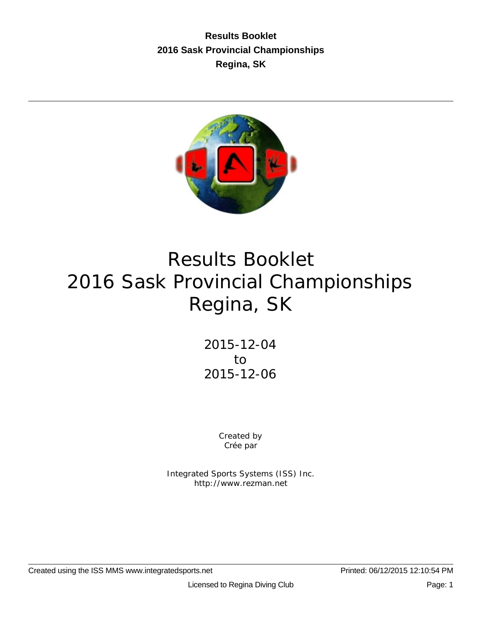**Results Booklet 2016 Sask Provincial Championships Regina, SK**



# Results Booklet 2016 Sask Provincial Championships Regina, SK

2015-12-04 to 2015-12-06

> Created by Crée par

Integrated Sports Systems (ISS) Inc. http://www.rezman.net

Created using the ISS MMS www.integratedsports.net Printed: 06/12/2015 12:10:54 PM

Licensed to Regina Diving Club **Page: 1** Page: 1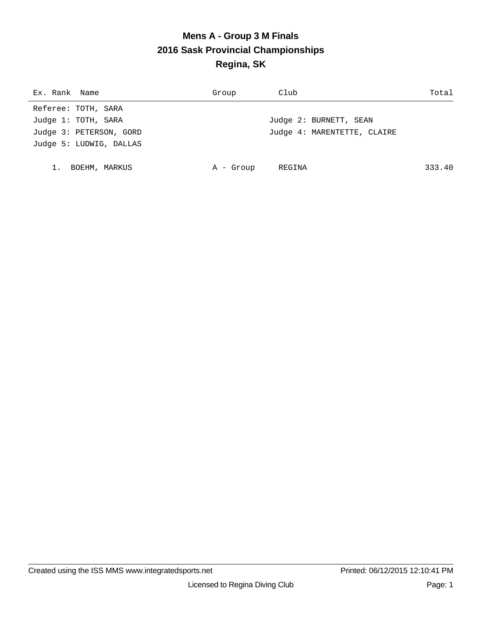# **Mens A - Group 3 M Finals 2016 Sask Provincial Championships Regina, SK**

| Ex. Rank Name           | Group     | Club                        | Total  |
|-------------------------|-----------|-----------------------------|--------|
| Referee: TOTH, SARA     |           |                             |        |
| Judge 1: TOTH, SARA     |           | Judge 2: BURNETT, SEAN      |        |
| Judge 3: PETERSON, GORD |           | Judge 4: MARENTETTE, CLAIRE |        |
| Judge 5: LUDWIG, DALLAS |           |                             |        |
|                         |           |                             |        |
| BOEHM, MARKUS           | A - Group | REGINA                      | 333.40 |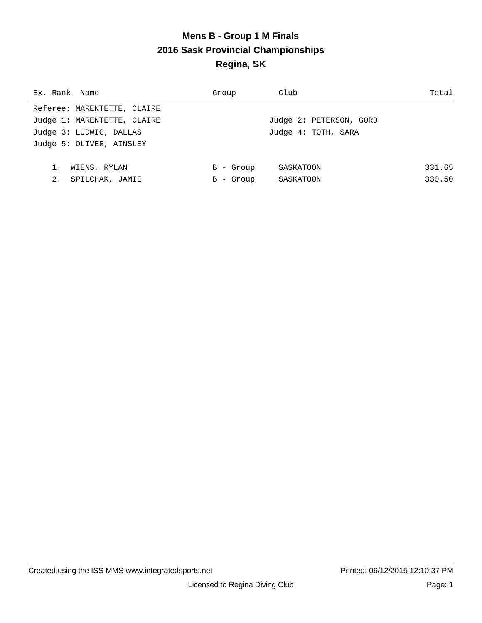# **Mens B - Group 1 M Finals 2016 Sask Provincial Championships Regina, SK**

| Ex. Rank Name               | Group     | Club                    | Total  |
|-----------------------------|-----------|-------------------------|--------|
| Referee: MARENTETTE, CLAIRE |           |                         |        |
| Judge 1: MARENTETTE, CLAIRE |           | Judge 2: PETERSON, GORD |        |
| Judge 3: LUDWIG, DALLAS     |           | Judge 4: TOTH, SARA     |        |
| Judge 5: OLIVER, AINSLEY    |           |                         |        |
|                             |           |                         |        |
| 1.<br>WIENS, RYLAN          | B - Group | SASKATOON               | 331.65 |
| 2.<br>SPILCHAK, JAMIE       | B - Group | SASKATOON               | 330.50 |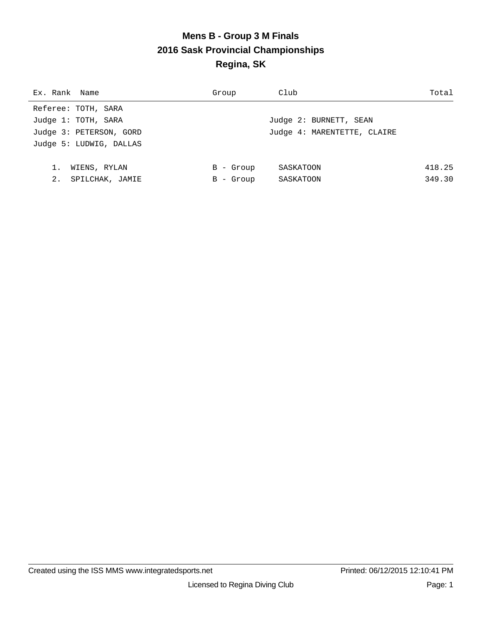# **Mens B - Group 3 M Finals 2016 Sask Provincial Championships Regina, SK**

| Ex. Rank Name           | Group     | Club                        | Total  |
|-------------------------|-----------|-----------------------------|--------|
| Referee: TOTH, SARA     |           |                             |        |
| Judge 1: TOTH, SARA     |           | Judge 2: BURNETT, SEAN      |        |
| Judge 3: PETERSON, GORD |           | Judge 4: MARENTETTE, CLAIRE |        |
| Judge 5: LUDWIG, DALLAS |           |                             |        |
|                         |           |                             |        |
| 1.<br>WIENS, RYLAN      | B - Group | SASKATOON                   | 418.25 |
| 2.<br>SPILCHAK, JAMIE   | B - Group | SASKATOON                   | 349.30 |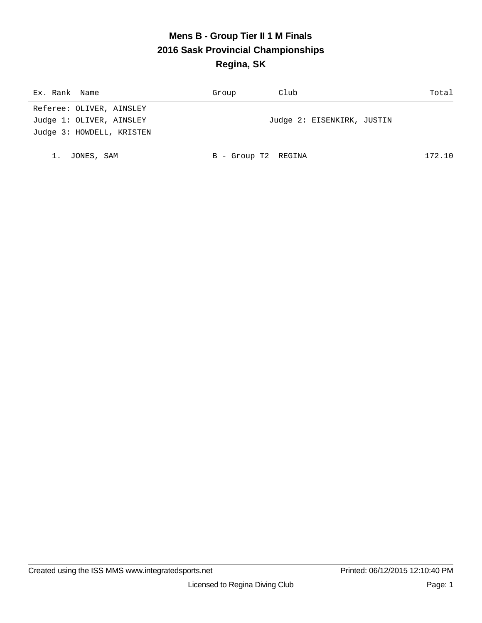#### **Mens B - Group Tier II 1 M Finals 2016 Sask Provincial Championships Regina, SK**

| Ex. Rank Name             | Group               | Club                       | Total  |
|---------------------------|---------------------|----------------------------|--------|
| Referee: OLIVER, AINSLEY  |                     |                            |        |
| Judge 1: OLIVER, AINSLEY  |                     | Judge 2: EISENKIRK, JUSTIN |        |
| Judge 3: HOWDELL, KRISTEN |                     |                            |        |
|                           |                     |                            |        |
| JONES, SAM                | B - Group T2 REGINA |                            | 172.10 |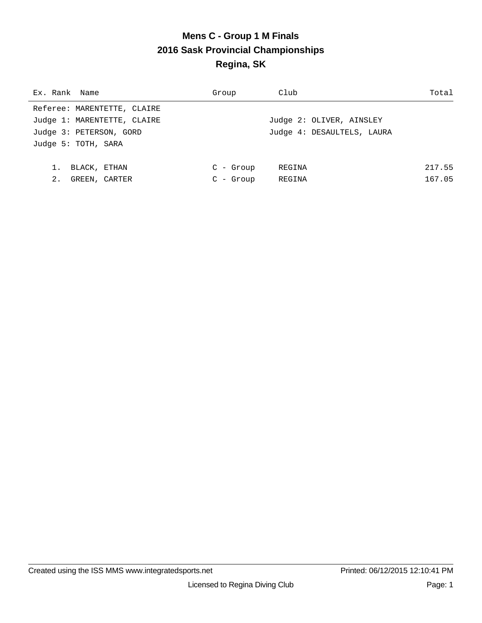# **Mens C - Group 1 M Finals 2016 Sask Provincial Championships Regina, SK**

| Ex. Rank Name               | Group       | Club                       | Total  |
|-----------------------------|-------------|----------------------------|--------|
| Referee: MARENTETTE, CLAIRE |             |                            |        |
| Judge 1: MARENTETTE, CLAIRE |             | Judge 2: OLIVER, AINSLEY   |        |
| Judge 3: PETERSON, GORD     |             | Judge 4: DESAULTELS, LAURA |        |
| Judge 5: TOTH, SARA         |             |                            |        |
|                             |             |                            |        |
| 1.<br>BLACK, ETHAN          | $C$ - Group | REGINA                     | 217.55 |
| 2.<br>GREEN, CARTER         | $C - Grow$  | REGINA                     | 167.05 |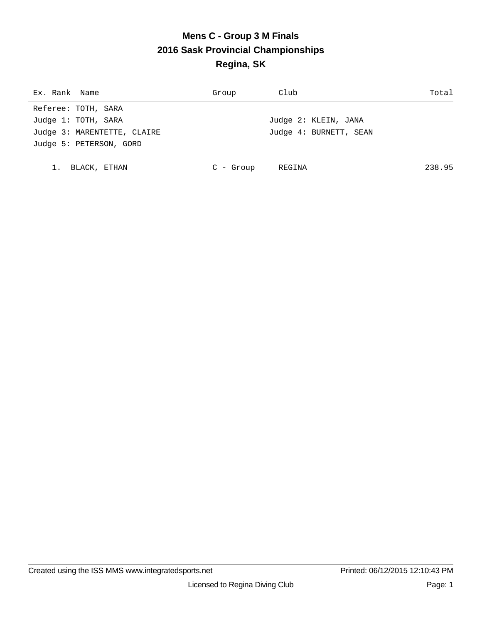# **Mens C - Group 3 M Finals 2016 Sask Provincial Championships Regina, SK**

| Ex. Rank Name               | Group       | Club                   | Total  |
|-----------------------------|-------------|------------------------|--------|
| Referee: TOTH, SARA         |             |                        |        |
| Judge 1: TOTH, SARA         |             | Judge 2: KLEIN, JANA   |        |
| Judge 3: MARENTETTE, CLAIRE |             | Judge 4: BURNETT, SEAN |        |
| Judge 5: PETERSON, GORD     |             |                        |        |
|                             |             |                        |        |
| BLACK, ETHAN                | $C$ - Group | REGINA                 | 238.95 |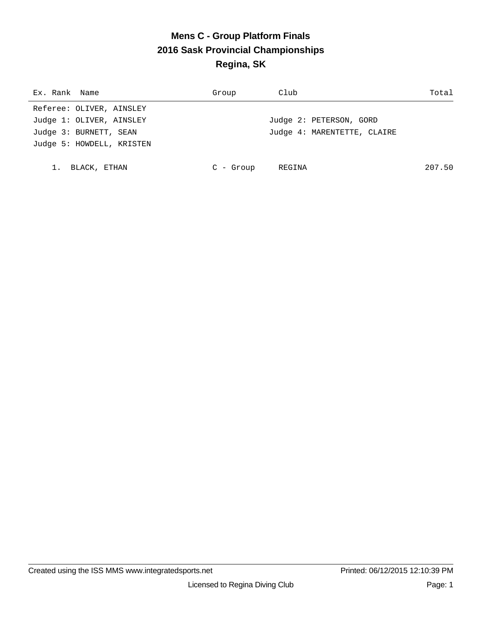# **Mens C - Group Platform Finals 2016 Sask Provincial Championships Regina, SK**

| Ex. Rank Name             | Group       | Club                        | Total  |
|---------------------------|-------------|-----------------------------|--------|
| Referee: OLIVER, AINSLEY  |             |                             |        |
| Judge 1: OLIVER, AINSLEY  |             | Judge 2: PETERSON, GORD     |        |
| Judge 3: BURNETT, SEAN    |             | Judge 4: MARENTETTE, CLAIRE |        |
| Judge 5: HOWDELL, KRISTEN |             |                             |        |
|                           |             |                             |        |
| BLACK, ETHAN              | $C$ - Group | REGINA                      | 207.50 |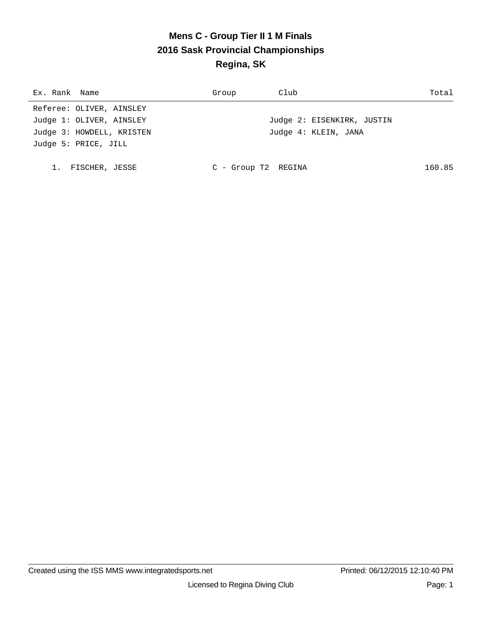# **Mens C - Group Tier II 1 M Finals 2016 Sask Provincial Championships Regina, SK**

| Ex. Rank Name             | Group               | Club                       | Total  |
|---------------------------|---------------------|----------------------------|--------|
| Referee: OLIVER, AINSLEY  |                     |                            |        |
| Judge 1: OLIVER, AINSLEY  |                     | Judge 2: EISENKIRK, JUSTIN |        |
| Judge 3: HOWDELL, KRISTEN |                     | Judge 4: KLEIN, JANA       |        |
| Judge 5: PRICE, JILL      |                     |                            |        |
|                           |                     |                            |        |
| FISCHER, JESSE            | C - Group T2 REGINA |                            | 160.85 |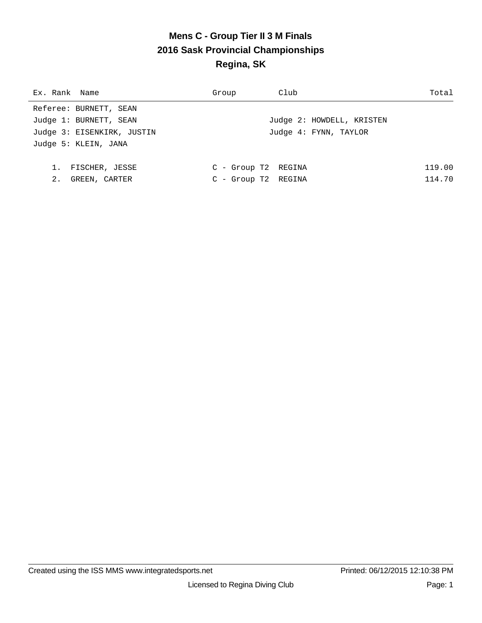# **Mens C - Group Tier II 3 M Finals 2016 Sask Provincial Championships Regina, SK**

| Ex. Rank Name              | Group               | Club                      | Total  |
|----------------------------|---------------------|---------------------------|--------|
| Referee: BURNETT, SEAN     |                     |                           |        |
| Judge 1: BURNETT, SEAN     |                     | Judge 2: HOWDELL, KRISTEN |        |
| Judge 3: EISENKIRK, JUSTIN |                     | Judge 4: FYNN, TAYLOR     |        |
| Judge 5: KLEIN, JANA       |                     |                           |        |
|                            |                     |                           |        |
| FISCHER, JESSE             | C - Group T2 REGINA |                           | 119.00 |
| 2.<br>GREEN, CARTER        | C - Group T2 REGINA |                           | 114.70 |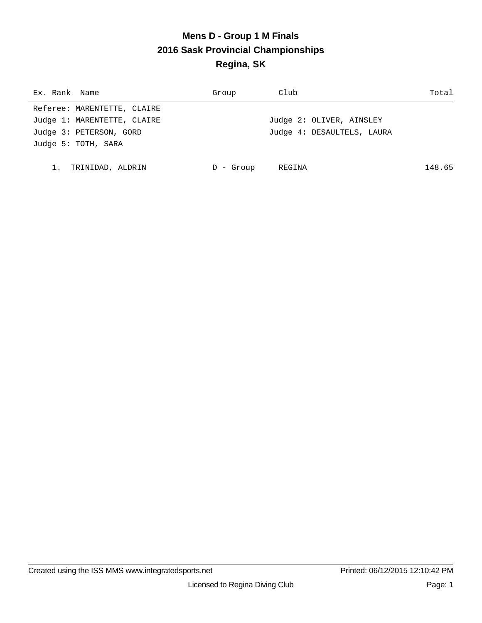# **Mens D - Group 1 M Finals 2016 Sask Provincial Championships Regina, SK**

| Ex. Rank Name               | Group   | Club                       | Total  |
|-----------------------------|---------|----------------------------|--------|
| Referee: MARENTETTE, CLAIRE |         |                            |        |
| Judge 1: MARENTETTE, CLAIRE |         | Judge 2: OLIVER, AINSLEY   |        |
| Judge 3: PETERSON, GORD     |         | Judge 4: DESAULTELS, LAURA |        |
| Judge 5: TOTH, SARA         |         |                            |        |
|                             |         |                            |        |
| 1.<br>TRINIDAD, ALDRIN      | - Group | REGINA                     | 148.65 |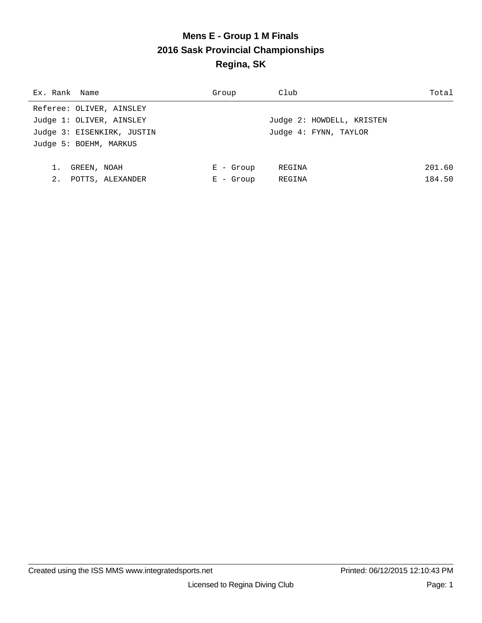# **Mens E - Group 1 M Finals 2016 Sask Provincial Championships Regina, SK**

| Ex. Rank Name              | Group       | Club                      | Total  |
|----------------------------|-------------|---------------------------|--------|
| Referee: OLIVER, AINSLEY   |             |                           |        |
| Judge 1: OLIVER, AINSLEY   |             | Judge 2: HOWDELL, KRISTEN |        |
| Judge 3: EISENKIRK, JUSTIN |             | Judge 4: FYNN, TAYLOR     |        |
| Judge 5: BOEHM, MARKUS     |             |                           |        |
|                            |             |                           |        |
| GREEN, NOAH                | $E -$ Group | REGINA                    | 201.60 |
| 2.<br>POTTS, ALEXANDER     | $E -$ Group | REGINA                    | 184.50 |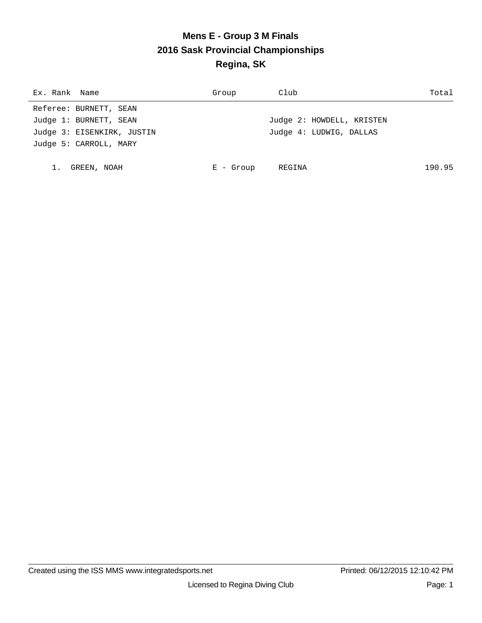# **Mens E - Group 3 M Finals 2016 Sask Provincial Championships Regina, SK**

| Ex. Rank Name              | Group       | Club                      | Total  |
|----------------------------|-------------|---------------------------|--------|
| Referee: BURNETT, SEAN     |             |                           |        |
| Judge 1: BURNETT, SEAN     |             | Judge 2: HOWDELL, KRISTEN |        |
| Judge 3: EISENKIRK, JUSTIN |             | Judge 4: LUDWIG, DALLAS   |        |
| Judge 5: CARROLL, MARY     |             |                           |        |
|                            |             |                           |        |
| GREEN, NOAH                | $E -$ Group | REGINA                    | 190.95 |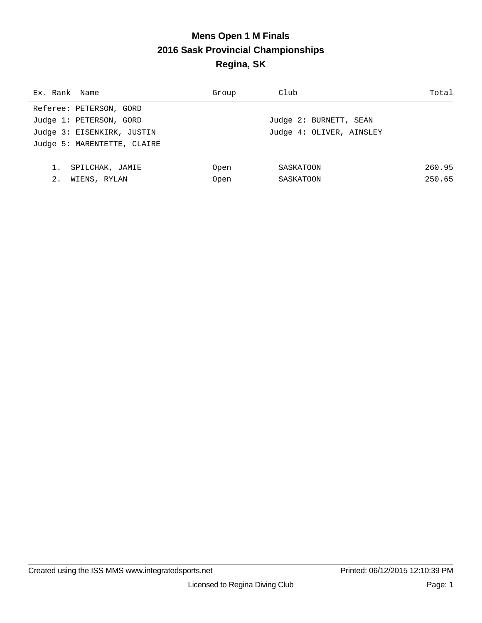# **Mens Open 1 M Finals 2016 Sask Provincial Championships Regina, SK**

| Ex. Rank Name               | Group       | Club                     | Total  |
|-----------------------------|-------------|--------------------------|--------|
| Referee: PETERSON, GORD     |             |                          |        |
| Judge 1: PETERSON, GORD     |             | Judge 2: BURNETT, SEAN   |        |
| Judge 3: EISENKIRK, JUSTIN  |             | Judge 4: OLIVER, AINSLEY |        |
| Judge 5: MARENTETTE, CLAIRE |             |                          |        |
|                             |             |                          |        |
| SPILCHAK, JAMIE             | Open        | SASKATOON                | 260.95 |
| 2.<br>WIENS, RYLAN          | <b>Open</b> | SASKATOON                | 250.65 |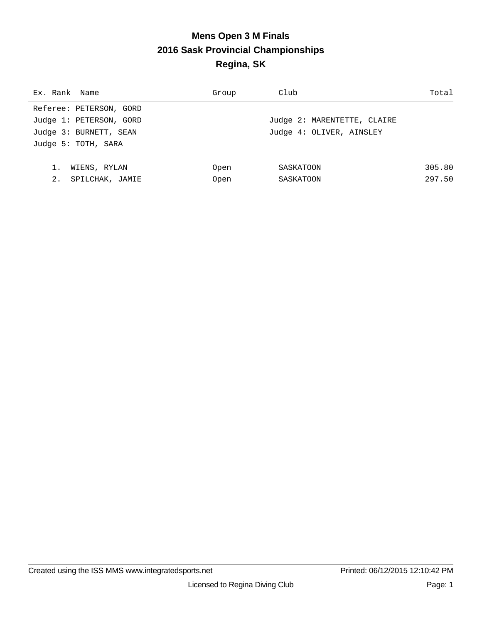# **Mens Open 3 M Finals 2016 Sask Provincial Championships Regina, SK**

| Ex. Rank Name           | Group | Club                        | Total  |
|-------------------------|-------|-----------------------------|--------|
| Referee: PETERSON, GORD |       |                             |        |
| Judge 1: PETERSON, GORD |       | Judge 2: MARENTETTE, CLAIRE |        |
| Judge 3: BURNETT, SEAN  |       | Judge 4: OLIVER, AINSLEY    |        |
| Judge 5: TOTH, SARA     |       |                             |        |
|                         |       |                             |        |
| WIENS, RYLAN            | Open  | SASKATOON                   | 305.80 |
| 2.<br>SPILCHAK, JAMIE   | Open  | SASKATOON                   | 297.50 |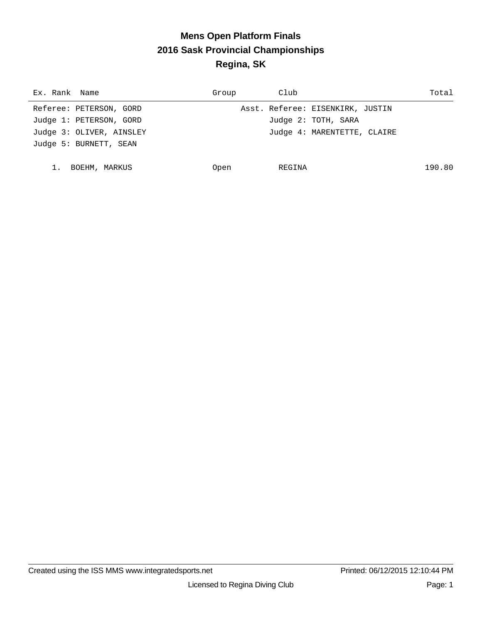# **Mens Open Platform Finals 2016 Sask Provincial Championships Regina, SK**

| Ex. Rank Name            | Group | Club                             | Total  |
|--------------------------|-------|----------------------------------|--------|
| Referee: PETERSON, GORD  |       | Asst. Referee: EISENKIRK, JUSTIN |        |
| Judge 1: PETERSON, GORD  |       | Judge 2: TOTH, SARA              |        |
| Judge 3: OLIVER, AINSLEY |       | Judge 4: MARENTETTE, CLAIRE      |        |
| Judge 5: BURNETT, SEAN   |       |                                  |        |
|                          |       |                                  |        |
| BOEHM, MARKUS            | Open  | REGINA                           | 190.80 |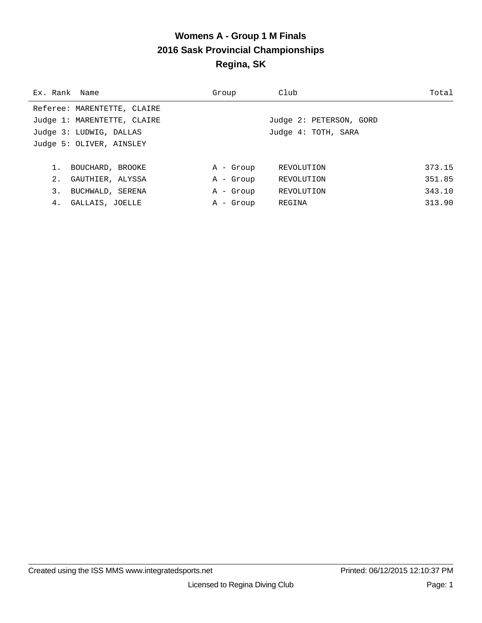#### **Womens A - Group 1 M Finals 2016 Sask Provincial Championships Regina, SK**

| Ex. Rank Name |                             | Group     | Club                    | Total  |
|---------------|-----------------------------|-----------|-------------------------|--------|
|               | Referee: MARENTETTE, CLAIRE |           |                         |        |
|               | Judge 1: MARENTETTE, CLAIRE |           | Judge 2: PETERSON, GORD |        |
|               | Judge 3: LUDWIG, DALLAS     |           | Judge 4: TOTH, SARA     |        |
|               | Judge 5: OLIVER, AINSLEY    |           |                         |        |
|               |                             |           |                         |        |
|               | BOUCHARD, BROOKE            | A - Group | REVOLUTION              | 373.15 |
| 2.            | GAUTHIER, ALYSSA            | A - Group | REVOLUTION              | 351.85 |
| 3.            | BUCHWALD, SERENA            | A - Group | REVOLUTION              | 343.10 |
| 4.            | GALLAIS, JOELLE             | A - Group | REGINA                  | 313.90 |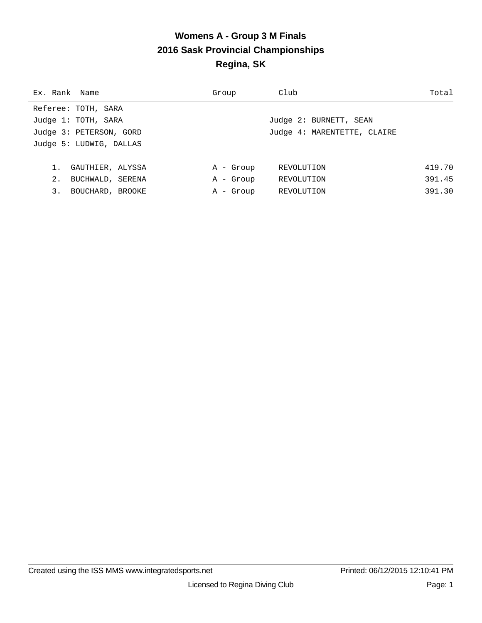#### **Womens A - Group 3 M Finals 2016 Sask Provincial Championships Regina, SK**

| Ex. Rank Name |                         | Group     | Club                        | Total  |
|---------------|-------------------------|-----------|-----------------------------|--------|
|               | Referee: TOTH, SARA     |           |                             |        |
|               | Judge 1: TOTH, SARA     |           | Judge 2: BURNETT, SEAN      |        |
|               | Judge 3: PETERSON, GORD |           | Judge 4: MARENTETTE, CLAIRE |        |
|               | Judge 5: LUDWIG, DALLAS |           |                             |        |
|               |                         |           |                             |        |
|               | GAUTHIER, ALYSSA        | A - Group | REVOLUTION                  | 419.70 |
| 2.            | BUCHWALD, SERENA        | A - Group | REVOLUTION                  | 391.45 |
| 3.            | BOUCHARD, BROOKE        | A - Group | REVOLUTION                  | 391.30 |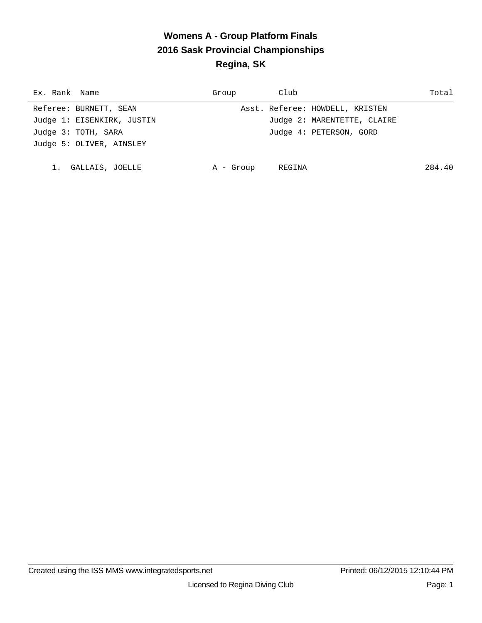# **Womens A - Group Platform Finals 2016 Sask Provincial Championships Regina, SK**

| Ex. Rank Name              | Group     | Club                            | Total  |
|----------------------------|-----------|---------------------------------|--------|
| Referee: BURNETT, SEAN     |           | Asst. Referee: HOWDELL, KRISTEN |        |
| Judge 1: EISENKIRK, JUSTIN |           | Judge 2: MARENTETTE, CLAIRE     |        |
| Judge 3: TOTH, SARA        |           | Judge 4: PETERSON, GORD         |        |
| Judge 5: OLIVER, AINSLEY   |           |                                 |        |
|                            |           |                                 |        |
| GALLAIS, JOELLE            | A - Group | REGINA                          | 284.40 |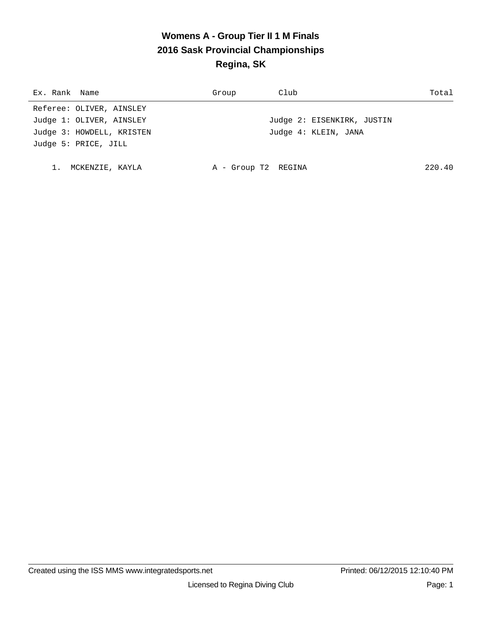# **Womens A - Group Tier II 1 M Finals 2016 Sask Provincial Championships Regina, SK**

| Ex. Rank Name             | Group               | Club                       | Total  |
|---------------------------|---------------------|----------------------------|--------|
| Referee: OLIVER, AINSLEY  |                     |                            |        |
| Judge 1: OLIVER, AINSLEY  |                     | Judge 2: EISENKIRK, JUSTIN |        |
| Judge 3: HOWDELL, KRISTEN |                     | Judge 4: KLEIN, JANA       |        |
| Judge 5: PRICE, JILL      |                     |                            |        |
|                           |                     |                            |        |
| MCKENZIE, KAYLA           | A - Group T2 REGINA |                            | 220.40 |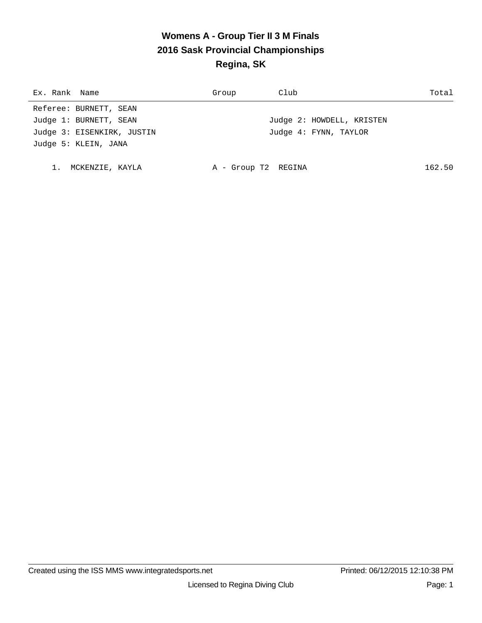# **Womens A - Group Tier II 3 M Finals 2016 Sask Provincial Championships Regina, SK**

| Ex. Rank Name              | Group               | Club                      | Total  |
|----------------------------|---------------------|---------------------------|--------|
| Referee: BURNETT, SEAN     |                     |                           |        |
| Judge 1: BURNETT, SEAN     |                     | Judge 2: HOWDELL, KRISTEN |        |
| Judge 3: EISENKIRK, JUSTIN |                     | Judge 4: FYNN, TAYLOR     |        |
| Judge 5: KLEIN, JANA       |                     |                           |        |
|                            |                     |                           |        |
| MCKENZIE, KAYLA            | A - Group T2 REGINA |                           | 162.50 |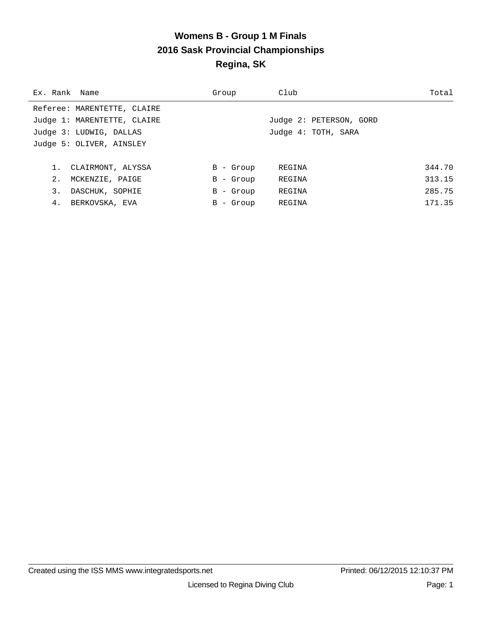#### **Womens B - Group 1 M Finals 2016 Sask Provincial Championships Regina, SK**

| Ex. Rank Name |                             | Group        | Club                    | Total  |
|---------------|-----------------------------|--------------|-------------------------|--------|
|               | Referee: MARENTETTE, CLAIRE |              |                         |        |
|               | Judge 1: MARENTETTE, CLAIRE |              | Judge 2: PETERSON, GORD |        |
|               | Judge 3: LUDWIG, DALLAS     |              | Judge 4: TOTH, SARA     |        |
|               | Judge 5: OLIVER, AINSLEY    |              |                         |        |
|               |                             |              |                         |        |
|               | 1. CLAIRMONT, ALYSSA        | $B -$ Group  | REGINA                  | 344.70 |
| 2.            | MCKENZIE, PAIGE             | $B -$ Group  | REGINA                  | 313.15 |
| 3.            | DASCHUK, SOPHIE             | $B -$ Group  | REGINA                  | 285.75 |
| 4.            | BERKOVSKA, EVA              | - Group<br>B | REGINA                  | 171.35 |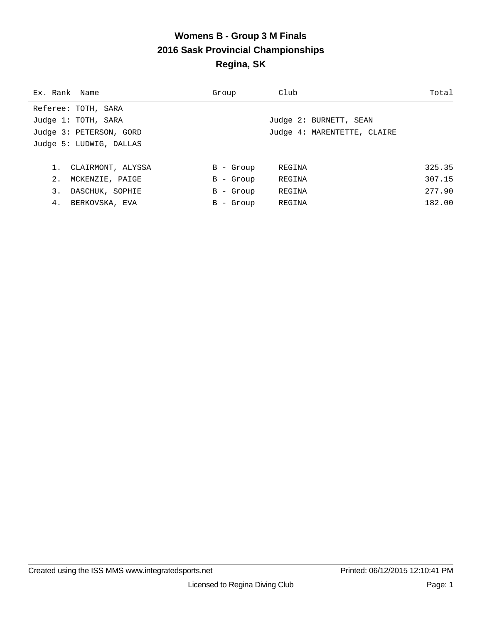#### **Womens B - Group 3 M Finals 2016 Sask Provincial Championships Regina, SK**

| Ex. Rank Name  |                         | Group        | Club                        | Total  |
|----------------|-------------------------|--------------|-----------------------------|--------|
|                | Referee: TOTH, SARA     |              |                             |        |
|                | Judge 1: TOTH, SARA     |              | Judge 2: BURNETT, SEAN      |        |
|                | Judge 3: PETERSON, GORD |              | Judge 4: MARENTETTE, CLAIRE |        |
|                | Judge 5: LUDWIG, DALLAS |              |                             |        |
|                |                         |              |                             |        |
|                | 1. CLAIRMONT, ALYSSA    | $B -$ Group  | REGINA                      | 325.35 |
| 2 <sub>1</sub> | MCKENZIE, PAIGE         | $B -$ Group  | REGINA                      | 307.15 |
| 3.             | DASCHUK, SOPHIE         | $B -$ Group  | REGINA                      | 277.90 |
| 4.             | BERKOVSKA, EVA          | - Group<br>B | REGINA                      | 182.00 |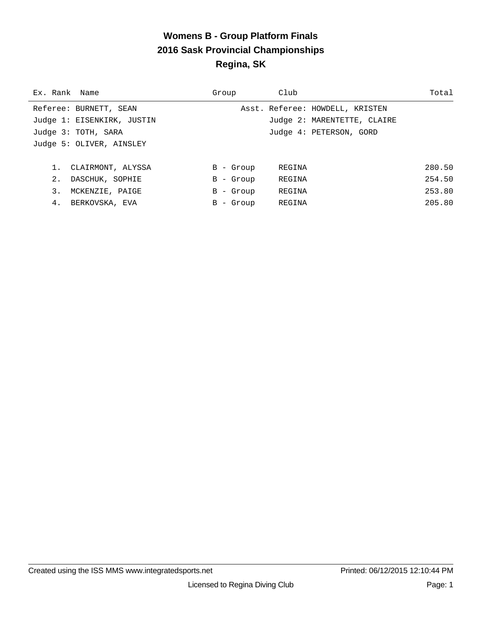#### **Womens B - Group Platform Finals 2016 Sask Provincial Championships Regina, SK**

| Ex. Rank Name              | Group       | Club                            | Total  |
|----------------------------|-------------|---------------------------------|--------|
| Referee: BURNETT, SEAN     |             | Asst. Referee: HOWDELL, KRISTEN |        |
| Judge 1: EISENKIRK, JUSTIN |             | Judge 2: MARENTETTE, CLAIRE     |        |
| Judge 3: TOTH, SARA        |             | Judge 4: PETERSON, GORD         |        |
| Judge 5: OLIVER, AINSLEY   |             |                                 |        |
|                            |             |                                 |        |
| 1. CLAIRMONT, ALYSSA       | $B -$ Group | REGINA                          | 280.50 |
| 2.<br>DASCHUK, SOPHIE      | $B -$ Group | REGINA                          | 254.50 |
| 3.<br>MCKENZIE, PAIGE      | B - Group   | REGINA                          | 253.80 |
| 4. BERKOVSKA, EVA          | B - Group   | REGINA                          | 205.80 |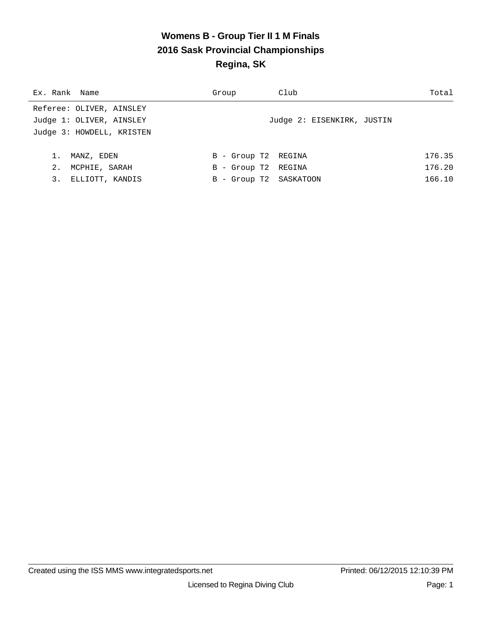#### **Womens B - Group Tier II 1 M Finals 2016 Sask Provincial Championships Regina, SK**

| Ex. Rank Name             | Group                  | Club                       | Total  |
|---------------------------|------------------------|----------------------------|--------|
| Referee: OLIVER, AINSLEY  |                        |                            |        |
| Judge 1: OLIVER, AINSLEY  |                        | Judge 2: EISENKIRK, JUSTIN |        |
| Judge 3: HOWDELL, KRISTEN |                        |                            |        |
|                           |                        |                            |        |
| 1.<br>MANZ, EDEN          | B - Group T2 REGINA    |                            | 176.35 |
| 2.<br>MCPHIE, SARAH       | B - Group T2 REGINA    |                            | 176.20 |
| 3.<br>ELLIOTT, KANDIS     | B - Group T2 SASKATOON |                            | 166.10 |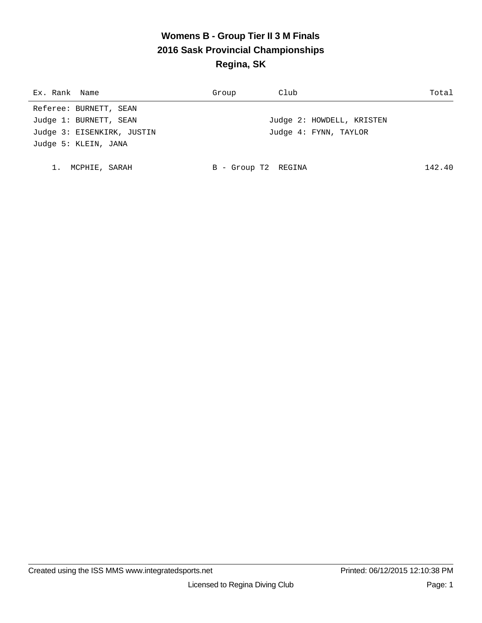# **Womens B - Group Tier II 3 M Finals 2016 Sask Provincial Championships Regina, SK**

| Ex. Rank Name              | Group               | Club                      | Total  |
|----------------------------|---------------------|---------------------------|--------|
| Referee: BURNETT, SEAN     |                     |                           |        |
| Judge 1: BURNETT, SEAN     |                     | Judge 2: HOWDELL, KRISTEN |        |
| Judge 3: EISENKIRK, JUSTIN |                     | Judge 4: FYNN, TAYLOR     |        |
| Judge 5: KLEIN, JANA       |                     |                           |        |
|                            |                     |                           |        |
| MCPHIE, SARAH              | B - Group T2 REGINA |                           | 142.40 |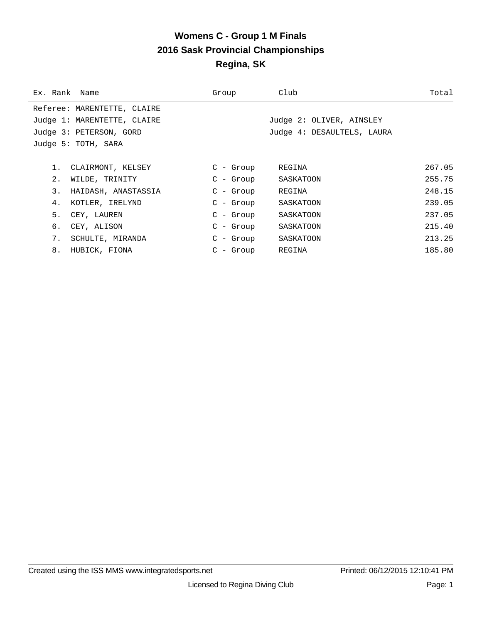#### **Womens C - Group 1 M Finals 2016 Sask Provincial Championships Regina, SK**

| Ex. Rank Name |                             | Group       | Club                       | Total  |
|---------------|-----------------------------|-------------|----------------------------|--------|
|               | Referee: MARENTETTE, CLAIRE |             |                            |        |
|               | Judge 1: MARENTETTE, CLAIRE |             | Judge 2: OLIVER, AINSLEY   |        |
|               | Judge 3: PETERSON, GORD     |             | Judge 4: DESAULTELS, LAURA |        |
|               | Judge 5: TOTH, SARA         |             |                            |        |
|               |                             |             |                            |        |
| 1.            | CLAIRMONT, KELSEY           | $C - Grow$  | REGINA                     | 267.05 |
| 2.            | WILDE, TRINITY              | C - Group   | SASKATOON                  | 255.75 |
| 3.            | HAIDASH, ANASTASSIA         | $C - Group$ | REGINA                     | 248.15 |
| 4.            | KOTLER, IRELYND             | $C$ - Group | SASKATOON                  | 239.05 |
| 5.            | CEY, LAUREN                 | $C$ - Group | SASKATOON                  | 237.05 |
| б.            | CEY, ALISON                 | $C$ - Group | SASKATOON                  | 215.40 |
| 7.            | SCHULTE, MIRANDA            | C - Group   | SASKATOON                  | 213.25 |
| 8.            | HUBICK, FIONA               | $C$ - Group | REGINA                     | 185.80 |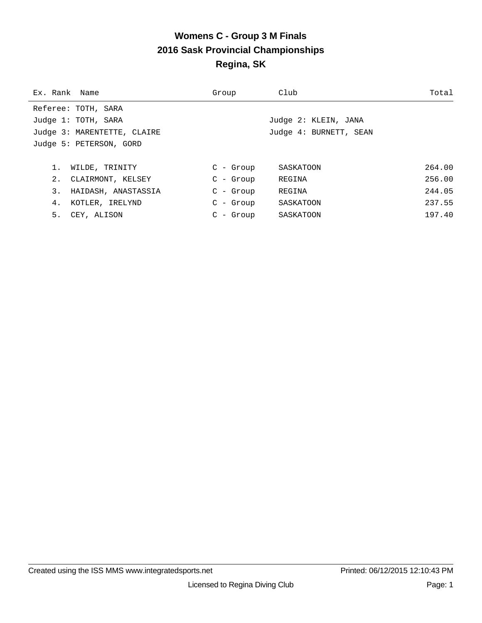## **Womens C - Group 3 M Finals 2016 Sask Provincial Championships Regina, SK**

| Ex. Rank Name               | Group       | Club                   | Total  |
|-----------------------------|-------------|------------------------|--------|
| Referee: TOTH, SARA         |             |                        |        |
| Judge 1: TOTH, SARA         |             | Judge 2: KLEIN, JANA   |        |
| Judge 3: MARENTETTE, CLAIRE |             | Judge 4: BURNETT, SEAN |        |
| Judge 5: PETERSON, GORD     |             |                        |        |
|                             |             |                        |        |
| WILDE, TRINITY              | $C - Grow$  | SASKATOON              | 264.00 |
| 2.<br>CLAIRMONT, KELSEY     | $C - Grow$  | REGINA                 | 256.00 |
| 3.<br>HAIDASH, ANASTASSIA   | $C - Grow$  | REGINA                 | 244.05 |
| 4.<br>KOTLER, IRELYND       | $C$ - Group | SASKATOON              | 237.55 |
| 5.<br>CEY, ALISON           | $C - Grow$  | SASKATOON              | 197.40 |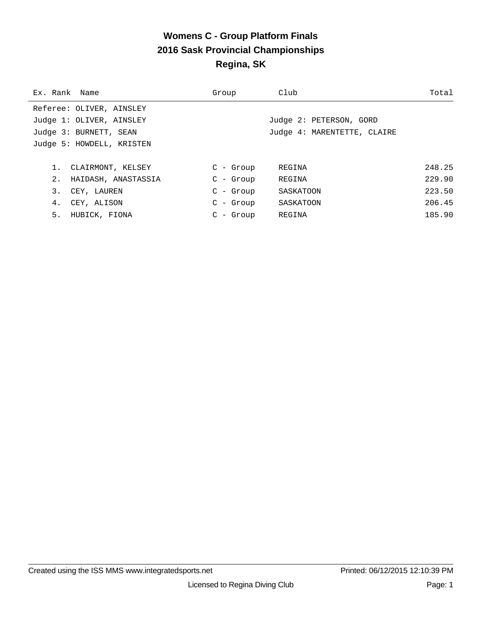## **Womens C - Group Platform Finals 2016 Sask Provincial Championships Regina, SK**

| Ex. Rank Name             | Group       | Club                        | Total  |
|---------------------------|-------------|-----------------------------|--------|
| Referee: OLIVER, AINSLEY  |             |                             |        |
| Judge 1: OLIVER, AINSLEY  |             | Judge 2: PETERSON, GORD     |        |
| Judge 3: BURNETT, SEAN    |             | Judge 4: MARENTETTE, CLAIRE |        |
| Judge 5: HOWDELL, KRISTEN |             |                             |        |
|                           |             |                             |        |
| CLAIRMONT, KELSEY         | $C - Grow$  | REGINA                      | 248.25 |
| 2.<br>HAIDASH, ANASTASSIA | $C - Grow$  | REGINA                      | 229.90 |
| 3.<br>CEY, LAUREN         | $C - Grow$  | SASKATOON                   | 223.50 |
| 4.<br>CEY, ALISON         | $C$ - Group | SASKATOON                   | 206.45 |
| 5.<br>HUBICK, FIONA       | $C - Grow$  | REGINA                      | 185.90 |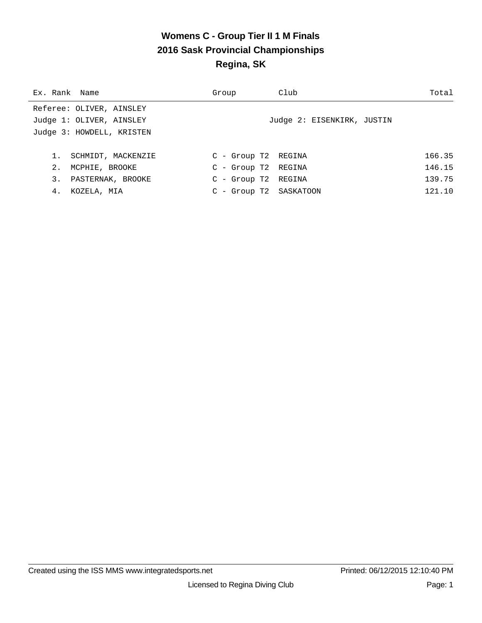#### **Womens C - Group Tier II 1 M Finals 2016 Sask Provincial Championships Regina, SK**

| Ex. Rank Name |                           | Group                 | Club                       | Total  |
|---------------|---------------------------|-----------------------|----------------------------|--------|
|               | Referee: OLIVER, AINSLEY  |                       |                            |        |
|               | Judge 1: OLIVER, AINSLEY  |                       | Judge 2: EISENKIRK, JUSTIN |        |
|               | Judge 3: HOWDELL, KRISTEN |                       |                            |        |
|               |                           |                       |                            |        |
| 1.            | SCHMIDT, MACKENZIE        | C - Group T2 REGINA   |                            | 166.35 |
| 2.            | MCPHIE, BROOKE            | $C - Group T2 REGINA$ |                            | 146.15 |
| 3.            | PASTERNAK, BROOKE         | C - Group T2 REGINA   |                            | 139.75 |
| 4.            | KOZELA, MIA               |                       | C - Group T2 SASKATOON     | 121.10 |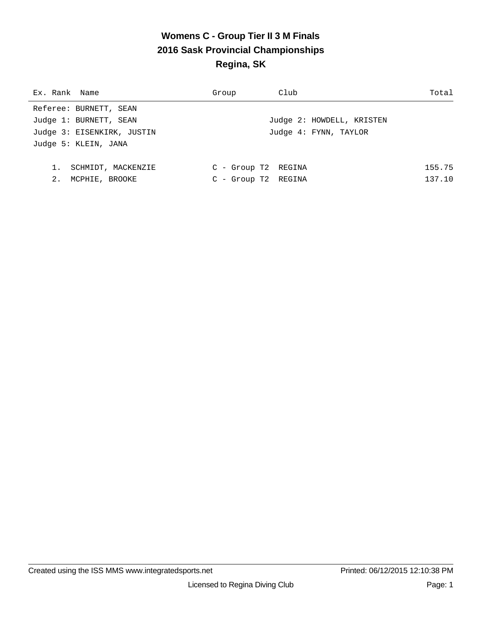## **Womens C - Group Tier II 3 M Finals 2016 Sask Provincial Championships Regina, SK**

| Ex. Rank Name              | Group                 | Club                      | Total  |
|----------------------------|-----------------------|---------------------------|--------|
| Referee: BURNETT, SEAN     |                       |                           |        |
| Judge 1: BURNETT, SEAN     |                       | Judge 2: HOWDELL, KRISTEN |        |
| Judge 3: EISENKIRK, JUSTIN |                       | Judge 4: FYNN, TAYLOR     |        |
| Judge 5: KLEIN, JANA       |                       |                           |        |
|                            |                       |                           |        |
| 1.<br>SCHMIDT, MACKENZIE   | $C - Group T2 REGINA$ |                           | 155.75 |
| 2.<br>MCPHIE, BROOKE       | $C - Group T2 REGINA$ |                           | 137.10 |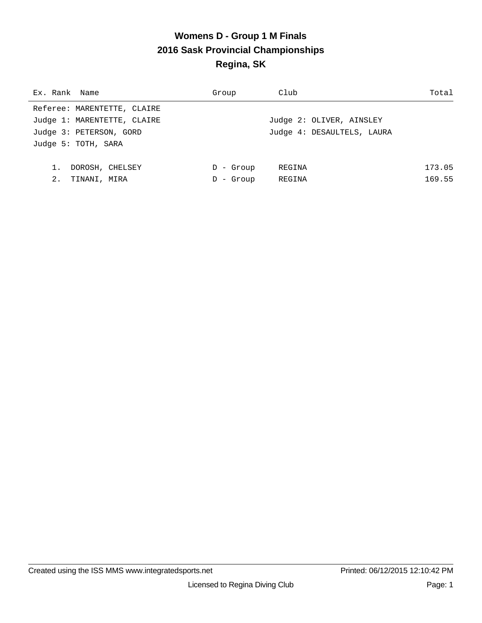# **Womens D - Group 1 M Finals 2016 Sask Provincial Championships Regina, SK**

| Ex. Rank Name               | Group        | Club                       | Total  |
|-----------------------------|--------------|----------------------------|--------|
| Referee: MARENTETTE, CLAIRE |              |                            |        |
| Judge 1: MARENTETTE, CLAIRE |              | Judge 2: OLIVER, AINSLEY   |        |
| Judge 3: PETERSON, GORD     |              | Judge 4: DESAULTELS, LAURA |        |
| Judge 5: TOTH, SARA         |              |                            |        |
|                             |              |                            |        |
| DOROSH, CHELSEY             | - Group<br>D | REGINA                     | 173.05 |
| 2.<br>TINANI, MIRA          | - Group      | REGINA                     | 169.55 |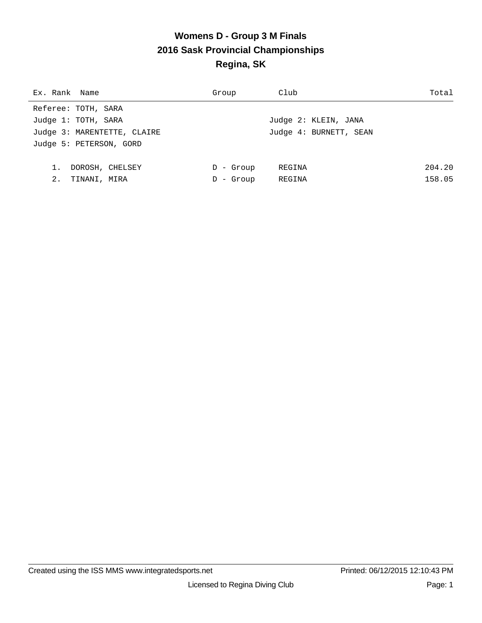## **Womens D - Group 3 M Finals 2016 Sask Provincial Championships Regina, SK**

| Ex. Rank Name               | Group        | Club                   | Total  |
|-----------------------------|--------------|------------------------|--------|
| Referee: TOTH, SARA         |              |                        |        |
| Judge 1: TOTH, SARA         |              | Judge 2: KLEIN, JANA   |        |
| Judge 3: MARENTETTE, CLAIRE |              | Judge 4: BURNETT, SEAN |        |
| Judge 5: PETERSON, GORD     |              |                        |        |
|                             |              |                        |        |
| DOROSH, CHELSEY             | $D -$ Group  | REGINA                 | 204.20 |
| 2.<br>TINANI, MIRA          | - Group<br>D | REGINA                 | 158.05 |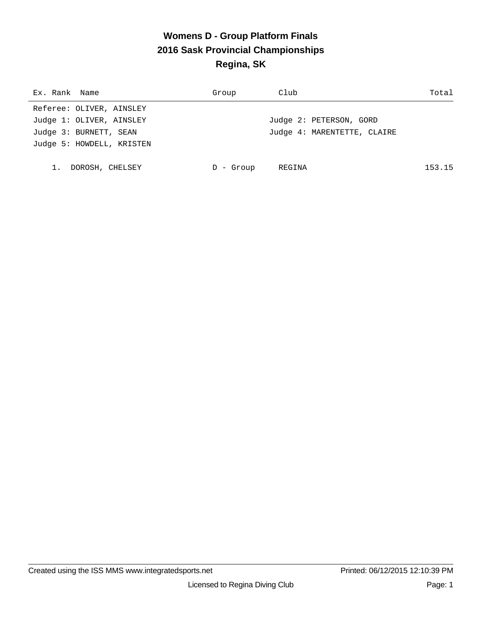# **Womens D - Group Platform Finals 2016 Sask Provincial Championships Regina, SK**

| Ex. Rank Name             | Group   | Club                        | Total  |
|---------------------------|---------|-----------------------------|--------|
| Referee: OLIVER, AINSLEY  |         |                             |        |
| Judge 1: OLIVER, AINSLEY  |         | Judge 2: PETERSON, GORD     |        |
| Judge 3: BURNETT, SEAN    |         | Judge 4: MARENTETTE, CLAIRE |        |
| Judge 5: HOWDELL, KRISTEN |         |                             |        |
|                           |         |                             |        |
| DOROSH, CHELSEY           | - Group | REGINA                      | 153.15 |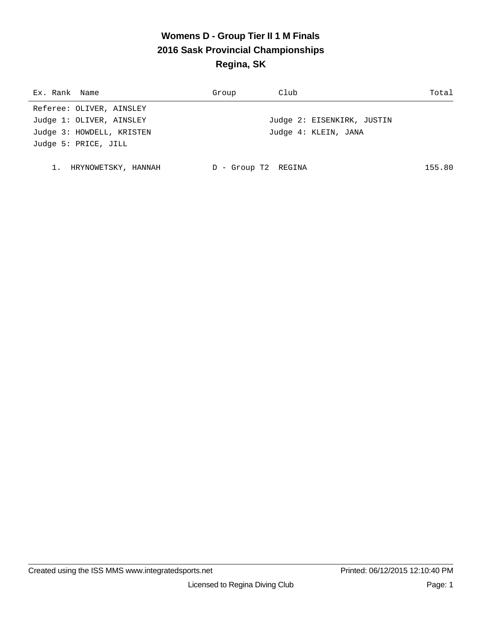# **Womens D - Group Tier II 1 M Finals 2016 Sask Provincial Championships Regina, SK**

| Ex. Rank Name             | Group             | Club                       | Total  |
|---------------------------|-------------------|----------------------------|--------|
| Referee: OLIVER, AINSLEY  |                   |                            |        |
| Judge 1: OLIVER, AINSLEY  |                   | Judge 2: EISENKIRK, JUSTIN |        |
| Judge 3: HOWDELL, KRISTEN |                   | Judge 4: KLEIN, JANA       |        |
| Judge 5: PRICE, JILL      |                   |                            |        |
|                           |                   |                            |        |
| HRYNOWETSKY, HANNAH       | - Group T2 REGINA |                            | 155.80 |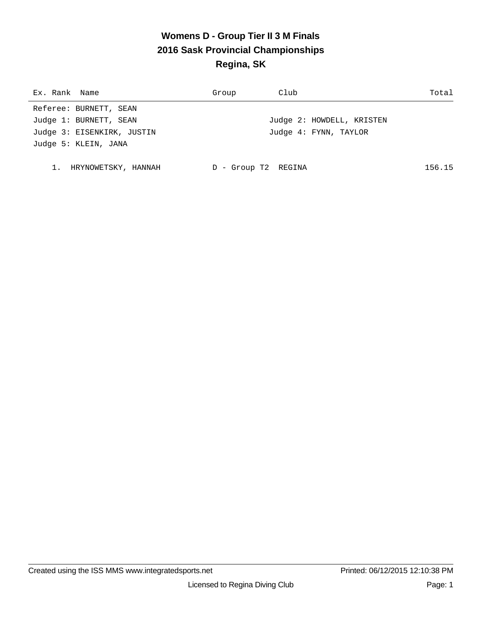# **Womens D - Group Tier II 3 M Finals 2016 Sask Provincial Championships Regina, SK**

| Ex. Rank Name              | Group             | Club                      | Total  |
|----------------------------|-------------------|---------------------------|--------|
| Referee: BURNETT, SEAN     |                   |                           |        |
| Judge 1: BURNETT, SEAN     |                   | Judge 2: HOWDELL, KRISTEN |        |
| Judge 3: EISENKIRK, JUSTIN |                   | Judge 4: FYNN, TAYLOR     |        |
| Judge 5: KLEIN, JANA       |                   |                           |        |
|                            |                   |                           |        |
| 1. HRYNOWETSKY, HANNAH     | - Group T2 REGINA |                           | 156.15 |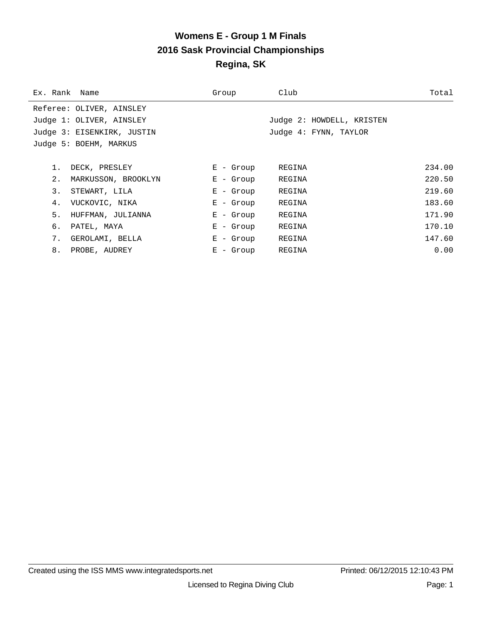## **Womens E - Group 1 M Finals 2016 Sask Provincial Championships Regina, SK**

| Ex. Rank Name |                            | Group       | Club                      | Total  |
|---------------|----------------------------|-------------|---------------------------|--------|
|               | Referee: OLIVER, AINSLEY   |             |                           |        |
|               | Judge 1: OLIVER, AINSLEY   |             | Judge 2: HOWDELL, KRISTEN |        |
|               | Judge 3: EISENKIRK, JUSTIN |             | Judge 4: FYNN, TAYLOR     |        |
|               | Judge 5: BOEHM, MARKUS     |             |                           |        |
|               |                            |             |                           |        |
| 1.            | DECK, PRESLEY              | $E -$ Group | REGINA                    | 234.00 |
| 2.            | MARKUSSON, BROOKLYN        | E - Group   | REGINA                    | 220.50 |
| 3.            | STEWART, LILA              | $E - Grow$  | REGINA                    | 219.60 |
| 4.            | VUCKOVIC, NIKA             | $E - Grow$  | REGINA                    | 183.60 |
| 5.            | HUFFMAN, JULIANNA          | $E - Grow$  | REGINA                    | 171.90 |
| б.            | PATEL, MAYA                | $E -$ Group | REGINA                    | 170.10 |
| 7.            | GEROLAMI, BELLA            | $E -$ Group | REGINA                    | 147.60 |
| 8.            | PROBE, AUDREY              | $E -$ Group | REGINA                    | 0.00   |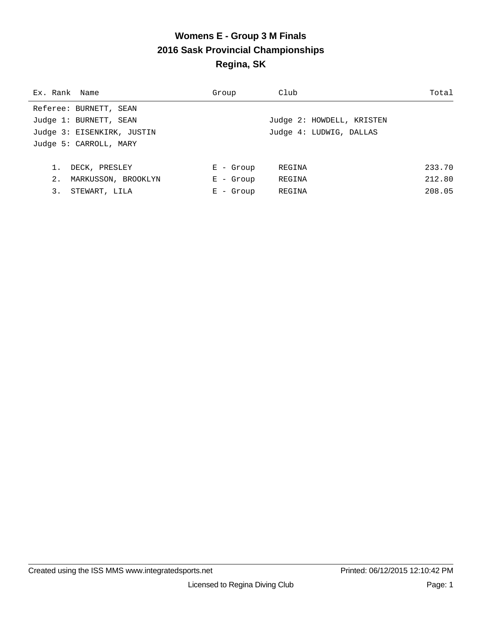# **Womens E - Group 3 M Finals 2016 Sask Provincial Championships Regina, SK**

| Ex. Rank Name |                            | Group        | Club                      | Total  |
|---------------|----------------------------|--------------|---------------------------|--------|
|               | Referee: BURNETT, SEAN     |              |                           |        |
|               | Judge 1: BURNETT, SEAN     |              | Judge 2: HOWDELL, KRISTEN |        |
|               | Judge 3: EISENKIRK, JUSTIN |              | Judge 4: LUDWIG, DALLAS   |        |
|               | Judge 5: CARROLL, MARY     |              |                           |        |
|               |                            |              |                           |        |
|               | DECK, PRESLEY              | $E -$ Group  | REGINA                    | 233.70 |
| 2.            | MARKUSSON, BROOKLYN        | $E -$ Group  | REGINA                    | 212.80 |
| 3.            | STEWART, LILA              | - Group<br>Е | REGINA                    | 208.05 |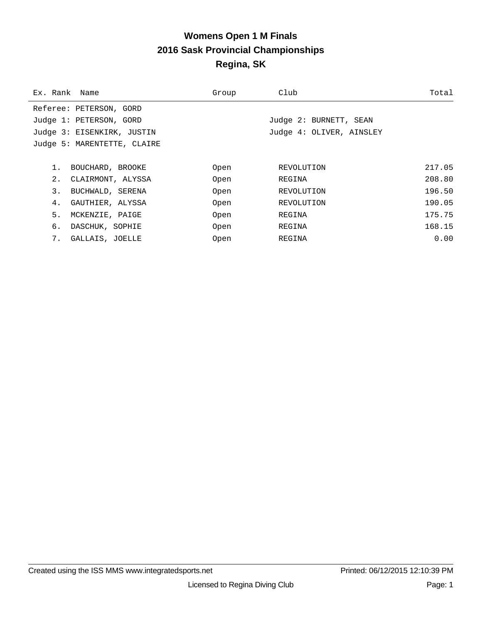# **Womens Open 1 M Finals 2016 Sask Provincial Championships Regina, SK**

| Ex. Rank Name |                             | Group | Club                     | Total  |
|---------------|-----------------------------|-------|--------------------------|--------|
|               | Referee: PETERSON, GORD     |       |                          |        |
|               | Judge 1: PETERSON, GORD     |       | Judge 2: BURNETT, SEAN   |        |
|               | Judge 3: EISENKIRK, JUSTIN  |       | Judge 4: OLIVER, AINSLEY |        |
|               | Judge 5: MARENTETTE, CLAIRE |       |                          |        |
|               |                             |       |                          |        |
| 1.            | BOUCHARD, BROOKE            | Open  | REVOLUTION               | 217.05 |
| 2.            | CLAIRMONT, ALYSSA           | Open  | REGINA                   | 208.80 |
| 3.            | BUCHWALD, SERENA            | Open  | REVOLUTION               | 196.50 |
| 4.            | GAUTHIER, ALYSSA            | Open  | REVOLUTION               | 190.05 |
| 5.            | MCKENZIE, PAIGE             | Open  | REGINA                   | 175.75 |
| б.            | DASCHUK, SOPHIE             | Open  | REGINA                   | 168.15 |
| 7.            | GALLAIS, JOELLE             | Open  | REGINA                   | 0.00   |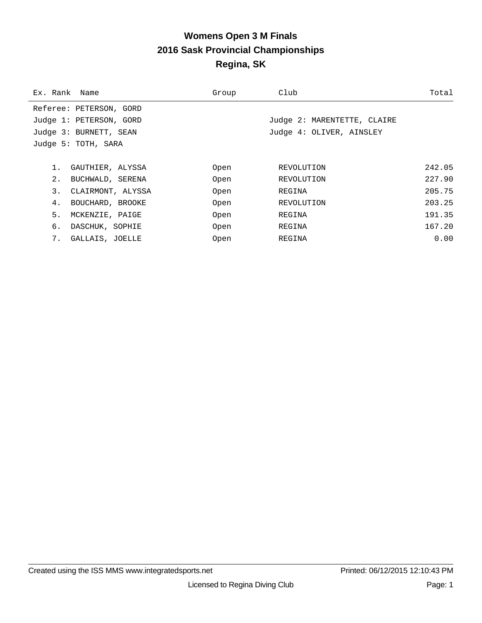# **Womens Open 3 M Finals 2016 Sask Provincial Championships Regina, SK**

|    | Ex. Rank Name           | Group | Club                        | Total  |
|----|-------------------------|-------|-----------------------------|--------|
|    | Referee: PETERSON, GORD |       |                             |        |
|    | Judge 1: PETERSON, GORD |       | Judge 2: MARENTETTE, CLAIRE |        |
|    | Judge 3: BURNETT, SEAN  |       | Judge 4: OLIVER, AINSLEY    |        |
|    | Judge 5: TOTH, SARA     |       |                             |        |
|    |                         |       |                             |        |
| 1. | GAUTHIER, ALYSSA        | Open  | REVOLUTION                  | 242.05 |
| 2. | BUCHWALD, SERENA        | Open  | REVOLUTION                  | 227.90 |
| 3. | CLAIRMONT, ALYSSA       | Open  | REGINA                      | 205.75 |
| 4. | BOUCHARD, BROOKE        | Open  | REVOLUTION                  | 203.25 |
| 5. | MCKENZIE, PAIGE         | Open  | REGINA                      | 191.35 |
| б. | DASCHUK, SOPHIE         | Open  | REGINA                      | 167.20 |
| 7. | GALLAIS, JOELLE         | Open  | REGINA                      | 0.00   |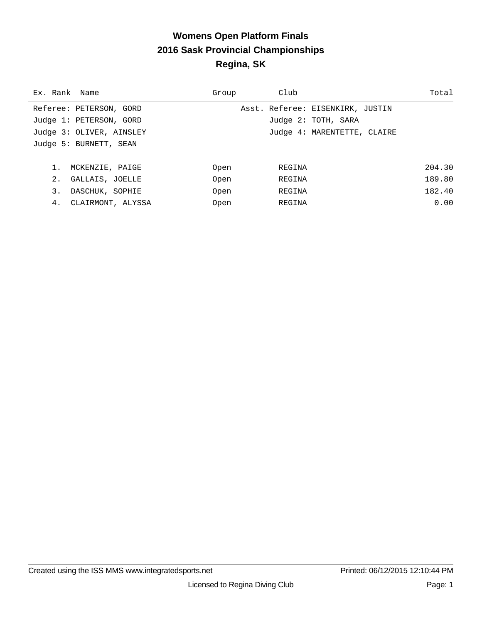### **Womens Open Platform Finals 2016 Sask Provincial Championships Regina, SK**

| Ex. Rank Name            | Group | Club                             | Total  |
|--------------------------|-------|----------------------------------|--------|
| Referee: PETERSON, GORD  |       | Asst. Referee: EISENKIRK, JUSTIN |        |
| Judge 1: PETERSON, GORD  |       | Judge 2: TOTH, SARA              |        |
| Judge 3: OLIVER, AINSLEY |       | Judge 4: MARENTETTE, CLAIRE      |        |
| Judge 5: BURNETT, SEAN   |       |                                  |        |
|                          |       |                                  |        |
| MCKENZIE, PAIGE          | Open  | REGINA                           | 204.30 |
| 2.<br>GALLAIS, JOELLE    | Open  | REGINA                           | 189.80 |
| 3.<br>DASCHUK, SOPHIE    | Open  | REGINA                           | 182.40 |
| 4.<br>CLAIRMONT, ALYSSA  | Open  | REGINA                           | 0.00   |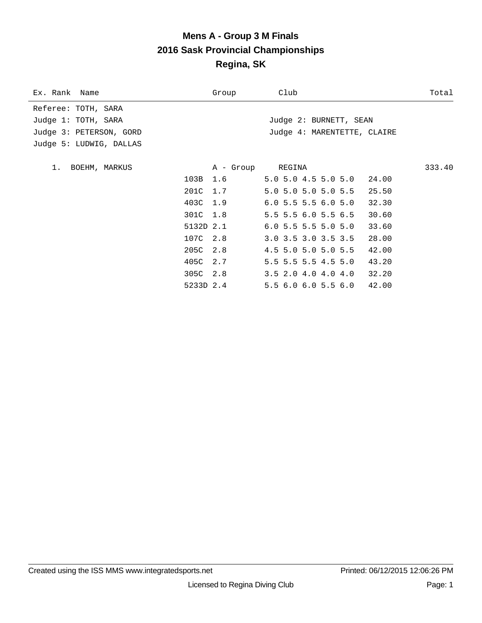### **Mens A - Group 3 M Finals 2016 Sask Provincial Championships Regina, SK**

| Ex. Rank Name           |           | Group            | Club                        | Total  |
|-------------------------|-----------|------------------|-----------------------------|--------|
| Referee: TOTH, SARA     |           |                  |                             |        |
| Judge 1: TOTH, SARA     |           |                  | Judge 2: BURNETT, SEAN      |        |
| Judge 3: PETERSON, GORD |           |                  | Judge 4: MARENTETTE, CLAIRE |        |
| Judge 5: LUDWIG, DALLAS |           |                  |                             |        |
|                         |           |                  |                             |        |
| 1. BOEHM, MARKUS        |           | A - Group REGINA |                             | 333.40 |
|                         | 103B      | 1.6              | 5.0 5.0 4.5 5.0 5.0 24.00   |        |
|                         | 201C 1.7  |                  | 5.0 5.0 5.0 5.0 5.5         | 25.50  |
|                         | 403C 1.9  |                  | 6.05.55.56.05.0             | 32.30  |
|                         | 301C 1.8  |                  | 5.5 5.5 6.0 5.5 6.5         | 30.60  |
|                         | 5132D 2.1 |                  | $6.0$ 5.5 5.5 5.0 5.0       | 33.60  |
|                         | 107C 2.8  |                  | 3.0 3.5 3.0 3.5 3.5         | 28.00  |
|                         | 205C 2.8  |                  | 4.5 5.0 5.0 5.0 5.5         | 42.00  |
|                         | 405C 2.7  |                  | $5.5$ 5.5 5.5 4.5 5.0       | 43.20  |
|                         | 305C 2.8  |                  | $3.5$ 2.0 4.0 4.0 4.0 32.20 |        |
|                         | 5233D 2.4 |                  | 5.56.06.05.56.042.00        |        |
|                         |           |                  |                             |        |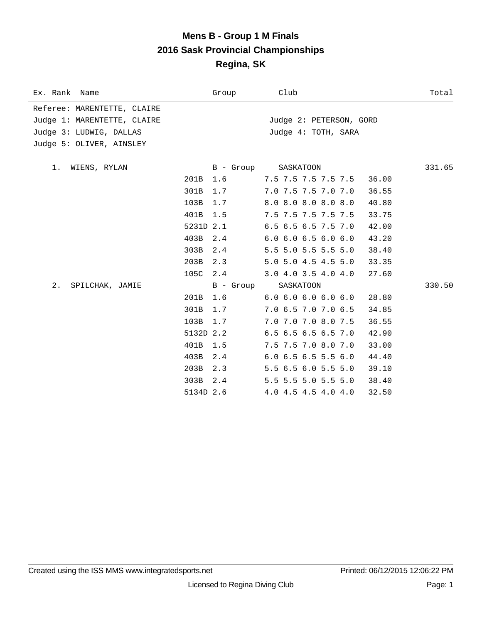### **Mens B - Group 1 M Finals 2016 Sask Provincial Championships Regina, SK**

| Ex. Rank Name               | Group            | Club                             | Total  |
|-----------------------------|------------------|----------------------------------|--------|
| Referee: MARENTETTE, CLAIRE |                  |                                  |        |
| Judge 1: MARENTETTE, CLAIRE |                  | Judge 2: PETERSON, GORD          |        |
| Judge 3: LUDWIG, DALLAS     |                  | Judge 4: TOTH, SARA              |        |
| Judge 5: OLIVER, AINSLEY    |                  |                                  |        |
|                             |                  |                                  | 331.65 |
| WIENS, RYLAN<br>1.<br>201B  | B - Group<br>1.6 | SASKATOON<br>7.5 7.5 7.5 7.5 7.5 | 36.00  |
|                             | 1.7              |                                  |        |
| 301B                        |                  | 7.0 7.5 7.5 7.0 7.0              | 36.55  |
| 103B                        | 1.7              | 8.0 8.0 8.0 8.0 8.0              | 40.80  |
| 401B                        | 1.5              | 7.5 7.5 7.5 7.5 7.5              | 33.75  |
| 5231D 2.1                   |                  | 6.5 6.5 6.5 7.5 7.0              | 42.00  |
| 403B                        | 2.4              | $6.0$ $6.0$ $6.5$ $6.0$ $6.0$    | 43.20  |
| 303B                        | 2.4              | 5.5 5.0 5.5 5.5 5.0              | 38.40  |
| 203B                        | 2.3              | 5.0 5.0 4.5 4.5 5.0              | 33.35  |
| 105C 2.4                    |                  | 3.04.03.54.04.0                  | 27.60  |
| 2.<br>SPILCHAK, JAMIE       | B - Group        | SASKATOON                        | 330.50 |
| 201B                        | 1.6              | 6.06.06.06.06.0                  | 28.80  |
| 301B                        | 1.7              | 7.0 6.5 7.0 7.0 6.5              | 34.85  |
| 103B                        | 1.7              | 7.0 7.0 7.0 8.0 7.5              | 36.55  |
| 5132D 2.2                   |                  | 6.5 6.5 6.5 6.5 7.0              | 42.90  |
| 401B                        | 1.5              | 7.5 7.5 7.0 8.0 7.0              | 33.00  |
| 403B                        | 2.4              | $6.0$ 6.5 6.5 5.5 6.0            | 44.40  |
| 203B                        | 2.3              | 5.5 6.5 6.0 5.5 5.0              | 39.10  |
| 303B                        | 2.4              | 5.5 5.5 5.0 5.5 5.0              | 38.40  |
| 5134D 2.6                   |                  | 4.0 4.5 4.5 4.0 4.0              | 32.50  |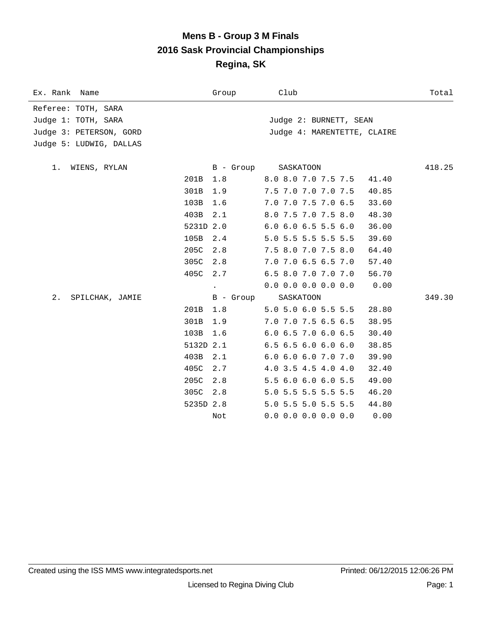### **Mens B - Group 3 M Finals 2016 Sask Provincial Championships Regina, SK**

| Ex. Rank Name           |           | Group     | Club                          | Total  |
|-------------------------|-----------|-----------|-------------------------------|--------|
| Referee: TOTH, SARA     |           |           |                               |        |
| Judge 1: TOTH, SARA     |           |           | Judge 2: BURNETT, SEAN        |        |
| Judge 3: PETERSON, GORD |           |           | Judge 4: MARENTETTE, CLAIRE   |        |
| Judge 5: LUDWIG, DALLAS |           |           |                               |        |
|                         |           |           |                               |        |
| WIENS, RYLAN<br>$1$ .   |           | B - Group | SASKATOON                     | 418.25 |
|                         | 201B      | 1.8       | 8.0 8.0 7.0 7.5 7.5           | 41.40  |
|                         | 301B      | 1.9       | 7.5 7.0 7.0 7.0 7.5           | 40.85  |
|                         | 103B      | 1.6       | 7.0 7.0 7.5 7.0 6.5           | 33.60  |
|                         | 403B      | 2.1       | 8.0 7.5 7.0 7.5 8.0           | 48.30  |
|                         | 5231D 2.0 |           | 6.0 6.0 6.5 5.5 6.0           | 36.00  |
|                         | 105B      | 2.4       | 5.0 5.5 5.5 5.5 5.5           | 39.60  |
|                         | 205C      | 2.8       | 7.5 8.0 7.0 7.5 8.0           | 64.40  |
|                         | 305C      | 2.8       | 7.0 7.0 6.5 6.5 7.0           | 57.40  |
|                         | 405C      | 2.7       | 6.5 8.0 7.0 7.0 7.0           | 56.70  |
|                         |           |           | $0.0$ 0.0 0.0 0.0 0.0         | 0.00   |
| 2.<br>SPILCHAK, JAMIE   |           | B - Group | SASKATOON                     | 349.30 |
|                         | 201B      | 1.8       | 5.0 5.0 6.0 5.5 5.5           | 28.80  |
|                         | 301B      | 1.9       | 7.0 7.0 7.5 6.5 6.5           | 38.95  |
|                         | 103B      | 1.6       | $6.0$ $6.5$ $7.0$ $6.0$ $6.5$ | 30.40  |
|                         | 5132D 2.1 |           | 6.5 6.5 6.0 6.0 6.0           | 38.85  |
|                         | 403B      | 2.1       | 6.0 6.0 6.0 7.0 7.0           | 39.90  |
|                         | 405C      | 2.7       | 4.0 3.5 4.5 4.0 4.0           | 32.40  |
|                         | 205C      | 2.8       | 5.5 6.0 6.0 6.0 5.5           | 49.00  |
|                         | 305C      | 2.8       | 5.0 5.5 5.5 5.5 5.5           | 46.20  |
|                         | 5235D 2.8 |           | 5.0 5.5 5.0 5.5 5.5           | 44.80  |
|                         |           | Not       | $0.0$ 0.0 0.0 0.0 0.0         | 0.00   |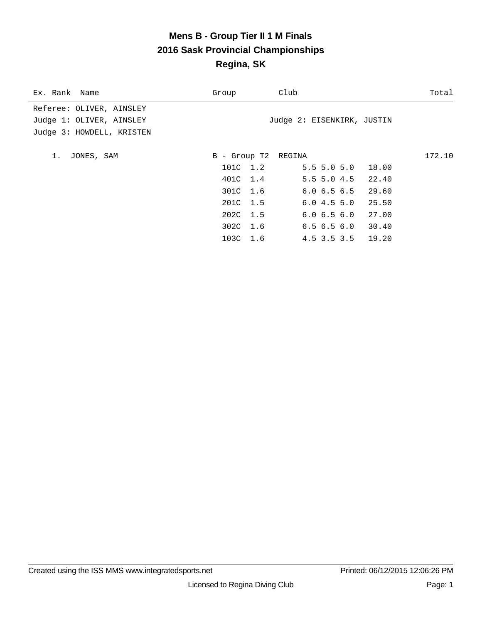# **Mens B - Group Tier II 1 M Finals 2016 Sask Provincial Championships Regina, SK**

| Ex. Rank Name             | Group               | Club                       | Total  |
|---------------------------|---------------------|----------------------------|--------|
| Referee: OLIVER, AINSLEY  |                     |                            |        |
| Judge 1: OLIVER, AINSLEY  |                     | Judge 2: EISENKIRK, JUSTIN |        |
| Judge 3: HOWDELL, KRISTEN |                     |                            |        |
|                           |                     |                            |        |
| 1.<br>JONES, SAM          | B - Group T2 REGINA |                            | 172.10 |
|                           | 101C 1.2            | $5.5$ 5.0 5.0 18.00        |        |
|                           | 401C 1.4            | $5.5$ 5.0 4.5 22.40        |        |
|                           | 301C 1.6            | $6.0$ $6.5$ $6.5$ $29.60$  |        |
|                           | 201C 1.5            | 6.04.55.0<br>25.50         |        |
|                           | 202C 1.5            | $6.0$ $6.5$ $6.0$ $27.00$  |        |
|                           | 302C 1.6            | $6.5$ $6.5$ $6.0$ $30.40$  |        |
|                           | 103C 1.6            | 4.5 3.5 3.5 19.20          |        |
|                           |                     |                            |        |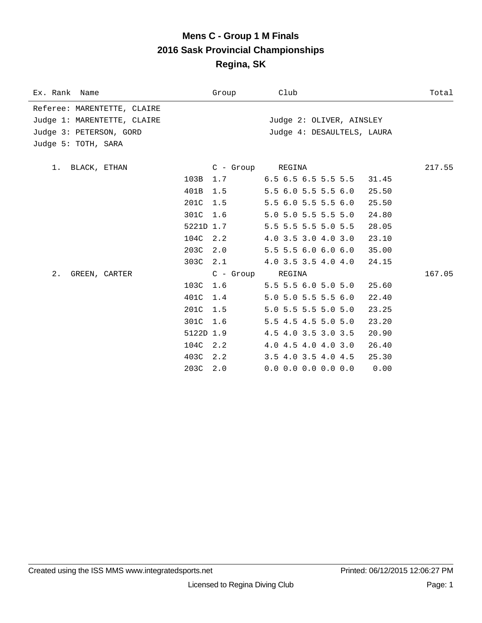### **Mens C - Group 1 M Finals 2016 Sask Provincial Championships Regina, SK**

| Ex. Rank Name               |           | Group            | Club                                   | Total  |
|-----------------------------|-----------|------------------|----------------------------------------|--------|
| Referee: MARENTETTE, CLAIRE |           |                  |                                        |        |
| Judge 1: MARENTETTE, CLAIRE |           |                  | Judge 2: OLIVER, AINSLEY               |        |
| Judge 3: PETERSON, GORD     |           |                  | Judge 4: DESAULTELS, LAURA             |        |
| Judge 5: TOTH, SARA         |           |                  |                                        |        |
| 1. BLACK, ETHAN             |           | C - Group REGINA |                                        | 217.55 |
|                             | 103B      | 1.7              | $6.5\,6.5\,6.5\,5.5\,5.5$<br>31.45     |        |
|                             | 401B      | 1.5              | $5.5$ $6.0$ $5.5$ $5.5$ $6.0$<br>25.50 |        |
|                             | 201C      | 1.5              | 5.5 6.0 5.5 5.5 6.0<br>25.50           |        |
|                             | 301C      | 1.6              | 5.0 5.0 5.5 5.5 5.0<br>24.80           |        |
|                             | 5221D 1.7 |                  | 5.5 5.5 5.5 5.0 5.5<br>28.05           |        |
|                             | 104C      | 2.2              | 4.0 3.5 3.0 4.0 3.0<br>23.10           |        |
|                             | 203C      | 2.0              | 5.5 5.5 6.0 6.0 6.0<br>35.00           |        |
|                             | 303C 2.1  |                  | 4.0 3.5 3.5 4.0 4.0<br>24.15           |        |
| 2.<br>GREEN, CARTER         |           | C - Group        | REGINA                                 | 167.05 |
|                             | 103C      | 1.6              | 5.5 5.5 6.0 5.0 5.0<br>25.60           |        |
|                             | 401C      | 1.4              | 5.0 5.0 5.5 5.5 6.0<br>22.40           |        |
|                             | 201C      | 1.5              | 5.0 5.5 5.5 5.0 5.0<br>23.25           |        |
|                             | 301C 1.6  |                  | 5.5 4.5 4.5 5.0 5.0<br>23.20           |        |
|                             | 5122D 1.9 |                  | 4.5 4.0 3.5 3.0 3.5<br>20.90           |        |
|                             | 104C 2.2  |                  | $4.0$ $4.5$ $4.0$ $4.0$ $3.0$<br>26.40 |        |
|                             | 403C 2.2  |                  | 3.5 4.0 3.5 4.0 4.5<br>25.30           |        |
|                             | 203C 2.0  |                  | $0.0$ 0.0 0.0 0.0 0.0<br>0.00          |        |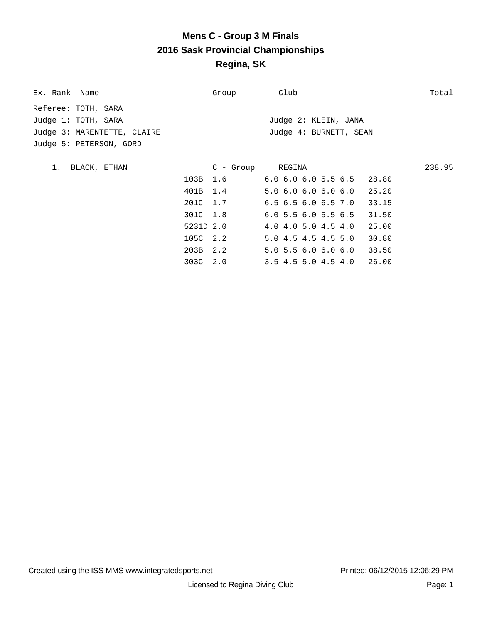# **Mens C - Group 3 M Finals 2016 Sask Provincial Championships Regina, SK**

| Ex. Rank Name               |           | Group     | Club                                   | Total  |
|-----------------------------|-----------|-----------|----------------------------------------|--------|
| Referee: TOTH, SARA         |           |           |                                        |        |
| Judge 1: TOTH, SARA         |           |           | Judge 2: KLEIN, JANA                   |        |
| Judge 3: MARENTETTE, CLAIRE |           |           | Judge 4: BURNETT, SEAN                 |        |
| Judge 5: PETERSON, GORD     |           |           |                                        |        |
|                             |           |           |                                        |        |
| 1. BLACK, ETHAN             |           | C - Group | REGINA                                 | 238.95 |
|                             | 103B 1.6  |           | $6.0$ $6.0$ $6.0$ $5.5$ $6.5$ $28.80$  |        |
|                             | 401B 1.4  |           | 5.0 6.0 6.0 6.0 6.0<br>25.20           |        |
|                             | 201C 1.7  |           | $6.5$ $6.5$ $6.0$ $6.5$ $7.0$<br>33.15 |        |
|                             | 301C 1.8  |           | 6.0 5.5 6.0 5.5 6.5<br>31.50           |        |
|                             | 5231D 2.0 |           | $4.0$ $4.0$ $5.0$ $4.5$ $4.0$<br>25.00 |        |
|                             | 105C 2.2  |           | 5.04.54.54.55.0<br>30.80               |        |
|                             | 203B 2.2  |           | $5.0$ 5.5 6.0 6.0 6.0<br>38.50         |        |
|                             | 303C 2.0  |           | 26.00<br>$3.5$ 4.5 5.0 4.5 4.0         |        |
|                             |           |           |                                        |        |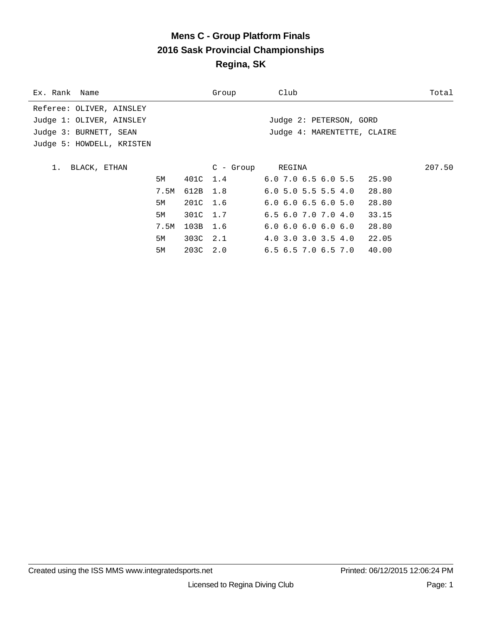# **Mens C - Group Platform Finals 2016 Sask Provincial Championships Regina, SK**

| Ex. Rank Name             |      |          | Group            | Club                                   | Total  |
|---------------------------|------|----------|------------------|----------------------------------------|--------|
| Referee: OLIVER, AINSLEY  |      |          |                  |                                        |        |
| Judge 1: OLIVER, AINSLEY  |      |          |                  | Judge 2: PETERSON, GORD                |        |
| Judge 3: BURNETT, SEAN    |      |          |                  | Judge 4: MARENTETTE, CLAIRE            |        |
| Judge 5: HOWDELL, KRISTEN |      |          |                  |                                        |        |
|                           |      |          |                  |                                        |        |
| BLACK, ETHAN<br>$1$ .     |      |          | C - Group REGINA |                                        | 207.50 |
|                           | 5M   |          | 401C 1.4         | $6.0$ 7.0 $6.5$ 6.0 5.5 25.90          |        |
|                           | 7.5M | 612B 1.8 |                  | $6.0$ 5.0 5.5 5.5 4.0<br>28.80         |        |
|                           | 5M   | 201C 1.6 |                  | $6.0$ $6.0$ $6.5$ $6.0$ $5.0$<br>28.80 |        |
|                           | 5M   | 301C 1.7 |                  | $6.5$ $6.0$ $7.0$ $7.0$ $4.0$<br>33.15 |        |
|                           | 7.5M | 103B 1.6 |                  | 6.06.06.06.06.0<br>28.80               |        |
|                           | 5M   | 303C 2.1 |                  | $4.0$ 3.0 3.0 3.5 $4.0$<br>22.05       |        |
|                           | 5M   | 203C 2.0 |                  | $6.5$ 6.5 7.0 6.5 7.0 40.00            |        |
|                           |      |          |                  |                                        |        |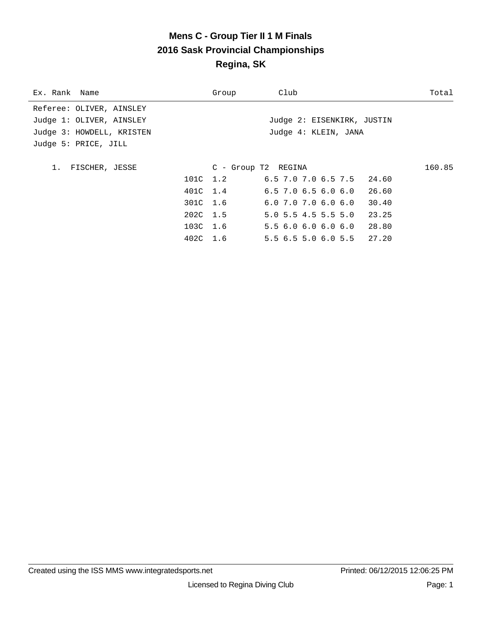# **Mens C - Group Tier II 1 M Finals 2016 Sask Provincial Championships Regina, SK**

| Ex. Rank Name             | Group    | Club                                   | Total  |
|---------------------------|----------|----------------------------------------|--------|
| Referee: OLIVER, AINSLEY  |          |                                        |        |
| Judge 1: OLIVER, AINSLEY  |          | Judge 2: EISENKIRK, JUSTIN             |        |
| Judge 3: HOWDELL, KRISTEN |          | Judge 4: KLEIN, JANA                   |        |
| Judge 5: PRICE, JILL      |          |                                        |        |
|                           |          |                                        |        |
| FISCHER, JESSE<br>1.      |          | C - Group T2 REGINA                    | 160.85 |
|                           | 101C 1.2 | $6.5$ 7.0 7.0 6.5 7.5 24.60            |        |
|                           | 401C 1.4 | $6.5$ 7.0 $6.5$ 6.0 $6.0$ 26.60        |        |
|                           | 301C 1.6 | $6.0$ $7.0$ $7.0$ $6.0$ $6.0$<br>30.40 |        |
|                           | 202C 1.5 | $5.0$ 5.5 4.5 5.5 5.0<br>23.25         |        |
|                           | 103C 1.6 | 5.5 6.0 6.0 6.0 6.0 28.80              |        |
|                           | 402C 1.6 | 5.5 6.5 5.0 6.0 5.5 27.20              |        |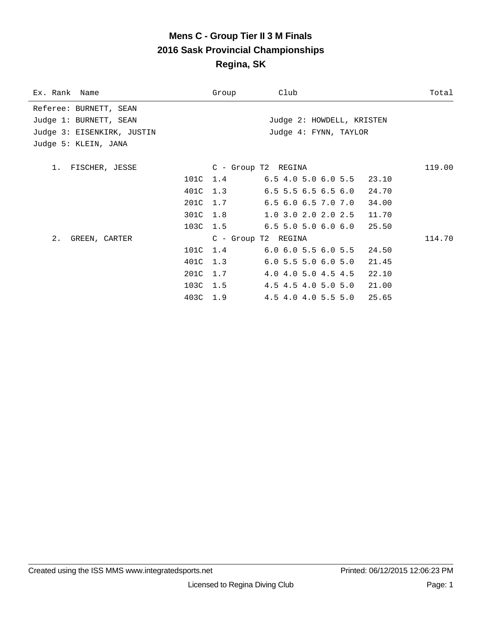# **Mens C - Group Tier II 3 M Finals 2016 Sask Provincial Championships Regina, SK**

| Ex. Rank Name              |          | Group               | Club                                  | Total  |
|----------------------------|----------|---------------------|---------------------------------------|--------|
| Referee: BURNETT, SEAN     |          |                     |                                       |        |
| Judge 1: BURNETT, SEAN     |          |                     | Judge 2: HOWDELL, KRISTEN             |        |
| Judge 3: EISENKIRK, JUSTIN |          |                     | Judge 4: FYNN, TAYLOR                 |        |
| Judge 5: KLEIN, JANA       |          |                     |                                       |        |
|                            |          |                     |                                       |        |
| 1. FISCHER, JESSE          |          | C - Group T2 REGINA |                                       | 119.00 |
|                            |          |                     | 101C 1.4 6.5 4.0 5.0 6.0 5.5 23.10    |        |
|                            |          | 401C 1.3            | $6.5$ 5.5 6.5 6.5 6.0 24.70           |        |
|                            |          | 201C 1.7            | $6.5$ $6.0$ $6.5$ $7.0$ $7.0$ $34.00$ |        |
|                            | 301C 1.8 |                     | $1.0$ 3.0 2.0 2.0 2.5 11.70           |        |
|                            |          |                     | 103C 1.5 6.5 5.0 5.0 6.0 6.0 25.50    |        |
| 2. GREEN, CARTER           |          | C - Group T2 REGINA |                                       | 114.70 |
|                            |          | 101C 1.4            | $6.0$ $6.0$ $5.5$ $6.0$ $5.5$ $24.50$ |        |
|                            |          | 401C 1.3            | $6.0$ 5.5 5.0 6.0 5.0                 | 21.45  |
|                            | 201C 1.7 |                     | 4.0 4.0 5.0 4.5 4.5 22.10             |        |
|                            | 103C 1.5 |                     | 4.5 4.5 4.0 5.0 5.0 21.00             |        |
|                            | 403C 1.9 |                     | $4.5$ $4.0$ $4.0$ $5.5$ $5.0$         | 25.65  |
|                            |          |                     |                                       |        |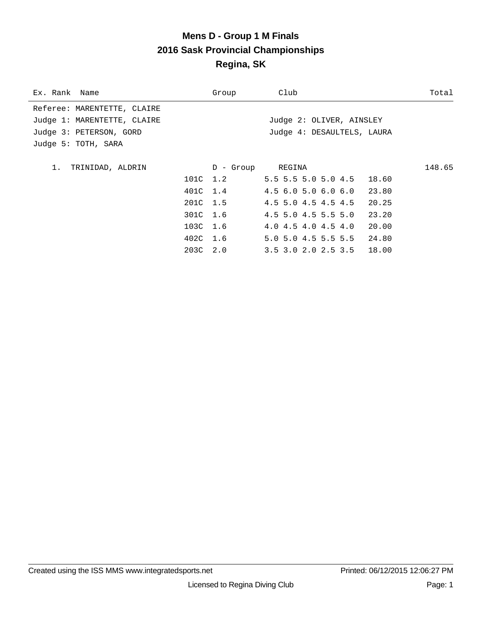# **Mens D - Group 1 M Finals 2016 Sask Provincial Championships Regina, SK**

| Ex. Rank Name               |          | Group     | Club                        | Total  |
|-----------------------------|----------|-----------|-----------------------------|--------|
| Referee: MARENTETTE, CLAIRE |          |           |                             |        |
| Judge 1: MARENTETTE, CLAIRE |          |           | Judge 2: OLIVER, AINSLEY    |        |
| Judge 3: PETERSON, GORD     |          |           | Judge 4: DESAULTELS, LAURA  |        |
| Judge 5: TOTH, SARA         |          |           |                             |        |
|                             |          |           |                             |        |
| TRINIDAD, ALDRIN<br>1.      |          | D - Group | REGINA                      | 148.65 |
|                             |          | 101C 1.2  | 5.5 5.5 5.0 5.0 4.5 18.60   |        |
|                             | 401C 1.4 |           | 4.5 6.0 5.0 6.0 6.0 23.80   |        |
|                             | 201C 1.5 |           | $4.5$ 5.0 $4.5$ $4.5$ $4.5$ | 20.25  |
|                             | 301C 1.6 |           | 4.5 5.0 4.5 5.5 5.0         | 23.20  |
|                             | 103C 1.6 |           | 4.0 4.5 4.0 4.5 4.0         | 20.00  |
|                             | 402C 1.6 |           | 5.0 5.0 4.5 5.5 5.5 24.80   |        |
|                             | 203C 2.0 |           | $3.5$ 3.0 2.0 2.5 3.5 18.00 |        |
|                             |          |           |                             |        |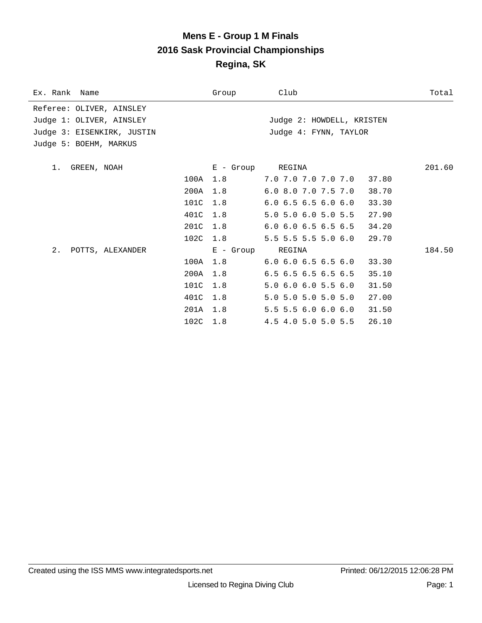### **Mens E - Group 1 M Finals 2016 Sask Provincial Championships Regina, SK**

| Ex. Rank Name              |          | Group            | Club                                   | Total  |
|----------------------------|----------|------------------|----------------------------------------|--------|
| Referee: OLIVER, AINSLEY   |          |                  |                                        |        |
| Judge 1: OLIVER, AINSLEY   |          |                  | Judge 2: HOWDELL, KRISTEN              |        |
| Judge 3: EISENKIRK, JUSTIN |          |                  | Judge 4: FYNN, TAYLOR                  |        |
| Judge 5: BOEHM, MARKUS     |          |                  |                                        |        |
| GREEN, NOAH<br>1.          |          | E - Group REGINA |                                        | 201.60 |
|                            | 100A     | 1.8              | 7.0 7.0 7.0 7.0 7.0 37.80              |        |
|                            | 200A     | 1.8              | 6.0 8.0 7.0 7.5 7.0<br>38.70           |        |
|                            | 101C     | 1.8              | $6.0$ $6.5$ $6.5$ $6.0$ $6.0$<br>33.30 |        |
|                            | 401C     | 1.8              | 5.0 5.0 6.0 5.0 5.5<br>27.90           |        |
|                            | 201C     | 1.8              | $6.0$ $6.0$ $6.5$ $6.5$ $6.5$<br>34.20 |        |
|                            | 102C 1.8 |                  | 5.5 5.5 5.5 5.0 6.0<br>29.70           |        |
| 2.<br>POTTS, ALEXANDER     |          | E - Group        | REGINA                                 | 184.50 |
|                            | 100A     | 1.8              | $6.0$ $6.0$ $6.5$ $6.5$ $6.0$<br>33.30 |        |
|                            | 200A     | 1.8              | 6.5 6.5 6.5 6.5 6.5<br>35.10           |        |
|                            | 101C     | 1.8              | 5.0 6.0 6.0 5.5 6.0<br>31.50           |        |
|                            | 401C     | 1.8              | 5.0 5.0 5.0 5.0 5.0<br>27.00           |        |
|                            | 201A     | 1.8              | 5.5 5.5 6.0 6.0 6.0<br>31.50           |        |
|                            | 102C     | 1.8              | 26.10<br>4.5 4.0 5.0 5.0 5.5           |        |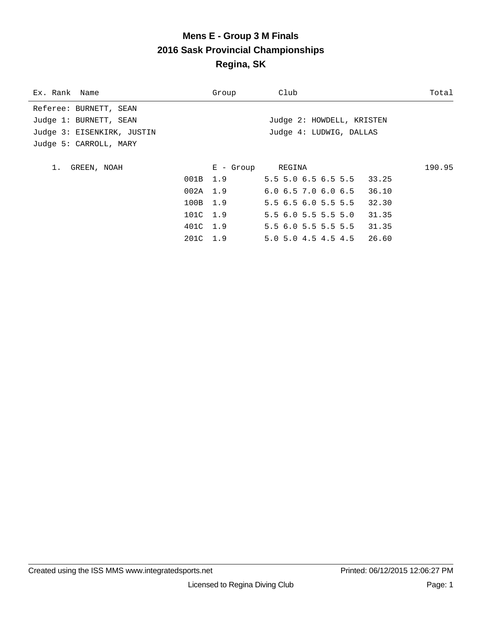# **Mens E - Group 3 M Finals 2016 Sask Provincial Championships Regina, SK**

| Group | Club                                                                   | Total            |
|-------|------------------------------------------------------------------------|------------------|
|       |                                                                        |                  |
|       | Judge 2: HOWDELL, KRISTEN                                              |                  |
|       | Judge 4: LUDWIG, DALLAS                                                |                  |
|       |                                                                        |                  |
|       |                                                                        |                  |
|       |                                                                        | 190.95           |
|       | 5.5 5.0 6.5 6.5 5.5 33.25                                              |                  |
|       | 6.06.57.06.06.536.10                                                   |                  |
|       | 5.5 6.5 6.0 5.5 5.5<br>32.30                                           |                  |
|       | 5.56.05.55.55.0<br>31.35                                               |                  |
|       | 5.5 6.0 5.5 5.5 5.5 31.35                                              |                  |
|       | 5.0 5.0 4.5 4.5 4.5 26.60                                              |                  |
|       | 001B 1.9<br>$002A$ 1.9<br>100B 1.9<br>101C 1.9<br>401C 1.9<br>201C 1.9 | E - Group REGINA |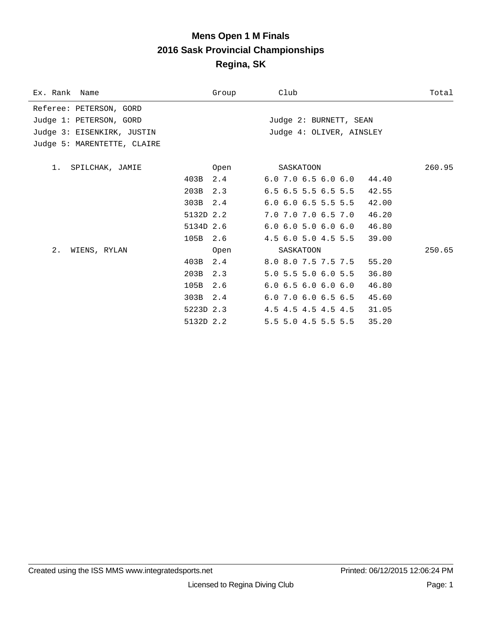### **Mens Open 1 M Finals 2016 Sask Provincial Championships Regina, SK**

| Ex. Rank Name               |           | Group | Club                          | Total  |
|-----------------------------|-----------|-------|-------------------------------|--------|
| Referee: PETERSON, GORD     |           |       |                               |        |
| Judge 1: PETERSON, GORD     |           |       | Judge 2: BURNETT, SEAN        |        |
| Judge 3: EISENKIRK, JUSTIN  |           |       | Judge 4: OLIVER, AINSLEY      |        |
| Judge 5: MARENTETTE, CLAIRE |           |       |                               |        |
|                             |           |       |                               |        |
| 1. SPILCHAK, JAMIE          |           | Open  | SASKATOON                     | 260.95 |
|                             | 403B      | 2.4   | $6.0$ 7.0 $6.5$ $6.0$ $6.0$   | 44.40  |
|                             | 203B      | 2.3   | $6.5$ $6.5$ $5.5$ $6.5$ $5.5$ | 42.55  |
|                             | 303B      | 2.4   | $6.0$ $6.0$ $6.5$ $5.5$ $5.5$ | 42.00  |
|                             | 5132D 2.2 |       | 7.0 7.0 7.0 6.5 7.0           | 46.20  |
|                             | 5134D 2.6 |       | 6.06.05.06.06.0               | 46.80  |
|                             | 105B      | 2.6   | 4.5 6.0 5.0 4.5 5.5           | 39.00  |
| 2.<br>WIENS, RYLAN          |           | Open  | SASKATOON                     | 250.65 |
|                             | 403B      | 2.4   | 8.0 8.0 7.5 7.5 7.5           | 55.20  |
|                             | 203B      | 2.3   | 5.0 5.5 5.0 6.0 5.5           | 36.80  |
|                             | 105B      | 2.6   | $6.0$ $6.5$ $6.0$ $6.0$ $6.0$ | 46.80  |
|                             | 303B      | 2.4   | 6.0 7.0 6.0 6.5 6.5           | 45.60  |
|                             | 5223D 2.3 |       | 4.5 4.5 4.5 4.5 4.5           | 31.05  |
|                             | 5132D 2.2 |       | 5.5 5.0 4.5 5.5 5.5           | 35.20  |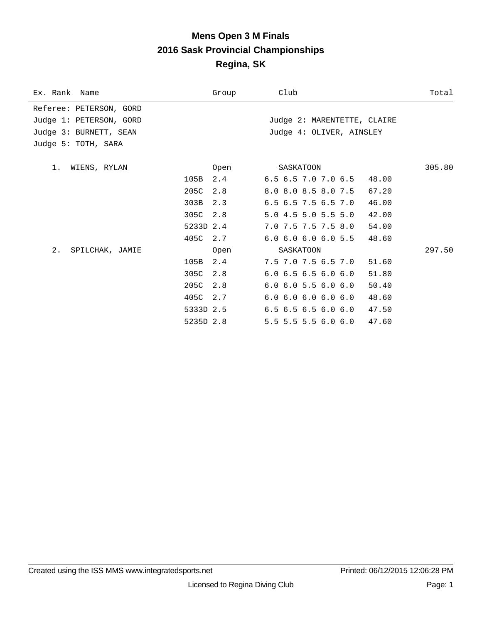### **Mens Open 3 M Finals 2016 Sask Provincial Championships Regina, SK**

| Ex. Rank Name           |           | Group | Club                          | Total  |
|-------------------------|-----------|-------|-------------------------------|--------|
| Referee: PETERSON, GORD |           |       |                               |        |
| Judge 1: PETERSON, GORD |           |       | Judge 2: MARENTETTE, CLAIRE   |        |
| Judge 3: BURNETT, SEAN  |           |       | Judge 4: OLIVER, AINSLEY      |        |
| Judge 5: TOTH, SARA     |           |       |                               |        |
| WIENS, RYLAN<br>1.      |           | Open  | SASKATOON                     | 305.80 |
|                         | 105B      | 2.4   | 6.5 6.5 7.0 7.0 6.5           | 48.00  |
|                         | 205C      |       |                               |        |
|                         |           | 2.8   | 8.0 8.0 8.5 8.0 7.5           | 67.20  |
|                         | 303B      | 2.3   | 6.5 6.5 7.5 6.5 7.0           | 46.00  |
|                         | 305C      | 2.8   | 5.04.55.05.55.0               | 42.00  |
|                         | 5233D 2.4 |       | 7.0 7.5 7.5 7.5 8.0           | 54.00  |
|                         | 405C      | 2.7   | $6.0$ $6.0$ $6.0$ $6.0$ $5.5$ | 48.60  |
| 2.<br>SPILCHAK, JAMIE   |           | Open  | SASKATOON                     | 297.50 |
|                         | 105B      | 2.4   | 7.5 7.0 7.5 6.5 7.0           | 51.60  |
|                         | 305C      | 2.8   | $6.0$ $6.5$ $6.5$ $6.0$ $6.0$ | 51.80  |
|                         | 205C      | 2.8   | $6.0$ $6.0$ $5.5$ $6.0$ $6.0$ | 50.40  |
|                         | 405C      | 2.7   | $6.0$ $6.0$ $6.0$ $6.0$ $6.0$ | 48.60  |
|                         | 5333D 2.5 |       | $6.5$ $6.5$ $6.5$ $6.0$ $6.0$ | 47.50  |
|                         | 5235D 2.8 |       | $5.5$ 5.5 5.5 6.0 6.0         | 47.60  |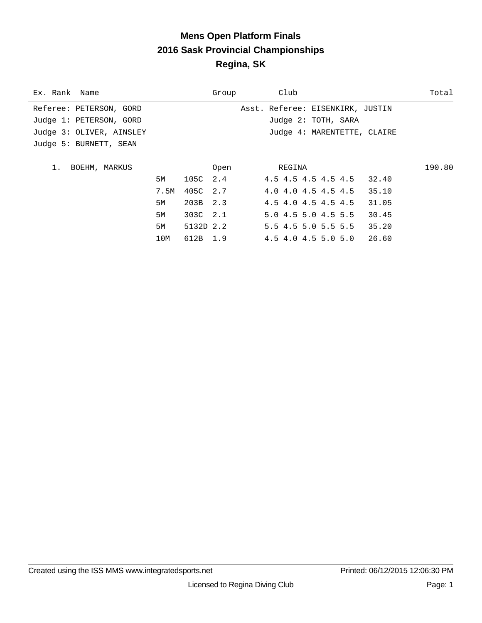### **Mens Open Platform Finals 2016 Sask Provincial Championships Regina, SK**

| Ex. Rank Name            |      |           | Group | Club                                   | Total  |
|--------------------------|------|-----------|-------|----------------------------------------|--------|
| Referee: PETERSON, GORD  |      |           |       | Asst. Referee: EISENKIRK, JUSTIN       |        |
| Judge 1: PETERSON, GORD  |      |           |       | Judge 2: TOTH, SARA                    |        |
| Judge 3: OLIVER, AINSLEY |      |           |       | Judge 4: MARENTETTE, CLAIRE            |        |
| Judge 5: BURNETT, SEAN   |      |           |       |                                        |        |
|                          |      |           |       |                                        |        |
| 1.<br>BOEHM, MARKUS      |      |           | Open  | REGINA                                 | 190.80 |
|                          | 5M   | 105C 2.4  |       | 4.5 4.5 4.5 4.5 4.5 32.40              |        |
|                          | 7.5M | 405C 2.7  |       | 4.0 4.0 4.5 4.5 4.5<br>35.10           |        |
|                          | 5M   | 203B 2.3  |       | $4.5$ $4.0$ $4.5$ $4.5$ $4.5$<br>31.05 |        |
|                          | 5M   | 303C 2.1  |       | 5.04.55.04.55.5<br>30.45               |        |
|                          | 5M   | 5132D 2.2 |       | 5.5 4.5 5.0 5.5 5.5 35.20              |        |
|                          | 10M  | 612B 1.9  |       | 4.5 4.0 4.5 5.0 5.0 26.60              |        |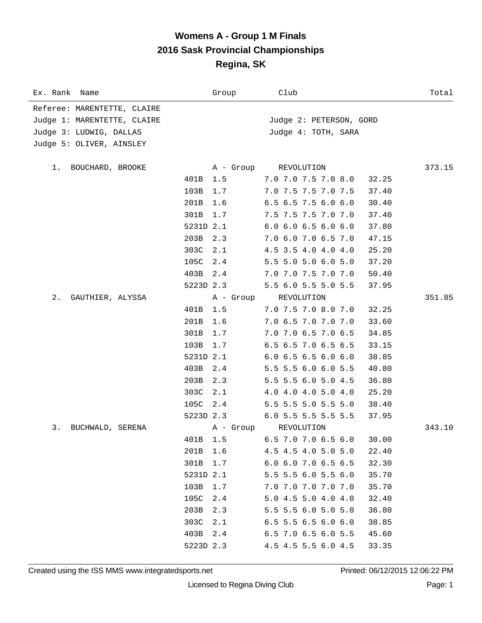### **Womens A - Group 1 M Finals 2016 Sask Provincial Championships Regina, SK**

| Ex. Rank Name               |           | Group     | Club                          | Total  |
|-----------------------------|-----------|-----------|-------------------------------|--------|
| Referee: MARENTETTE, CLAIRE |           |           |                               |        |
| Judge 1: MARENTETTE, CLAIRE |           |           | Judge 2: PETERSON, GORD       |        |
| Judge 3: LUDWIG, DALLAS     |           |           | Judge 4: TOTH, SARA           |        |
| Judge 5: OLIVER, AINSLEY    |           |           |                               |        |
|                             |           |           |                               |        |
| BOUCHARD, BROOKE<br>1. .    |           |           | A - Group REVOLUTION          | 373.15 |
|                             | 401B 1.5  |           | 7.0 7.0 7.5 7.0 8.0           | 32.25  |
|                             | 103B      | 1.7       | 7.0 7.5 7.5 7.0 7.5           | 37.40  |
|                             | 201B      | 1.6       | $6.5$ $6.5$ $7.5$ $6.0$ $6.0$ | 30.40  |
|                             | 301B      | 1.7       | 7.5 7.5 7.5 7.0 7.0           | 37.40  |
|                             | 5231D 2.1 |           | $6.0$ $6.0$ $6.5$ $6.0$ $6.0$ | 37.80  |
|                             | 203B      | 2.3       | 7.0 6.0 7.0 6.5 7.0           | 47.15  |
|                             | 303C      | 2.1       | 4.5 3.5 4.0 4.0 4.0           | 25.20  |
|                             | 105C 2.4  |           | 5.5 5.0 5.0 6.0 5.0           | 37.20  |
|                             | 403B 2.4  |           | 7.0 7.0 7.5 7.0 7.0           | 50.40  |
|                             | 5223D 2.3 |           | 5.5 6.0 5.5 5.0 5.5           | 37.95  |
| 2.<br>GAUTHIER, ALYSSA      |           | A - Group | REVOLUTION                    | 351.85 |
|                             | 401B      | 1.5       | 7.0 7.5 7.0 8.0 7.0           | 32.25  |
|                             | 201B      | 1.6       | 7.0 6.5 7.0 7.0 7.0           | 33.60  |
|                             | 301B      | 1.7       | 7.0 7.0 6.5 7.0 6.5           | 34.85  |
|                             | 103B      | 1.7       | 6.5 6.5 7.0 6.5 6.5           | 33.15  |
|                             | 5231D 2.1 |           | $6.0$ $6.5$ $6.5$ $6.0$ $6.0$ | 38.85  |
|                             | 403B      | 2.4       | 5.5 5.5 6.0 6.0 5.5           | 40.80  |
|                             | 203B      | 2.3       | 5.5 5.5 6.0 5.0 4.5           | 36.80  |
|                             | 303C      | 2.1       | 4.0 4.0 4.0 5.0 4.0           | 25.20  |
|                             | 105C 2.4  |           | 5.5 5.5 5.0 5.5 5.0           | 38.40  |
|                             | 5223D 2.3 |           | 6.0 5.5 5.5 5.5 5.5           | 37.95  |
| 3.<br>BUCHWALD, SERENA      |           | A - Group | REVOLUTION                    | 343.10 |
|                             | 401B 1.5  |           | 6.5 7.0 7.0 6.5 6.0           | 30.00  |
|                             | 201B      | 1.6       | 4.5 4.5 4.0 5.0 5.0           | 22.40  |
|                             | 301B      | 1.7       | 6.0 6.0 7.0 6.5 6.5           | 32.30  |
|                             | 5231D 2.1 |           | 5.5 5.5 6.0 5.5 6.0           | 35.70  |
|                             | 103B      | 1.7       | 7.0 7.0 7.0 7.0 7.0           | 35.70  |
|                             | 105C      | 2.4       | 5.0 4.5 5.0 4.0 4.0           | 32.40  |
|                             | 203B      | 2.3       | 5.5 5.5 6.0 5.0 5.0           | 36.80  |
|                             | 303C      | 2.1       | $6.5$ 5.5 6.5 6.0 6.0         | 38.85  |
|                             | 403B      | 2.4       | $6.5$ 7.0 6.5 6.0 5.5         | 45.60  |
|                             | 5223D 2.3 |           | 4.5 4.5 5.5 6.0 4.5           | 33.35  |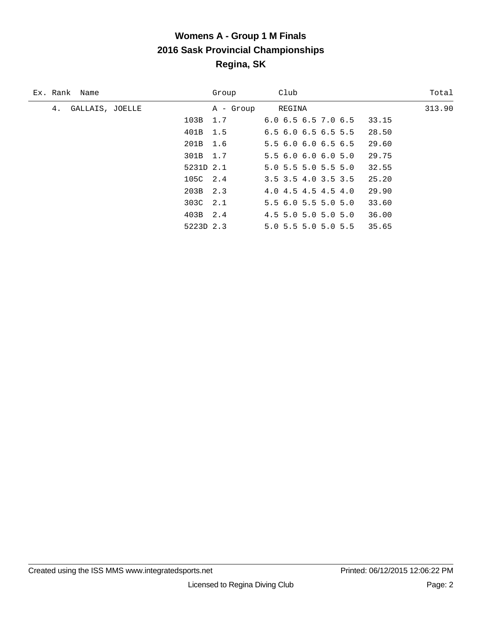# **Womens A - Group 1 M Finals 2016 Sask Provincial Championships Regina, SK**

| Ex. Rank Name         |           | Group     | Club                                   | Total  |
|-----------------------|-----------|-----------|----------------------------------------|--------|
| 4.<br>GALLAIS, JOELLE |           | A - Group | REGINA                                 | 313.90 |
|                       | 103B 1.7  |           | $6.0$ $6.5$ $6.5$ $7.0$ $6.5$<br>33.15 |        |
|                       | 401B 1.5  |           | $6.5$ $6.0$ $6.5$ $6.5$ $5.5$<br>28.50 |        |
|                       | 201B 1.6  |           | 29.60<br>5.5 6.0 6.0 6.5 6.5           |        |
|                       | 301B 1.7  |           | 5.56.06.06.05.0<br>29.75               |        |
|                       | 5231D 2.1 |           | $5.0$ 5.5 5.0 5.5 5.0<br>32.55         |        |
|                       | 105C 2.4  |           | 3.5 3.5 4.0 3.5 3.5<br>25.20           |        |
|                       | 203B 2.3  |           | 29.90<br>4.0 4.5 4.5 4.5 4.0           |        |
|                       | 303C 2.1  |           | 5.56.05.55.05.0<br>33.60               |        |
|                       | 403B 2.4  |           | $4.5$ 5.0 5.0 5.0 5.0<br>36.00         |        |
|                       | 5223D 2.3 |           | 35.65<br>5.0 5.5 5.0 5.0 5.5           |        |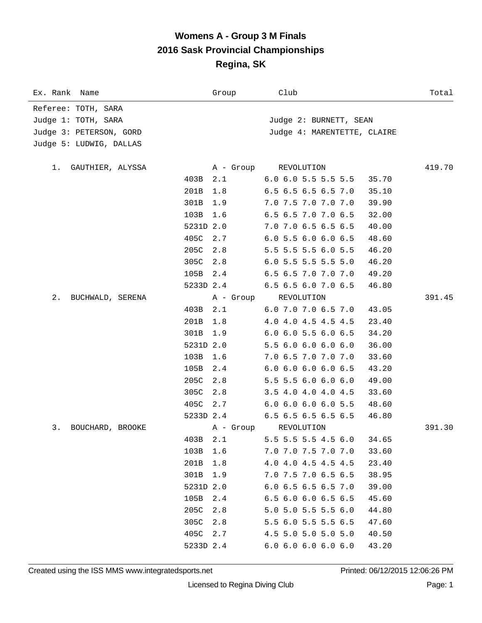#### **Womens A - Group 3 M Finals 2016 Sask Provincial Championships Regina, SK**

| Ex. Rank Name           |           | Group     | Club                          | Total  |
|-------------------------|-----------|-----------|-------------------------------|--------|
| Referee: TOTH, SARA     |           |           |                               |        |
| Judge 1: TOTH, SARA     |           |           | Judge 2: BURNETT, SEAN        |        |
| Judge 3: PETERSON, GORD |           |           | Judge 4: MARENTETTE, CLAIRE   |        |
| Judge 5: LUDWIG, DALLAS |           |           |                               |        |
|                         |           |           |                               |        |
| GAUTHIER, ALYSSA<br>1.  |           | A - Group | REVOLUTION                    | 419.70 |
|                         | 403B      | 2.1       | $6.0$ $6.0$ $5.5$ $5.5$ $5.5$ | 35.70  |
|                         | 201B      | 1.8       | 6.5 6.5 6.5 6.5 7.0           | 35.10  |
|                         | 301B      | 1.9       | 7.0 7.5 7.0 7.0 7.0           | 39.90  |
|                         | 103B      | 1.6       | 6.5 6.5 7.0 7.0 6.5           | 32.00  |
|                         | 5231D 2.0 |           | 7.0 7.0 6.5 6.5 6.5           | 40.00  |
|                         | 405C      | 2.7       | 6.0 5.5 6.0 6.0 6.5           | 48.60  |
|                         | 205C      | 2.8       | 5.5 5.5 5.5 6.0 5.5           | 46.20  |
|                         | 305C      | 2.8       | 6.0 5.5 5.5 5.5 5.0           | 46.20  |
|                         | 105B      | 2.4       | 6.5 6.5 7.0 7.0 7.0           | 49.20  |
|                         | 5233D 2.4 |           | 6.5 6.5 6.0 7.0 6.5           | 46.80  |
| 2.<br>BUCHWALD, SERENA  |           | A - Group | REVOLUTION                    | 391.45 |
|                         | 403B      | 2.1       | 6.0 7.0 7.0 6.5 7.0           | 43.05  |
|                         | 201B      | 1.8       | 4.0 4.0 4.5 4.5 4.5           | 23.40  |
|                         | 301B      | 1.9       | $6.0$ $6.0$ $5.5$ $6.0$ $6.5$ | 34.20  |
|                         | 5231D 2.0 |           | 5.5 6.0 6.0 6.0 6.0           | 36.00  |
|                         | 103B      | 1.6       | 7.0 6.5 7.0 7.0 7.0           | 33.60  |
|                         | 105B      | 2.4       | 6.06.06.06.06.5               | 43.20  |
|                         | 205C      | 2.8       | 5.5 5.5 6.0 6.0 6.0           | 49.00  |
|                         | 305C      | 2.8       | 3.5 4.0 4.0 4.0 4.5           | 33.60  |
|                         | 405C 2.7  |           | $6.0$ $6.0$ $6.0$ $6.0$ $5.5$ | 48.60  |
|                         | 5233D 2.4 |           | $6.5$ $6.5$ $6.5$ $6.5$ $6.5$ | 46.80  |
| 3.<br>BOUCHARD, BROOKE  |           | A - Group | REVOLUTION                    | 391.30 |
|                         | 403B 2.1  |           | 5.5 5.5 5.5 4.5 6.0           | 34.65  |
|                         | 103B      | 1.6       | 7.0 7.0 7.5 7.0 7.0           | 33.60  |
|                         | 201B      | 1.8       | 4.0 4.0 4.5 4.5 4.5           | 23.40  |
|                         | 301B      | 1.9       | 7.0 7.5 7.0 6.5 6.5           | 38.95  |
|                         | 5231D 2.0 |           | 6.0 6.5 6.5 6.5 7.0           | 39.00  |
|                         | 105B      | 2.4       | 6.5 6.0 6.0 6.5 6.5           | 45.60  |
|                         | 205C      | 2.8       | 5.0 5.0 5.5 5.5 6.0           | 44.80  |
|                         | 305C      | 2.8       | 5.5 6.0 5.5 5.5 6.5           | 47.60  |
|                         | 405C      | 2.7       | 4.5 5.0 5.0 5.0 5.0           | 40.50  |
|                         | 5233D 2.4 |           | 6.06.06.06.06.0               | 43.20  |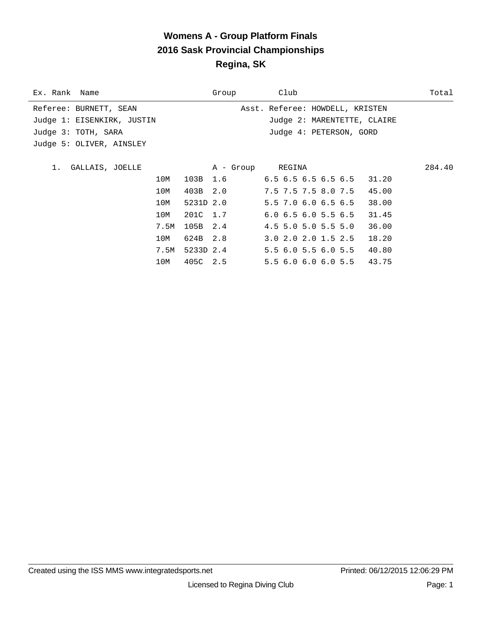# **Womens A - Group Platform Finals 2016 Sask Provincial Championships Regina, SK**

| Ex. Rank Name              |                    |      |           | Group                              | Club                            |  |                             | Total  |
|----------------------------|--------------------|------|-----------|------------------------------------|---------------------------------|--|-----------------------------|--------|
| Referee: BURNETT, SEAN     |                    |      |           |                                    | Asst. Referee: HOWDELL, KRISTEN |  |                             |        |
| Judge 1: EISENKIRK, JUSTIN |                    |      |           |                                    |                                 |  | Judge 2: MARENTETTE, CLAIRE |        |
| Judge 3: TOTH, SARA        |                    |      |           |                                    | Judge 4: PETERSON, GORD         |  |                             |        |
| Judge 5: OLIVER, AINSLEY   |                    |      |           |                                    |                                 |  |                             |        |
|                            |                    |      |           |                                    |                                 |  |                             |        |
|                            | 1. GALLAIS, JOELLE |      |           |                                    | A - Group REGINA                |  |                             | 284.40 |
|                            |                    | 10M  |           | 103B 1.6 6.5 6.5 6.5 6.5 6.5 31.20 |                                 |  |                             |        |
|                            |                    | 10M  | 403B 2.0  |                                    | 7.5 7.5 7.5 8.0 7.5 45.00       |  |                             |        |
|                            |                    | 10M  | 5231D 2.0 |                                    | 5.5 7.0 6.0 6.5 6.5             |  | 38.00                       |        |
|                            |                    | 10M  | 201C 1.7  |                                    | $6.0$ $6.5$ $6.0$ $5.5$ $6.5$   |  | 31.45                       |        |
|                            |                    | 7.5M | 105B 2.4  |                                    | $4.5$ 5.0 5.0 5.5 5.0           |  | 36.00                       |        |
|                            |                    | 10M  | 624B 2.8  |                                    | $3.0$ $2.0$ $2.0$ $1.5$ $2.5$   |  | 18.20                       |        |
|                            |                    | 7.5M | 5233D 2.4 |                                    | 5.5 6.0 5.5 6.0 5.5 40.80       |  |                             |        |
|                            |                    | 10M  | 405C 2.5  |                                    | 5.56.06.06.05.543.75            |  |                             |        |
|                            |                    |      |           |                                    |                                 |  |                             |        |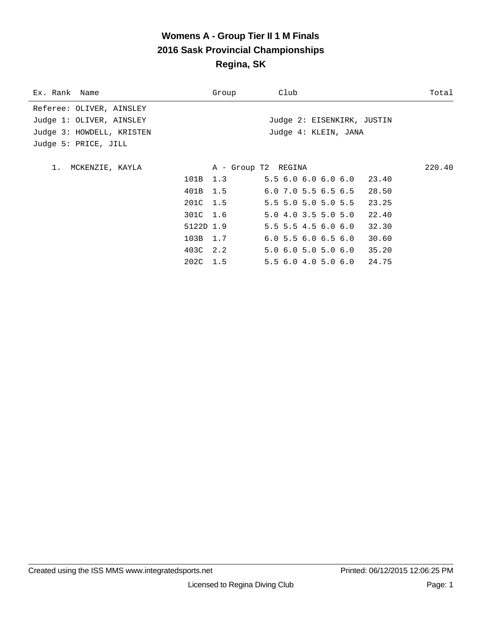# **Womens A - Group Tier II 1 M Finals 2016 Sask Provincial Championships Regina, SK**

| Ex. Rank Name             |           | Group               | Club                        | Total  |
|---------------------------|-----------|---------------------|-----------------------------|--------|
| Referee: OLIVER, AINSLEY  |           |                     |                             |        |
| Judge 1: OLIVER, AINSLEY  |           |                     | Judge 2: EISENKIRK, JUSTIN  |        |
| Judge 3: HOWDELL, KRISTEN |           |                     | Judge 4: KLEIN, JANA        |        |
| Judge 5: PRICE, JILL      |           |                     |                             |        |
|                           |           |                     |                             |        |
| 1. MCKENZIE, KAYLA        |           | A - Group T2 REGINA |                             | 220.40 |
|                           |           | 101B 1.3            | $5.56.06.06.06.0$ 23.40     |        |
|                           | 401B 1.5  |                     | $6.0$ 7.0 5.5 6.5 6.5 28.50 |        |
|                           |           | 201C 1.5            | 5.5 5.0 5.0 5.0 5.5 23.25   |        |
|                           | 301C 1.6  |                     | 5.04.03.55.05.0             | 22.40  |
|                           | 5122D 1.9 |                     | 5.5 5.5 4.5 6.0 6.0         | 32.30  |
|                           | 103B 1.7  |                     | 6.05.56.06.56.0             | 30.60  |
|                           | 403C 2.2  |                     | 5.0 6.0 5.0 5.0 6.0 35.20   |        |
|                           | 202C 1.5  |                     | 5.5 6.0 4.0 5.0 6.0 24.75   |        |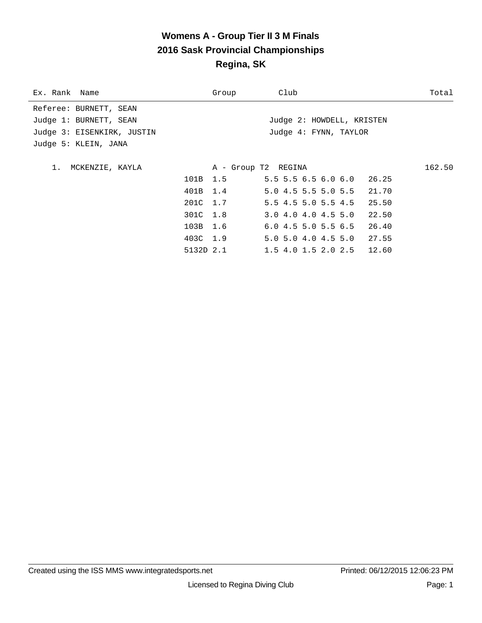# **Womens A - Group Tier II 3 M Finals 2016 Sask Provincial Championships Regina, SK**

| Ex. Rank Name              |           | Group               | Club                           | Total  |
|----------------------------|-----------|---------------------|--------------------------------|--------|
| Referee: BURNETT, SEAN     |           |                     |                                |        |
| Judge 1: BURNETT, SEAN     |           |                     | Judge 2: HOWDELL, KRISTEN      |        |
| Judge 3: EISENKIRK, JUSTIN |           |                     | Judge 4: FYNN, TAYLOR          |        |
| Judge 5: KLEIN, JANA       |           |                     |                                |        |
|                            |           |                     |                                |        |
| 1. MCKENZIE, KAYLA         |           | A - Group T2 REGINA |                                | 162.50 |
|                            | 101B 1.5  |                     | $5.5$ 5.5 6.5 6.0 6.0 26.25    |        |
|                            | 401B 1.4  |                     | 5.0 4.5 5.5 5.0 5.5 21.70      |        |
|                            | 201C 1.7  |                     | $5.5$ 4.5 5.0 5.5 4.5<br>25.50 |        |
|                            | 301C 1.8  |                     | 3.04.04.04.55.0<br>22.50       |        |
|                            | 103B 1.6  |                     | 6.04.55.05.56.5<br>26.40       |        |
|                            | 403C 1.9  |                     | 5.0 5.0 4.0 4.5 5.0 27.55      |        |
|                            | 5132D 2.1 |                     | $1.5$ 4.0 1.5 2.0 2.5 12.60    |        |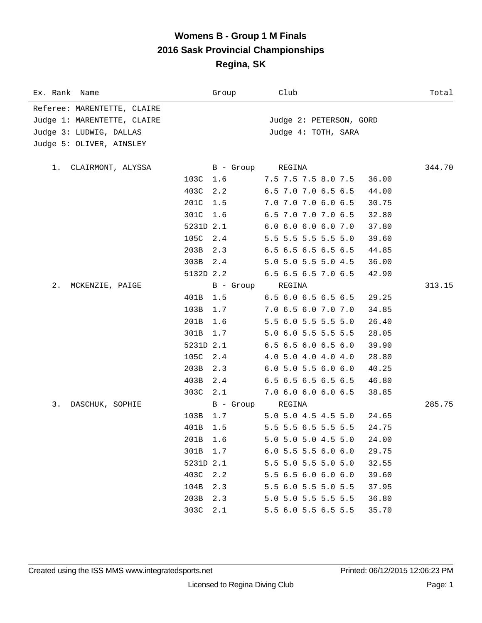#### **Womens B - Group 1 M Finals 2016 Sask Provincial Championships Regina, SK**

| Ex. Rank Name               |           | Group     | Club                                   | Total  |
|-----------------------------|-----------|-----------|----------------------------------------|--------|
| Referee: MARENTETTE, CLAIRE |           |           |                                        |        |
| Judge 1: MARENTETTE, CLAIRE |           |           | Judge 2: PETERSON, GORD                |        |
| Judge 3: LUDWIG, DALLAS     |           |           | Judge 4: TOTH, SARA                    |        |
| Judge 5: OLIVER, AINSLEY    |           |           |                                        |        |
|                             |           |           |                                        |        |
| CLAIRMONT, ALYSSA<br>1.     |           | B - Group | REGINA                                 | 344.70 |
|                             | 103C 1.6  |           | 7.5 7.5 7.5 8.0 7.5<br>36.00           |        |
|                             | 403C      | 2.2       | 6.5 7.0 7.0 6.5 6.5<br>44.00           |        |
|                             | 201C      | 1.5       | 7.0 7.0 7.0 6.0 6.5<br>30.75           |        |
|                             | 301C      | 1.6       | 6.5 7.0 7.0 7.0 6.5<br>32.80           |        |
|                             | 5231D 2.1 |           | 6.0 6.0 6.0 6.0 7.0<br>37.80           |        |
|                             | 105C      | 2.4       | 5.5 5.5 5.5 5.5 5.0<br>39.60           |        |
|                             | 203B      | 2.3       | 6.5 6.5 6.5 6.5 6.5<br>44.85           |        |
|                             | 303B 2.4  |           | 5.0 5.0 5.5 5.0 4.5<br>36.00           |        |
|                             | 5132D 2.2 |           | 6.5 6.5 6.5 7.0 6.5<br>42.90           |        |
| $2$ .<br>MCKENZIE, PAIGE    |           | B - Group | REGINA                                 | 313.15 |
|                             | 401B      | 1.5       | 6.5 6.0 6.5 6.5 6.5<br>29.25           |        |
|                             | 103B      | 1.7       | 7.0 6.5 6.0 7.0 7.0<br>34.85           |        |
|                             | 201B      | 1.6       | 5.5 6.0 5.5 5.5 5.0<br>26.40           |        |
|                             | 301B      | 1.7       | 5.0 6.0 5.5 5.5 5.5<br>28.05           |        |
|                             | 5231D 2.1 |           | $6.5$ $6.5$ $6.0$ $6.5$ $6.0$<br>39.90 |        |
|                             | 105C      | 2.4       | 4.0 5.0 4.0 4.0 4.0<br>28.80           |        |
|                             | 203B      | 2.3       | $6.0$ 5.0 5.5 6.0 6.0<br>40.25         |        |
|                             | 403B      | 2.4       | 6.5 6.5 6.5 6.5 6.5<br>46.80           |        |
|                             | 303C      | 2.1       | 7.0 6.0 6.0 6.0 6.5<br>38.85           |        |
| 3.<br>DASCHUK, SOPHIE       |           | B - Group | REGINA                                 | 285.75 |
|                             | 103B      | 1.7       | 5.0 5.0 4.5 4.5 5.0<br>24.65           |        |
|                             | 401B      | 1.5       | 5.5 5.5 6.5 5.5 5.5<br>24.75           |        |
|                             | 201B      | 1.6       | 5.0 5.0 5.0 4.5 5.0<br>24.00           |        |
|                             | 301B      | 1.7       | $6.0$ 5.5 5.5 6.0 6.0<br>29.75         |        |
|                             | 5231D 2.1 |           | 5.5 5.0 5.5 5.0 5.0<br>32.55           |        |
|                             | 403C      | 2.2       | 5.5 6.5 6.0 6.0 6.0<br>39.60           |        |
|                             | 104B      | 2.3       | 5.5 6.0 5.5 5.0 5.5<br>37.95           |        |
|                             | 203B      | 2.3       | 5.0 5.0 5.5 5.5 5.5<br>36.80           |        |
|                             | 303C      | 2.1       | 5.5 6.0 5.5 6.5 5.5<br>35.70           |        |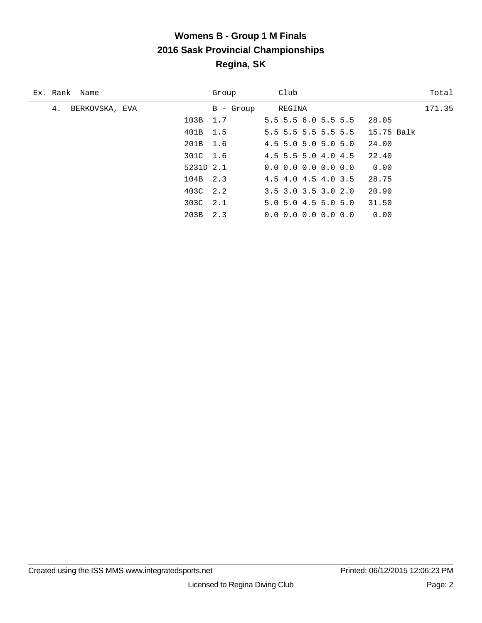# **Womens B - Group 1 M Finals 2016 Sask Provincial Championships Regina, SK**

| Ex. Rank Name        |           | Group     | Club                          | Total      |
|----------------------|-----------|-----------|-------------------------------|------------|
| 4.<br>BERKOVSKA, EVA |           | B - Group | REGINA                        | 171.35     |
|                      | 103B 1.7  |           | $5.5$ 5.5 6.0 5.5 5.5         | 28.05      |
|                      | 401B 1.5  |           | 5.5 5.5 5.5 5.5 5.5           | 15.75 Balk |
|                      | 201B 1.6  |           | 4.5 5.0 5.0 5.0 5.0           | 24.00      |
|                      | 301C 1.6  |           | 4.5 5.5 5.0 4.0 4.5           | 22.40      |
|                      | 5231D 2.1 |           | $0.0 \t0.0 \t0.0 \t0.0 \t0.0$ | 0.00       |
|                      | 104B 2.3  |           | 4.5 4.0 4.5 4.0 3.5           | 28.75      |
|                      | 403C 2.2  |           | $3.5$ $3.0$ $3.5$ $3.0$ $2.0$ | 20.90      |
|                      | 303C 2.1  |           | $5.0$ 5.0 4.5 5.0 5.0         | 31.50      |
|                      | 203B      | 2.3       | $0.0 \t0.0 \t0.0 \t0.0 \t0.0$ | 0.00       |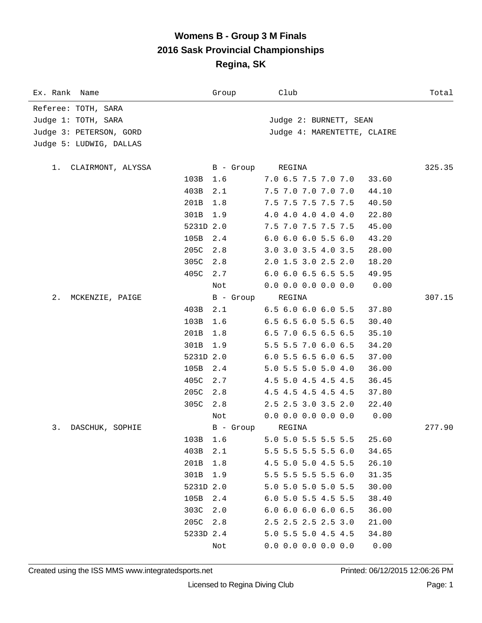#### **Womens B - Group 3 M Finals 2016 Sask Provincial Championships Regina, SK**

| Ex. Rank Name            |           | Group       | Club                          | Total  |  |
|--------------------------|-----------|-------------|-------------------------------|--------|--|
| Referee: TOTH, SARA      |           |             |                               |        |  |
| Judge 1: TOTH, SARA      |           |             | Judge 2: BURNETT, SEAN        |        |  |
| Judge 3: PETERSON, GORD  |           |             | Judge 4: MARENTETTE, CLAIRE   |        |  |
| Judge 5: LUDWIG, DALLAS  |           |             |                               |        |  |
|                          |           |             |                               |        |  |
| CLAIRMONT, ALYSSA<br>1.  |           | B - Group   | REGINA                        | 325.35 |  |
|                          | 103B      | 1.6         | 7.0 6.5 7.5 7.0 7.0           | 33.60  |  |
|                          | 403B      | 2.1         | 7.5 7.0 7.0 7.0 7.0           | 44.10  |  |
|                          | 201B      | 1.8         | 7.5 7.5 7.5 7.5 7.5           | 40.50  |  |
|                          | 301B      | 1.9         | 4.0 4.0 4.0 4.0 4.0           | 22.80  |  |
|                          | 5231D 2.0 |             | 7.5 7.0 7.5 7.5 7.5           | 45.00  |  |
|                          | 105B      | 2.4         | $6.0$ $6.0$ $6.0$ $5.5$ $6.0$ | 43.20  |  |
|                          | 205C      | 2.8         | 3.0 3.0 3.5 4.0 3.5           | 28.00  |  |
|                          | 305C      | 2.8         | 2.0 1.5 3.0 2.5 2.0           | 18.20  |  |
|                          | 405C      | 2.7         | 6.0 6.0 6.5 6.5 5.5           | 49.95  |  |
|                          |           | Not         | $0.0$ 0.0 0.0 0.0 0.0         | 0.00   |  |
| $2$ .<br>MCKENZIE, PAIGE |           | B - Group   | REGINA                        | 307.15 |  |
|                          | 403B      | 2.1         | 6.5 6.0 6.0 6.0 5.5           | 37.80  |  |
|                          | 103B      | 1.6         | 6.5 6.5 6.0 5.5 6.5           | 30.40  |  |
|                          | 201B      | 1.8         | 6.5 7.0 6.5 6.5 6.5           | 35.10  |  |
|                          | 301B      | 1.9         | 5.5 5.5 7.0 6.0 6.5           | 34.20  |  |
|                          | 5231D 2.0 |             | $6.0$ 5.5 6.5 6.0 6.5         | 37.00  |  |
|                          | 105B      | 2.4         | 5.0 5.5 5.0 5.0 4.0           | 36.00  |  |
|                          | 405C      | 2.7         | 4.5 5.0 4.5 4.5 4.5           | 36.45  |  |
|                          | 205C      | 2.8         | 4.5 4.5 4.5 4.5 4.5           | 37.80  |  |
|                          | 305C      | 2.8         | 2.5 2.5 3.0 3.5 2.0           | 22.40  |  |
|                          |           | Not         | $0.0$ 0.0 0.0 0.0 0.0         | 0.00   |  |
| 3.<br>DASCHUK, SOPHIE    |           | $B -$ Group | REGINA                        | 277.90 |  |
|                          | 103B      | 1.6         | 5.0 5.0 5.5 5.5 5.5           | 25.60  |  |
|                          | 403B      | 2.1         | 5.5 5.5 5.5 5.5 6.0           | 34.65  |  |
|                          | 201B      | 1.8         | 4.5 5.0 5.0 4.5 5.5           | 26.10  |  |
|                          | 301B      | 1.9         | 5.5 5.5 5.5 5.5 6.0           | 31.35  |  |
|                          | 5231D 2.0 |             | 5.0 5.0 5.0 5.0 5.5           | 30.00  |  |
|                          | 105B      | 2.4         | 6.0 5.0 5.5 4.5 5.5           | 38.40  |  |
|                          | 303C      | 2.0         | 6.06.06.06.06.5               | 36.00  |  |
|                          | 205C      | 2.8         | 2.5 2.5 2.5 2.5 3.0           | 21.00  |  |
|                          | 5233D 2.4 |             | 5.0 5.5 5.0 4.5 4.5           | 34.80  |  |
|                          |           | Not         | $0.0$ 0.0 0.0 0.0 0.0         | 0.00   |  |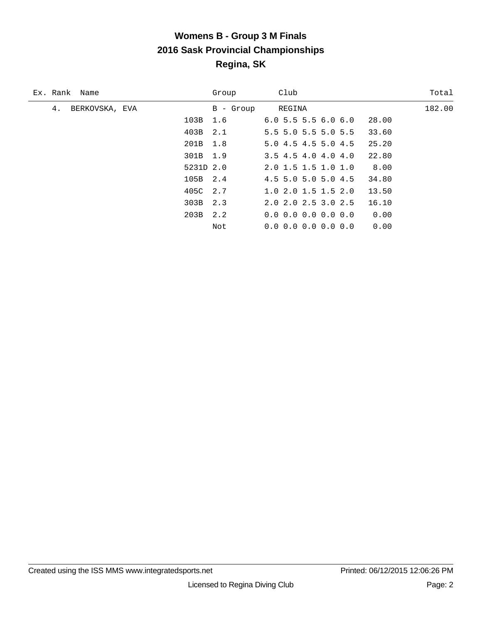### **Womens B - Group 3 M Finals 2016 Sask Provincial Championships Regina, SK**

| Ex. Rank Name        |           | Group     | Club                                        | Total  |
|----------------------|-----------|-----------|---------------------------------------------|--------|
| 4.<br>BERKOVSKA, EVA |           | B - Group | REGINA                                      | 182.00 |
|                      | 103B 1.6  |           | 6.05.55.56.06.0<br>28.00                    |        |
|                      | 403B 2.1  |           | $5.5$ 5.0 5.5 5.0 5.5<br>33.60              |        |
|                      | 201B 1.8  |           | 5.0 4.5 4.5 5.0 4.5<br>25.20                |        |
|                      | 301B 1.9  |           | 22.80<br>$3.5$ 4.5 4.0 4.0 4.0              |        |
|                      | 5231D 2.0 |           | 8.00<br>2.0 1.5 1.5 1.0 1.0                 |        |
|                      | 105B 2.4  |           | $4.5$ 5.0 5.0 5.0 4.5<br>34.80              |        |
|                      | 405C 2.7  |           | 1.02.01.51.52.0<br>13.50                    |        |
|                      | 303B 2.3  |           | $2.0$ $2.0$ $2.5$ $3.0$ $2.5$<br>16.10      |        |
|                      | 203B      | 2.2       | $0.0$ $0.0$ $0.0$ $0.0$ $0.0$ $0.0$<br>0.00 |        |
|                      |           | Not       | 0.00<br>$0.0 \t0.0 \t0.0 \t0.0 \t0.0$       |        |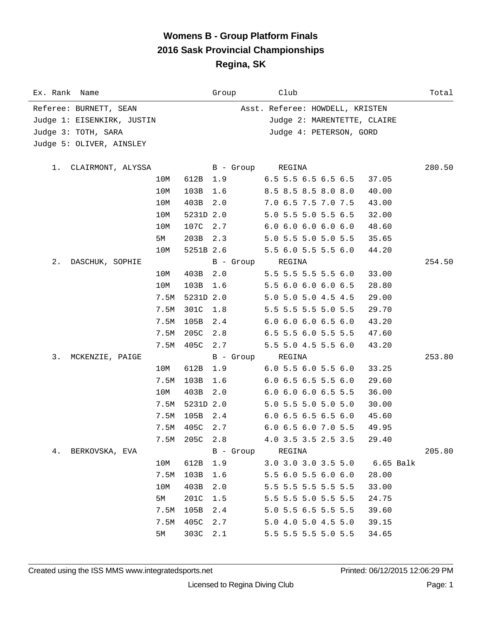### **Womens B - Group Platform Finals 2016 Sask Provincial Championships Regina, SK**

| Ex. Rank Name |                            |      |               | Group            | Club                                   | Total       |
|---------------|----------------------------|------|---------------|------------------|----------------------------------------|-------------|
|               | Referee: BURNETT, SEAN     |      |               |                  | Asst. Referee: HOWDELL, KRISTEN        |             |
|               | Judge 1: EISENKIRK, JUSTIN |      |               |                  | Judge 2: MARENTETTE, CLAIRE            |             |
|               | Judge 3: TOTH, SARA        |      |               |                  | Judge 4: PETERSON, GORD                |             |
|               | Judge 5: OLIVER, AINSLEY   |      |               |                  |                                        |             |
|               |                            |      |               |                  |                                        |             |
| 1.            | CLAIRMONT, ALYSSA          |      |               | B - Group        | REGINA                                 | 280.50      |
|               |                            | 10M  | 612B 1.9      |                  | $6.5$ 5.5 6.5 6.5 6.5<br>37.05         |             |
|               |                            | 10M  | 103B          | 1.6              | 8.5 8.5 8.5 8.0 8.0<br>40.00           |             |
|               |                            | 10M  | 403B          | 2.0              | 7.0 6.5 7.5 7.0 7.5<br>43.00           |             |
|               |                            | 10M  | 5231D 2.0     |                  | 5.0 5.5 5.0 5.5 6.5<br>32.00           |             |
|               |                            | 10M  | 107C 2.7      |                  | 6.06.06.06.06.0<br>48.60               |             |
|               |                            | 5M   | 203B 2.3      |                  | 5.0 5.5 5.0 5.0 5.5<br>35.65           |             |
|               |                            | 10M  | 5251B 2.6     |                  | 5.5 6.0 5.5 5.5 6.0<br>44.20           |             |
| 2.            | DASCHUK, SOPHIE            |      |               | B - Group        | REGINA                                 | 254.50      |
|               |                            | 10M  | 403B 2.0      |                  | 5.5 5.5 5.5 5.5 6.0<br>33.00           |             |
|               |                            | 10M  | 103B          | 1.6              | 5.5 6.0 6.0 6.0 6.5<br>28.80           |             |
|               |                            | 7.5M | 5231D 2.0     |                  | 5.0 5.0 5.0 4.5 4.5<br>29.00           |             |
|               |                            | 7.5M | 301C          | 1.8              | 5.5 5.5 5.5 5.0 5.5<br>29.70           |             |
|               |                            | 7.5M | 105B          | 2.4              | $6.0$ $6.0$ $6.0$ $6.5$ $6.0$<br>43.20 |             |
|               |                            | 7.5M | 205C          | 2.8              | 6.5 5.5 6.0 5.5 5.5<br>47.60           |             |
|               |                            | 7.5M | 405C 2.7      |                  | 5.5 5.0 4.5 5.5 6.0<br>43.20           |             |
| 3.            | MCKENZIE, PAIGE            |      |               | B - Group        | REGINA                                 | 253.80      |
|               |                            | 10M  | 612B          | 1.9              | $6.0$ 5.5 $6.0$ 5.5 $6.0$<br>33.25     |             |
|               |                            | 7.5M | 103B          | 1.6              | $6.0$ 6.5 6.5 5.5 6.0<br>29.60         |             |
|               |                            | 10M  | 403B          | 2.0              | $6.0$ $6.0$ $6.0$ $6.5$ $5.5$<br>36.00 |             |
|               |                            | 7.5M | 5231D 2.0     |                  | 5.0 5.5 5.0 5.0 5.0<br>30.00           |             |
|               |                            | 7.5M | 105B 2.4      |                  | $6.0$ 6.5 6.5 6.5 6.0<br>45.60         |             |
|               |                            |      | 7.5M 405C 2.7 |                  | 6.0 6.5 6.0 7.0 5.5<br>49.95           |             |
|               |                            |      | 7.5M 205C 2.8 |                  | 4.0 3.5 3.5 2.5 3.5<br>29.40           |             |
|               | 4. BERKOVSKA, EVA          |      |               | B - Group REGINA |                                        | 205.80      |
|               |                            | 10M  | 612B          | 1.9              | 3.0 3.0 3.0 3.5 5.0                    | $6.65$ Balk |
|               |                            | 7.5M | 103B          | 1.6              | 5.5 6.0 5.5 6.0 6.0<br>28.00           |             |
|               |                            | 10M  | 403B          | 2.0              | 5.5 5.5 5.5 5.5 5.5<br>33.00           |             |
|               |                            | 5M   | 201C          | 1.5              | 5.5 5.5 5.0 5.5 5.5<br>24.75           |             |
|               |                            | 7.5M | 105B          | 2.4              | 5.0 5.5 6.5 5.5 5.5<br>39.60           |             |
|               |                            | 7.5M | 405C          | 2.7              | 5.0 4.0 5.0 4.5 5.0<br>39.15           |             |
|               |                            | 5M   | 303C          | 2.1              | 5.5 5.5 5.5 5.0 5.5<br>34.65           |             |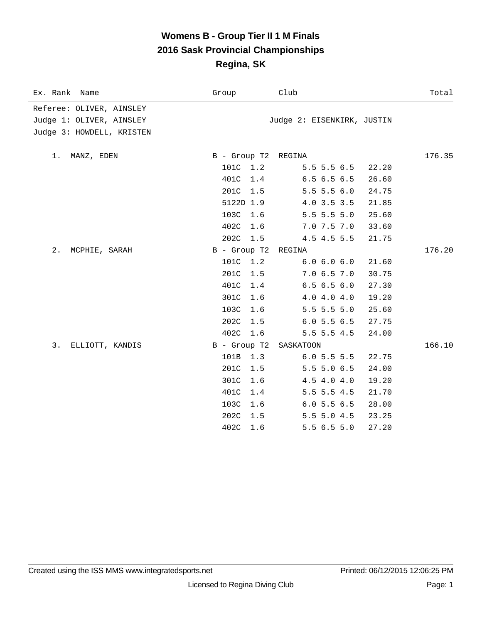### **Womens B - Group Tier II 1 M Finals 2016 Sask Provincial Championships Regina, SK**

| Ex. Rank Name             | Group               | Club                       | Total  |
|---------------------------|---------------------|----------------------------|--------|
| Referee: OLIVER, AINSLEY  |                     |                            |        |
| Judge 1: OLIVER, AINSLEY  |                     | Judge 2: EISENKIRK, JUSTIN |        |
| Judge 3: HOWDELL, KRISTEN |                     |                            |        |
|                           |                     |                            |        |
| 1.<br>MANZ, EDEN          | B - Group T2 REGINA |                            | 176.35 |
|                           | 101C 1.2            | $5.5\,5.5\,6.5$            | 22.20  |
|                           | 401C<br>1.4         | 6.56.56.5                  | 26.60  |
|                           | 201C<br>1.5         | $5.5$ 5.5 6.0              | 24.75  |
|                           | 5122D 1.9           | 4.0 3.5 3.5                | 21.85  |
|                           | 103C<br>1.6         | $5.5$ 5.5 5.0              | 25.60  |
|                           | 402C<br>1.6         | 7.0 7.5 7.0                | 33.60  |
|                           | 202C<br>1.5         | 4.5 4.5 5.5                | 21.75  |
| $2$ .<br>MCPHIE, SARAH    | B - Group T2        | REGINA                     | 176.20 |
|                           | 101C<br>1.2         | 6.0 6.0 6.0                | 21.60  |
|                           | 201C<br>1.5         | 7.06.57.0                  | 30.75  |
|                           | 401C<br>1.4         | 6.56.56.0                  | 27.30  |
|                           | 301C<br>1.6         | 4.04.04.0                  | 19.20  |
|                           | 103C<br>1.6         | $5.5$ 5.5 5.0              | 25.60  |
|                           | 202C<br>1.5         | 6.05.56.5                  | 27.75  |
|                           | 402C<br>1.6         | $5.5$ 5.5 4.5              | 24.00  |
| 3.<br>ELLIOTT, KANDIS     | B - Group T2        | SASKATOON                  | 166.10 |
|                           | 101B<br>1.3         | 6.05.55.5                  | 22.75  |
|                           | 201C<br>1.5         | 5.5 5.0 6.5                | 24.00  |
|                           | 301C<br>1.6         | 4.5 4.0 4.0                | 19.20  |
|                           | 401C<br>1.4         | $5.5$ 5.5 4.5              | 21.70  |
|                           | 103C<br>1.6         | 6.05.56.5                  | 28.00  |
|                           | 202C<br>1.5         | $5.5$ 5.0 4.5              | 23.25  |
|                           | 402C<br>1.6         | 5.56.55.0                  | 27.20  |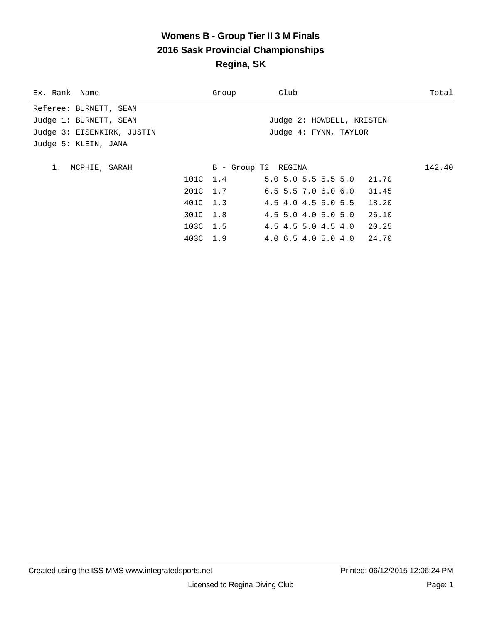# **Womens B - Group Tier II 3 M Finals 2016 Sask Provincial Championships Regina, SK**

| Ex. Rank Name              | Group    | Club                        | Total  |
|----------------------------|----------|-----------------------------|--------|
| Referee: BURNETT, SEAN     |          |                             |        |
| Judge 1: BURNETT, SEAN     |          | Judge 2: HOWDELL, KRISTEN   |        |
| Judge 3: EISENKIRK, JUSTIN |          | Judge 4: FYNN, TAYLOR       |        |
| Judge 5: KLEIN, JANA       |          |                             |        |
|                            |          |                             |        |
| 1. MCPHIE, SARAH           |          | B - Group T2 REGINA         | 142.40 |
|                            | 101C 1.4 | $5.0$ 5.0 5.5 5.5 5.0 21.70 |        |
|                            | 201C 1.7 | $6.5$ 5.5 7.0 6.0 6.0 31.45 |        |
|                            | 401C 1.3 | 4.5 4.0 4.5 5.0 5.5 18.20   |        |
|                            | 301C 1.8 | 4.5 5.0 4.0 5.0 5.0         | 26.10  |
|                            | 103C 1.5 | 4.5 4.5 5.0 4.5 4.0 20.25   |        |
|                            | 403C 1.9 | 4.0 6.5 4.0 5.0 4.0 24.70   |        |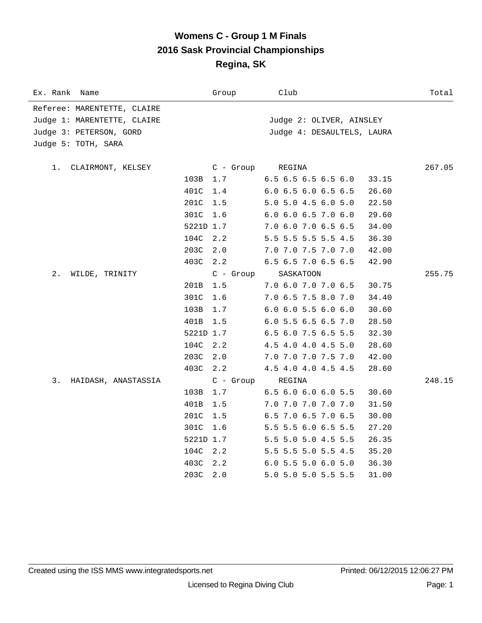### **Womens C - Group 1 M Finals 2016 Sask Provincial Championships Regina, SK**

| Ex. Rank<br>Name            |           | Group       | Club                                   | Total  |
|-----------------------------|-----------|-------------|----------------------------------------|--------|
| Referee: MARENTETTE, CLAIRE |           |             |                                        |        |
| Judge 1: MARENTETTE, CLAIRE |           |             | Judge 2: OLIVER, AINSLEY               |        |
| Judge 3: PETERSON, GORD     |           |             | Judge 4: DESAULTELS, LAURA             |        |
| Judge 5: TOTH, SARA         |           |             |                                        |        |
|                             |           |             |                                        |        |
| CLAIRMONT, KELSEY<br>1.     |           | $C -$ Group | REGINA                                 | 267.05 |
|                             | 103B      | 1.7         | $6.5$ $6.5$ $6.5$ $6.5$ $6.0$<br>33.15 |        |
|                             | 401C      | 1.4         | $6.0$ 6.5 6.0 6.5 6.5<br>26.60         |        |
|                             | 201C      | 1.5         | 5.0 5.0 4.5 6.0 5.0<br>22.50           |        |
|                             | 301C      | 1.6         | 6.0 6.0 6.5 7.0 6.0<br>29.60           |        |
|                             | 5221D 1.7 |             | 7.0 6.0 7.0 6.5 6.5<br>34.00           |        |
|                             | 104C      | 2.2         | 5.5 5.5 5.5 5.5 4.5<br>36.30           |        |
|                             | 203C      | 2.0         | 7.0 7.0 7.5 7.0 7.0<br>42.00           |        |
|                             | 403C      | 2.2         | 6.5 6.5 7.0 6.5 6.5<br>42.90           |        |
| 2.<br>WILDE, TRINITY        |           | $C - Group$ | SASKATOON                              | 255.75 |
|                             | 201B      | 1.5         | 7.0 6.0 7.0 7.0 6.5<br>30.75           |        |
|                             | 301C      | 1.6         | 7.0 6.5 7.5 8.0 7.0<br>34.40           |        |
|                             | 103B      | 1.7         | $6.0$ $6.0$ $5.5$ $6.0$ $6.0$<br>30.60 |        |
|                             | 401B      | 1.5         | 6.0 5.5 6.5 6.5 7.0<br>28.50           |        |
|                             | 5221D 1.7 |             | 6.5 6.0 7.5 6.5 5.5<br>32.30           |        |
|                             | 104C      | 2.2         | 4.5 4.0 4.0 4.5 5.0<br>28.60           |        |
|                             | 203C      | 2.0         | 7.0 7.0 7.0 7.5 7.0<br>42.00           |        |
|                             | 403C      | 2.2         | 4.5 4.0 4.0 4.5 4.5<br>28.60           |        |
| 3.<br>HAIDASH, ANASTASSIA   |           | $C - Group$ | REGINA                                 | 248.15 |
|                             | 103B      | 1.7         | $6.5$ $6.0$ $6.0$ $6.0$ $5.5$<br>30.60 |        |
|                             | 401B      | 1.5         | 7.0 7.0 7.0 7.0 7.0<br>31.50           |        |
|                             | 201C      | 1.5         | 6.5 7.0 6.5 7.0 6.5<br>30.00           |        |
|                             | 301C      | 1.6         | 5.5 5.5 6.0 6.5 5.5<br>27.20           |        |
|                             | 5221D 1.7 |             | 5.5 5.0 5.0 4.5 5.5<br>26.35           |        |
|                             | 104C      | 2.2         | 5.5 5.5 5.0 5.5 4.5<br>35.20           |        |
|                             | 403C      | 2.2         | 6.0 5.5 5.0 6.0 5.0<br>36.30           |        |
|                             | 203C      | 2.0         | 5.0 5.0 5.0 5.5 5.5<br>31.00           |        |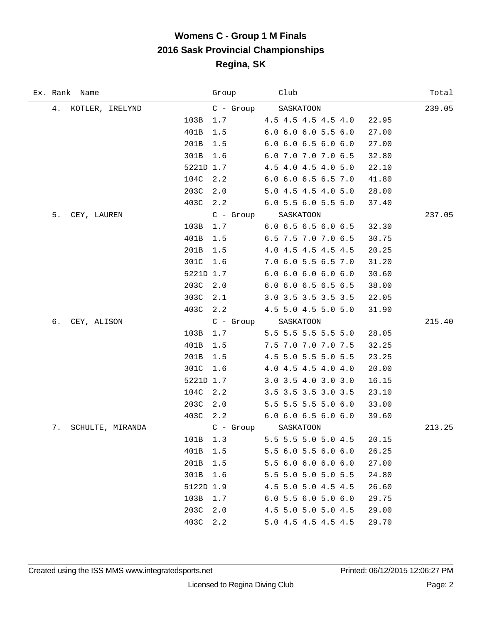# **Womens C - Group 1 M Finals 2016 Sask Provincial Championships Regina, SK**

| Ex. Rank Name          |           | Group       | Club                          | Total  |  |
|------------------------|-----------|-------------|-------------------------------|--------|--|
| 4. KOTLER, IRELYND     |           | C - Group   | SASKATOON                     | 239.05 |  |
|                        | 103B      | 1.7         | 4.5 4.5 4.5 4.5 4.0           | 22.95  |  |
|                        | 401B      | 1.5         | $6.0$ $6.0$ $6.0$ $5.5$ $6.0$ | 27.00  |  |
|                        | 201B      | 1.5         | $6.0$ $6.0$ $6.5$ $6.0$ $6.0$ | 27.00  |  |
|                        | 301B      | 1.6         | 6.0 7.0 7.0 7.0 6.5           | 32.80  |  |
|                        | 5221D 1.7 |             | 4.5 4.0 4.5 4.0 5.0           | 22.10  |  |
|                        | 104C      | 2.2         | 6.0 6.0 6.5 6.5 7.0           | 41.80  |  |
|                        | 203C      | 2.0         | 5.0 4.5 4.5 4.0 5.0           | 28.00  |  |
|                        | 403C      | 2.2         | 6.0 5.5 6.0 5.5 5.0           | 37.40  |  |
| 5.<br>CEY, LAUREN      |           | C - Group   | SASKATOON                     | 237.05 |  |
|                        | 103B      | 1.7         | $6.0$ 6.5 6.5 6.0 6.5         | 32.30  |  |
|                        | 401B      | 1.5         | 6.5 7.5 7.0 7.0 6.5           | 30.75  |  |
|                        | 201B      | 1.5         | 4.0 4.5 4.5 4.5 4.5           | 20.25  |  |
|                        | 301C      | 1.6         | 7.0 6.0 5.5 6.5 7.0           | 31.20  |  |
|                        | 5221D 1.7 |             | 6.06.06.06.06.0               | 30.60  |  |
|                        | 203C      | 2.0         | 6.0 6.0 6.5 6.5 6.5           | 38.00  |  |
|                        | 303C      | 2.1         | 3.0 3.5 3.5 3.5 3.5           | 22.05  |  |
|                        | 403C      | 2.2         | 4.5 5.0 4.5 5.0 5.0           | 31.90  |  |
| б.<br>CEY, ALISON      |           |             | C - Group SASKATOON           | 215.40 |  |
|                        | 103B      | 1.7         | 5.5 5.5 5.5 5.5 5.0           | 28.05  |  |
|                        | 401B      | 1.5         | 7.5 7.0 7.0 7.0 7.5           | 32.25  |  |
|                        | 201B      | 1.5         | 4.5 5.0 5.5 5.0 5.5           | 23.25  |  |
|                        | 301C      | 1.6         | 4.0 4.5 4.5 4.0 4.0           | 20.00  |  |
|                        | 5221D 1.7 |             | 3.0 3.5 4.0 3.0 3.0           | 16.15  |  |
|                        | 104C      | 2.2         | 3.5 3.5 3.5 3.0 3.5           | 23.10  |  |
|                        | 203C      | 2.0         | 5.5 5.5 5.5 5.0 6.0           | 33.00  |  |
|                        | 403C      | 2.2         | 6.0 6.0 6.5 6.0 6.0           | 39.60  |  |
| 7.<br>SCHULTE, MIRANDA |           | $C - Group$ | SASKATOON                     | 213.25 |  |
|                        | 101B      |             | 1.3 5.5 5.5 5.0 5.0 4.5       | 20.15  |  |
|                        | 401B      | 1.5         | 5.5 6.0 5.5 6.0 6.0           | 26.25  |  |
|                        | 201B      | 1.5         | 5.5 6.0 6.0 6.0 6.0           | 27.00  |  |
|                        | 301B      | 1.6         | 5.5 5.0 5.0 5.0 5.5           | 24.80  |  |
|                        | 5122D 1.9 |             | 4.5 5.0 5.0 4.5 4.5           | 26.60  |  |
|                        | 103B      | 1.7         | $6.0$ 5.5 6.0 5.0 6.0         | 29.75  |  |
|                        | 203C      | 2.0         | 4.5 5.0 5.0 5.0 4.5           | 29.00  |  |
|                        | 403C      | 2.2         | 5.0 4.5 4.5 4.5 4.5           | 29.70  |  |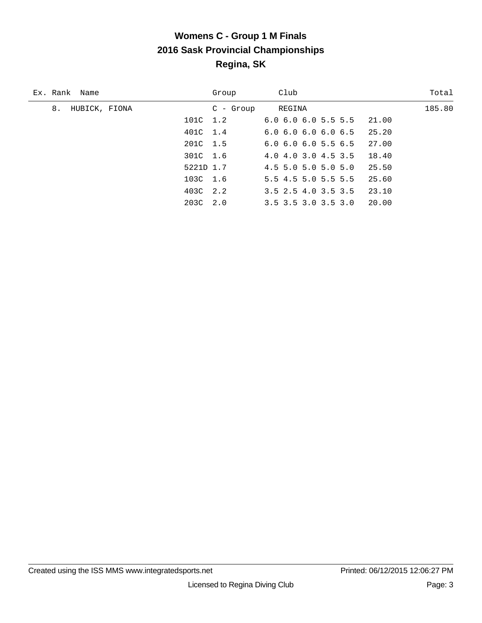# **Womens C - Group 1 M Finals 2016 Sask Provincial Championships Regina, SK**

| Ex. Rank Name       |           | Group       | Club                                   | Total  |
|---------------------|-----------|-------------|----------------------------------------|--------|
| 8.<br>HUBICK, FIONA |           | $C$ - Group | REGINA                                 | 185.80 |
|                     | 101C 1.2  |             | $6.0$ $6.0$ $6.0$ $5.5$ $5.5$ $21.00$  |        |
|                     | 401C 1.4  |             | 25.20<br>6.06.06.06.06.5               |        |
|                     | 201C 1.5  |             | 27.00<br>$6.0$ $6.0$ $6.0$ $5.5$ $6.5$ |        |
|                     | 301C 1.6  |             | 4.0 4.0 3.0 4.5 3.5<br>18.40           |        |
|                     | 5221D 1.7 |             | 25.50<br>$4.5$ 5.0 5.0 5.0 5.0         |        |
|                     | 103C 1.6  |             | 5.5 4.5 5.0 5.5 5.5<br>25.60           |        |
|                     | 403C 2.2  |             | 23.10<br>3.5 2.5 4.0 3.5 3.5           |        |
|                     | 203C 2.0  |             | 3.5 3.5 3.0 3.5 3.0 20.00              |        |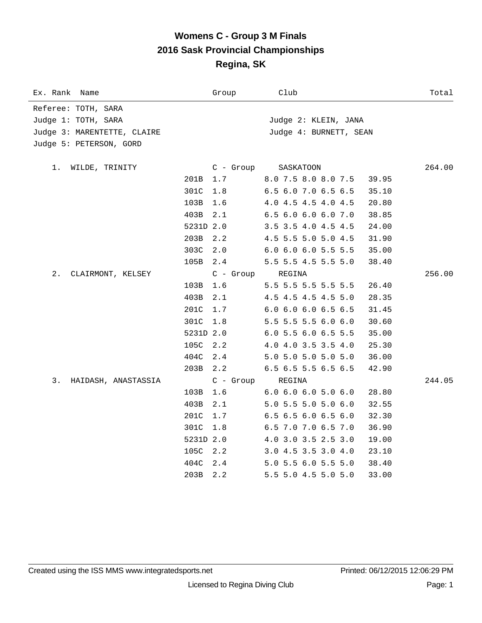### **Womens C - Group 3 M Finals 2016 Sask Provincial Championships Regina, SK**

| Ex. Rank<br>Name            |           | Group       | Club                                   | Total  |
|-----------------------------|-----------|-------------|----------------------------------------|--------|
| Referee: TOTH, SARA         |           |             |                                        |        |
| Judge 1: TOTH, SARA         |           |             | Judge 2: KLEIN, JANA                   |        |
| Judge 3: MARENTETTE, CLAIRE |           |             | Judge 4: BURNETT, SEAN                 |        |
| Judge 5: PETERSON, GORD     |           |             |                                        |        |
| WILDE, TRINITY<br>1.        |           | $C -$ Group | SASKATOON                              | 264.00 |
|                             | 201B      | 1.7         | 8.0 7.5 8.0 8.0 7.5<br>39.95           |        |
|                             | 301C      | 1.8         | 6.5 6.0 7.0 6.5 6.5<br>35.10           |        |
|                             | 103B      | 1.6         | 4.0 4.5 4.5 4.0 4.5<br>20.80           |        |
|                             | 403B      | 2.1         | 6.5 6.0 6.0 6.0 7.0<br>38.85           |        |
|                             | 5231D 2.0 |             | 3.5 3.5 4.0 4.5 4.5<br>24.00           |        |
|                             | 203B      | 2.2         | 4.5 5.5 5.0 5.0 4.5<br>31.90           |        |
|                             | 303C      | 2.0         | 6.0 6.0 6.0 5.5 5.5<br>35.00           |        |
|                             | 105B      | 2.4         | 5.5 5.5 4.5 5.5 5.0<br>38.40           |        |
| 2.<br>CLAIRMONT, KELSEY     |           | $C - Group$ | REGINA                                 | 256.00 |
|                             | 103B      | 1.6         | 5.5 5.5 5.5 5.5 5.5<br>26.40           |        |
|                             | 403B      | 2.1         | 4.5 4.5 4.5 4.5 5.0<br>28.35           |        |
|                             | 201C      | 1.7         | $6.0$ $6.0$ $6.0$ $6.5$ $6.5$<br>31.45 |        |
|                             | 301C      | 1.8         | 5.5 5.5 5.5 6.0 6.0<br>30.60           |        |
|                             | 5231D 2.0 |             | 6.0 5.5 6.0 6.5 5.5<br>35.00           |        |
|                             | 105C      | 2.2         | 4.0 4.0 3.5 3.5 4.0<br>25.30           |        |
|                             | 404C      | 2.4         | 5.0 5.0 5.0 5.0 5.0<br>36.00           |        |
|                             | 203B      | 2.2         | 6.5 6.5 5.5 6.5 6.5<br>42.90           |        |
| 3.<br>HAIDASH, ANASTASSIA   |           | $C$ - Group | REGINA                                 | 244.05 |
|                             | 103B      | 1.6         | $6.0$ $6.0$ $6.0$ $5.0$ $6.0$<br>28.80 |        |
|                             | 403B      | 2.1         | 5.0 5.5 5.0 5.0 6.0<br>32.55           |        |
|                             | 201C      | 1.7         | 6.5 6.5 6.0 6.5 6.0<br>32.30           |        |
|                             | 301C      | 1.8         | 6.5 7.0 7.0 6.5 7.0<br>36.90           |        |
|                             | 5231D 2.0 |             | 4.0 3.0 3.5 2.5 3.0<br>19.00           |        |
|                             | 105C      | 2.2         | 3.0 4.5 3.5 3.0 4.0<br>23.10           |        |
|                             | 404C      | 2.4         | 5.0 5.5 6.0 5.5 5.0<br>38.40           |        |
|                             | 203B      | 2.2         | 5.5 5.0 4.5 5.0 5.0<br>33.00           |        |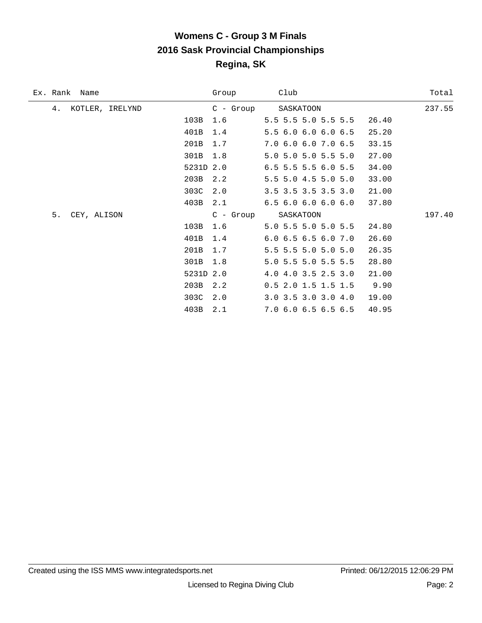# **Womens C - Group 3 M Finals 2016 Sask Provincial Championships Regina, SK**

| Ex. Rank<br>Name      |           | Group       | Club                          | Total  |  |
|-----------------------|-----------|-------------|-------------------------------|--------|--|
| KOTLER, IRELYND<br>4. |           | $C -$ Group | SASKATOON                     | 237.55 |  |
|                       | 103B      | 1.6         | 5.5 5.5 5.0 5.5 5.5           | 26.40  |  |
|                       | 401B      | 1.4         | 5.5 6.0 6.0 6.0 6.5           | 25.20  |  |
|                       | 201B      | 1.7         | 7.0 6.0 6.0 7.0 6.5           | 33.15  |  |
|                       | 301B      | 1.8         | 5.0 5.0 5.0 5.5 5.0           | 27.00  |  |
|                       | 5231D 2.0 |             | 6.5 5.5 5.5 6.0 5.5           | 34.00  |  |
|                       | 203B      | 2.2         | 5.5 5.0 4.5 5.0 5.0           | 33.00  |  |
|                       | 303C      | 2.0         | 3.5 3.5 3.5 3.5 3.0           | 21.00  |  |
|                       | 403B      | 2.1         | $6.5$ $6.0$ $6.0$ $6.0$ $6.0$ | 37.80  |  |
| 5.<br>CEY, ALISON     |           | $C - Group$ | SASKATOON                     | 197.40 |  |
|                       | 103B      | 1.6         | 5.0 5.5 5.0 5.0 5.5           | 24.80  |  |
|                       | 401B      | 1.4         | $6.0$ $6.5$ $6.5$ $6.0$ $7.0$ | 26.60  |  |
|                       | 201B      | 1.7         | 5.5 5.5 5.0 5.0 5.0           | 26.35  |  |
|                       | 301B      | 1.8         | 5.0 5.5 5.0 5.5 5.5           | 28.80  |  |
|                       | 5231D 2.0 |             | 4.0 4.0 3.5 2.5 3.0           | 21.00  |  |
|                       | 203B      | 2.2         | $0.5$ 2.0 1.5 1.5 1.5         | 9.90   |  |
|                       | 303C      | 2.0         | $3.0$ $3.5$ $3.0$ $3.0$ $4.0$ | 19.00  |  |
|                       | 403B      | 2.1         | 7.0 6.0 6.5 6.5 6.5           | 40.95  |  |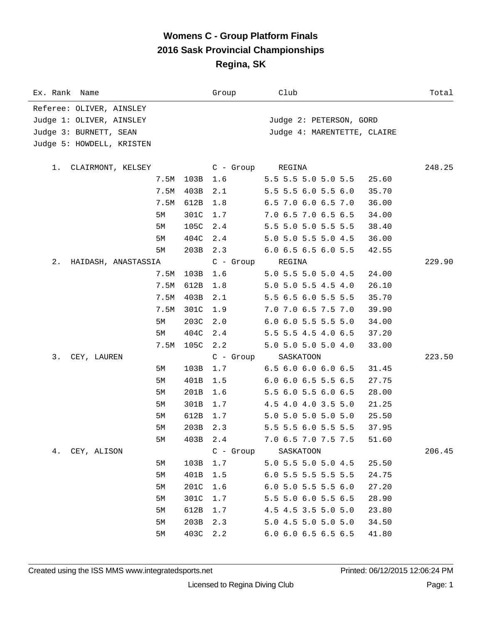### **Womens C - Group Platform Finals 2016 Sask Provincial Championships Regina, SK**

| Ex. Rank Name             |      |      | Group       | Club                          | Total  |
|---------------------------|------|------|-------------|-------------------------------|--------|
| Referee: OLIVER, AINSLEY  |      |      |             |                               |        |
| Judge 1: OLIVER, AINSLEY  |      |      |             | Judge 2: PETERSON, GORD       |        |
| Judge 3: BURNETT, SEAN    |      |      |             | Judge 4: MARENTETTE, CLAIRE   |        |
| Judge 5: HOWDELL, KRISTEN |      |      |             |                               |        |
|                           |      |      |             |                               |        |
| CLAIRMONT, KELSEY<br>1.   |      |      | C - Group   | REGINA                        | 248.25 |
|                           | 7.5M | 103B | 1.6         | 5.5 5.5 5.0 5.0 5.5           | 25.60  |
|                           | 7.5M | 403B | 2.1         | 5.5 5.5 6.0 5.5 6.0           | 35.70  |
|                           | 7.5M | 612B | 1.8         | 6.5 7.0 6.0 6.5 7.0           | 36.00  |
|                           | 5М   | 301C | 1.7         | 7.0 6.5 7.0 6.5 6.5           | 34.00  |
|                           | 5М   | 105C | 2.4         | 5.5 5.0 5.0 5.5 5.5           | 38.40  |
|                           | 5М   | 404C | 2.4         | 5.0 5.0 5.5 5.0 4.5           | 36.00  |
|                           | 5M   | 203B | 2.3         | 6.0 6.5 6.5 6.0 5.5           | 42.55  |
| 2.<br>HAIDASH, ANASTASSIA |      |      | $C - Group$ | REGINA                        | 229.90 |
|                           | 7.5M | 103B | 1.6         | 5.0 5.5 5.0 5.0 4.5           | 24.00  |
|                           | 7.5M | 612B | 1.8         | 5.0 5.0 5.5 4.5 4.0           | 26.10  |
|                           | 7.5M | 403B | 2.1         | 5.5 6.5 6.0 5.5 5.5           | 35.70  |
|                           | 7.5M | 301C | 1.9         | 7.0 7.0 6.5 7.5 7.0           | 39.90  |
|                           | 5M   | 203C | 2.0         | $6.0$ $6.0$ $5.5$ $5.5$ $5.0$ | 34.00  |
|                           | 5М   | 404C | 2.4         | 5.5 5.5 4.5 4.0 6.5           | 37.20  |
|                           | 7.5M | 105C | 2.2         | 5.0 5.0 5.0 5.0 4.0           | 33.00  |
| 3.<br>CEY, LAUREN         |      |      | C - Group   | SASKATOON                     | 223.50 |
|                           | 5M   | 103B | 1.7         | $6.5$ $6.0$ $6.0$ $6.0$ $6.5$ | 31.45  |
|                           | 5М   | 401B | 1.5         | $6.0$ $6.0$ $6.5$ $5.5$ $6.5$ | 27.75  |
|                           | 5М   | 201B | 1.6         | 5.5 6.0 5.5 6.0 6.5           | 28.00  |
|                           | 5М   | 301B | 1.7         | 4.5 4.0 4.0 3.5 5.0           | 21.25  |
|                           | 5M   | 612B | 1.7         | 5.0 5.0 5.0 5.0 5.0           | 25.50  |
|                           | 5М   | 203B | 2.3         | 5.5 5.5 6.0 5.5 5.5           | 37.95  |
|                           | 5M   | 403B | 2.4         | 7.0 6.5 7.0 7.5 7.5           | 51.60  |
| 4.<br>CEY, ALISON         |      |      | C - Group   | SASKATOON                     | 206.45 |
|                           | 5M   | 103B | 1.7         | 5.0 5.5 5.0 5.0 4.5           | 25.50  |
|                           | 5M   | 401B | 1.5         | 6.0 5.5 5.5 5.5 5.5           | 24.75  |
|                           | 5M   | 201C | 1.6         | $6.0$ 5.0 5.5 5.5 6.0         | 27.20  |
|                           | 5M   | 301C | 1.7         | 5.5 5.0 6.0 5.5 6.5           | 28.90  |
|                           | 5M   | 612B | 1.7         | 4.5 4.5 3.5 5.0 5.0           | 23.80  |
|                           | 5M   | 203B | 2.3         | 5.0 4.5 5.0 5.0 5.0           | 34.50  |
|                           | 5M   | 403C | 2.2         | 6.0 6.0 6.5 6.5 6.5           | 41.80  |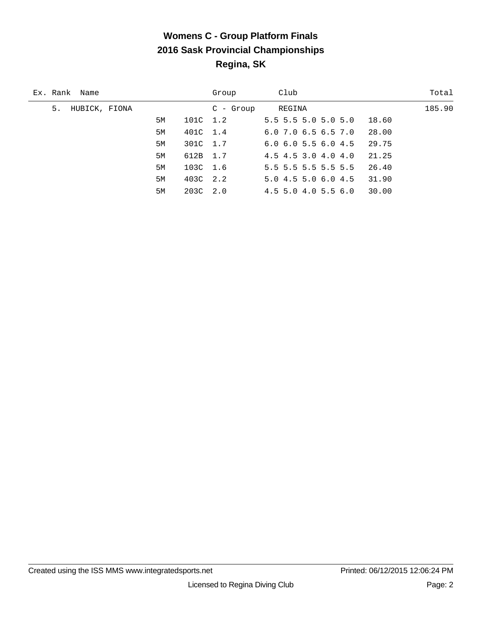# **Womens C - Group Platform Finals 2016 Sask Provincial Championships Regina, SK**

| Ex. Rank Name       |    |          | Group     | Club                          | Total  |
|---------------------|----|----------|-----------|-------------------------------|--------|
| 5.<br>HUBICK, FIONA |    |          | C - Group | REGINA                        | 185.90 |
|                     | 5M | 101C 1.2 |           | 5.5 5.5 5.0 5.0 5.0           | 18.60  |
|                     | 5M | 401C 1.4 |           | $6.0$ 7.0 $6.5$ 6.5 7.0       | 28.00  |
|                     | 5M | 301C 1.7 |           | $6.0$ $6.0$ $5.5$ $6.0$ $4.5$ | 29.75  |
|                     | 5M | 612B 1.7 |           | 4.5 4.5 3.0 4.0 4.0           | 21.25  |
|                     | 5M | 103C 1.6 |           | $5.5$ 5.5 5.5 5.5 5.5         | 26.40  |
|                     | 5M | 403C 2.2 |           | 5.04.55.06.04.5               | 31.90  |
|                     | 5M | 203C 2.0 |           | $4.5$ 5.0 4.0 5.5 6.0         | 30.00  |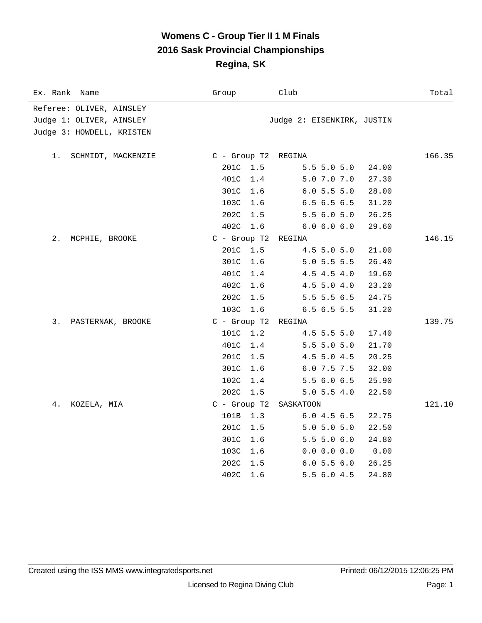### **Womens C - Group Tier II 1 M Finals 2016 Sask Provincial Championships Regina, SK**

| Ex. Rank<br>Name          | Group               | Club                       | Total  |
|---------------------------|---------------------|----------------------------|--------|
| Referee: OLIVER, AINSLEY  |                     |                            |        |
| Judge 1: OLIVER, AINSLEY  |                     | Judge 2: EISENKIRK, JUSTIN |        |
| Judge 3: HOWDELL, KRISTEN |                     |                            |        |
|                           |                     |                            |        |
| 1.<br>SCHMIDT, MACKENZIE  | C - Group T2 REGINA |                            | 166.35 |
|                           | 201C<br>1.5         | 5.5 5.0 5.0                | 24.00  |
|                           | 401C<br>1.4         | 5.0 7.0 7.0                | 27.30  |
|                           | 301C<br>1.6         | 6.05.55.0                  | 28.00  |
|                           | 103C<br>1.6         | 6.56.56.5                  | 31.20  |
|                           | 202C<br>1.5         | 5.56.05.0                  | 26.25  |
|                           | 402C<br>1.6         | 6.0 6.0 6.0                | 29.60  |
| 2.<br>MCPHIE, BROOKE      | $C$ - Group T2      | REGINA                     | 146.15 |
|                           | 201C<br>1.5         | 4.5 5.0 5.0                | 21.00  |
|                           | 301C<br>1.6         | $5.0$ 5.5 5.5              | 26.40  |
|                           | 401C<br>1.4         | 4.5 4.5 4.0                | 19.60  |
|                           | 402C<br>1.6         | $4.5$ 5.0 $4.0$            | 23.20  |
|                           | 202C<br>1.5         | 5.5 5.5 6.5                | 24.75  |
|                           | 103C<br>1.6         | 6.56.55.5                  | 31.20  |
| 3.<br>PASTERNAK, BROOKE   | $C$ - Group T2      | REGINA                     | 139.75 |
|                           | 101C<br>1.2         | 4.5 5.5 5.0                | 17.40  |
|                           | 401C<br>1.4         | $5.5$ 5.0 5.0              | 21.70  |
|                           | 201C<br>1.5         | 4.5 5.0 4.5                | 20.25  |
|                           | 301C<br>1.6         | 6.0 7.5 7.5                | 32.00  |
|                           | 102C<br>1.4         | 5.5 6.0 6.5                | 25.90  |
|                           | 202C<br>1.5         | $5.0$ 5.5 4.0              | 22.50  |
| 4.<br>KOZELA, MIA         | C - Group T2        | SASKATOON                  | 121.10 |
|                           | 101B<br>1.3         | 6.04.56.5                  | 22.75  |
|                           | 201C<br>1.5         | 5.0 5.0 5.0                | 22.50  |
|                           | 301C<br>1.6         | 5.5 5.0 6.0                | 24.80  |
|                           | 103C<br>1.6         | 0.0 0.0 0.0                | 0.00   |
|                           | 202C<br>1.5         | 6.05.56.0                  | 26.25  |
|                           | 402C<br>1.6         | 5.56.04.5                  | 24.80  |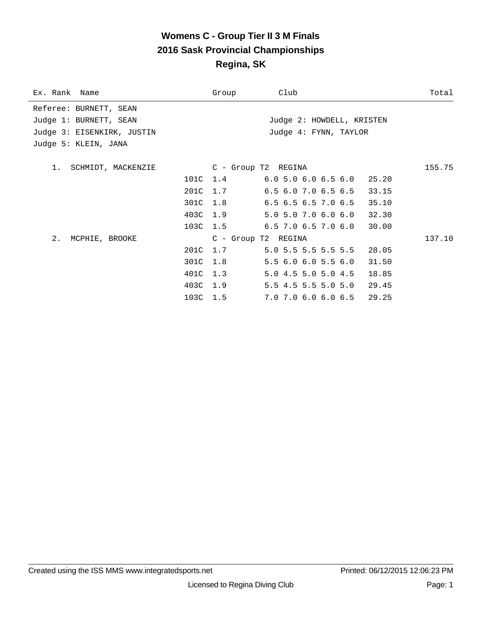### **Womens C - Group Tier II 3 M Finals 2016 Sask Provincial Championships Regina, SK**

| Ex. Rank Name              |          | Group               | Club                                   | Total  |
|----------------------------|----------|---------------------|----------------------------------------|--------|
| Referee: BURNETT, SEAN     |          |                     |                                        |        |
| Judge 1: BURNETT, SEAN     |          |                     | Judge 2: HOWDELL, KRISTEN              |        |
| Judge 3: EISENKIRK, JUSTIN |          |                     | Judge 4: FYNN, TAYLOR                  |        |
| Judge 5: KLEIN, JANA       |          |                     |                                        |        |
|                            |          |                     |                                        |        |
| 1. SCHMIDT, MACKENZIE      |          | C - Group T2 REGINA |                                        | 155.75 |
|                            |          |                     | 101C 1.4 6.0 5.0 6.0 6.5 6.0 25.20     |        |
|                            |          |                     | 201C 1.7 6.5 6.0 7.0 6.5 6.5 33.15     |        |
|                            |          | 301C 1.8            | 6.5 6.5 6.5 7.0 6.5 35.10              |        |
|                            |          | 403C 1.9            | 5.0 5.0 7.0 6.0 6.0 32.30              |        |
|                            |          |                     | 103C 1.5 6.5 7.0 6.5 7.0 6.0 30.00     |        |
| 2. MCPHIE, BROOKE          |          | C - Group T2 REGINA |                                        | 137.10 |
|                            |          |                     | 201C 1.7 5.0 5.5 5.5 5.5 5.5 28.05     |        |
|                            |          | 301C 1.8            | 5.56.06.05.56.0<br>31.50               |        |
|                            | 401C 1.3 |                     | 5.0 4.5 5.0 5.0 4.5<br>18.85           |        |
|                            | 403C 1.9 |                     | 5.5 4.5 5.5 5.0 5.0 29.45              |        |
|                            | 103C 1.5 |                     | $7.0$ $7.0$ $6.0$ $6.0$ $6.5$<br>29.25 |        |
|                            |          |                     |                                        |        |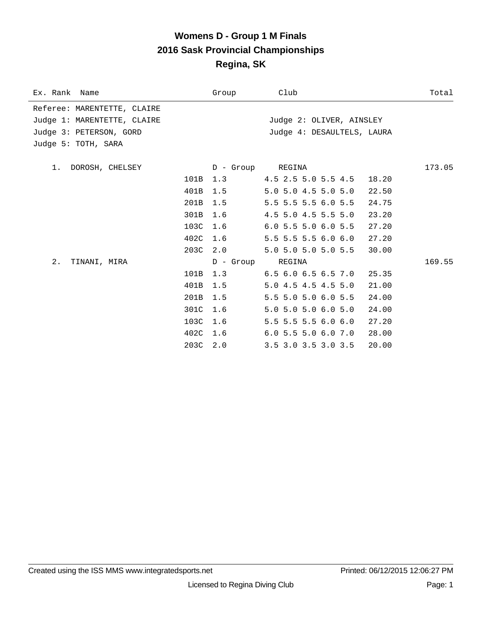### **Womens D - Group 1 M Finals 2016 Sask Provincial Championships Regina, SK**

| Ex. Rank Name               |          | Group            | Club                                | Total  |
|-----------------------------|----------|------------------|-------------------------------------|--------|
| Referee: MARENTETTE, CLAIRE |          |                  |                                     |        |
| Judge 1: MARENTETTE, CLAIRE |          |                  | Judge 2: OLIVER, AINSLEY            |        |
| Judge 3: PETERSON, GORD     |          |                  | Judge 4: DESAULTELS, LAURA          |        |
| Judge 5: TOTH, SARA         |          |                  |                                     |        |
| 1. DOROSH, CHELSEY          |          | D - Group REGINA |                                     | 173.05 |
|                             | 101B     |                  | $1.3$ $4.5$ $2.5$ $5.0$ $5.5$ $4.5$ | 18.20  |
|                             |          |                  |                                     |        |
|                             | 401B     | 1.5              | 5.0 5.0 4.5 5.0 5.0                 | 22.50  |
|                             | 201B     | 1.5              | 5.5 5.5 5.5 6.0 5.5                 | 24.75  |
|                             | 301B     | 1.6              | 4.5 5.0 4.5 5.5 5.0                 | 23.20  |
|                             | 103C     | 1.6              | $6.0$ 5.5 5.0 6.0 5.5               | 27.20  |
|                             | 402C 1.6 |                  | $5.5$ 5.5 5.5 6.0 6.0               | 27.20  |
|                             | 203C 2.0 |                  | 5.0 5.0 5.0 5.0 5.5                 | 30.00  |
| $2$ .<br>TINANI, MIRA       |          | D - Group REGINA |                                     | 169.55 |
|                             | 101B     | 1.3              | $6.5$ $6.0$ $6.5$ $6.5$ $7.0$       | 25.35  |
|                             | 401B     | 1.5              | 5.0 4.5 4.5 4.5 5.0                 | 21.00  |
|                             | 201B     | 1.5              | 5.5 5.0 5.0 6.0 5.5                 | 24.00  |
|                             | 301C     | 1.6              | 5.0 5.0 5.0 6.0 5.0                 | 24.00  |
|                             | 103C     | 1.6              | $5.5$ 5.5 5.5 6.0 6.0               | 27.20  |
|                             | 402C 1.6 |                  | $6.0$ 5.5 5.0 6.0 7.0               | 28.00  |
|                             | 203C     | 2.0              | 3.5 3.0 3.5 3.0 3.5                 | 20.00  |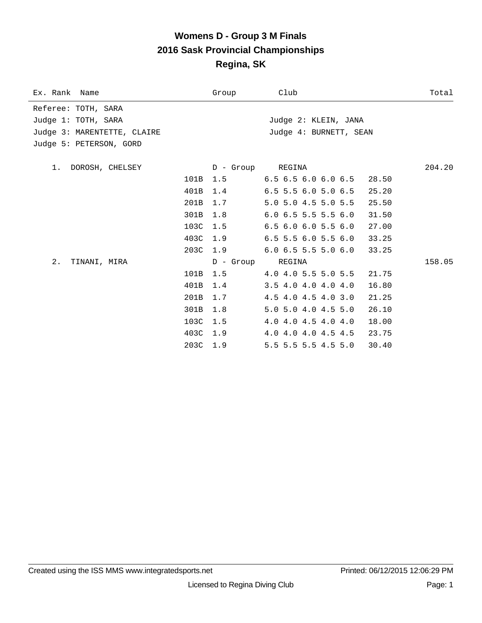#### **Womens D - Group 3 M Finals 2016 Sask Provincial Championships Regina, SK**

| Ex. Rank Name               |          | Group            | Club                          | Total  |
|-----------------------------|----------|------------------|-------------------------------|--------|
| Referee: TOTH, SARA         |          |                  |                               |        |
| Judge 1: TOTH, SARA         |          |                  | Judge 2: KLEIN, JANA          |        |
| Judge 3: MARENTETTE, CLAIRE |          |                  | Judge 4: BURNETT, SEAN        |        |
| Judge 5: PETERSON, GORD     |          |                  |                               |        |
|                             |          |                  |                               |        |
| 1. DOROSH, CHELSEY          |          | D - Group REGINA |                               | 204.20 |
|                             | 101B     | 1.5              | $6.5$ $6.5$ $6.0$ $6.0$ $6.5$ | 28.50  |
|                             | 401B     | 1.4              | $6.5$ 5.5 6.0 5.0 6.5         | 25.20  |
|                             | 201B     | 1.7              | 5.0 5.0 4.5 5.0 5.5           | 25.50  |
|                             | 301B     | 1.8              | $6.0$ 6.5 5.5 5.5 6.0         | 31.50  |
|                             | 103C     | 1.5              | $6.5$ $6.0$ $6.0$ $5.5$ $6.0$ | 27.00  |
|                             | 403C     | 1.9              | $6.5$ 5.5 6.0 5.5 6.0         | 33.25  |
|                             | 203C     | 1.9              | $6.0$ $6.5$ $5.5$ $5.0$ $6.0$ | 33.25  |
| 2.<br>TINANI, MIRA          |          | D - Group REGINA |                               | 158.05 |
|                             | 101B     | 1.5              | 4.0 4.0 5.5 5.0 5.5           | 21.75  |
|                             | 401B     | 1.4              | $3.5$ 4.0 4.0 4.0 4.0         | 16.80  |
|                             | 201B     | 1.7              | 4.5 4.0 4.5 4.0 3.0           | 21.25  |
|                             | 301B     | 1.8              | 5.0 5.0 4.0 4.5 5.0           | 26.10  |
|                             | 103C     | 1.5              | 4.0 4.0 4.5 4.0 4.0           | 18.00  |
|                             | 403C     | 1.9              | 4.0 4.0 4.0 4.5 4.5           | 23.75  |
|                             | 203C 1.9 |                  | 5.5 5.5 5.5 4.5 5.0           | 30.40  |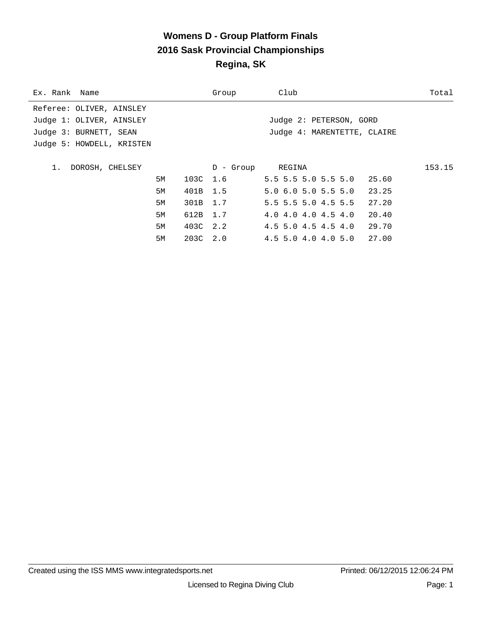# **Womens D - Group Platform Finals 2016 Sask Provincial Championships Regina, SK**

| Ex. Rank Name             |          | Group            | Club                        | Total  |
|---------------------------|----------|------------------|-----------------------------|--------|
| Referee: OLIVER, AINSLEY  |          |                  |                             |        |
| Judge 1: OLIVER, AINSLEY  |          |                  | Judge 2: PETERSON, GORD     |        |
| Judge 3: BURNETT, SEAN    |          |                  | Judge 4: MARENTETTE, CLAIRE |        |
| Judge 5: HOWDELL, KRISTEN |          |                  |                             |        |
|                           |          |                  |                             |        |
| DOROSH, CHELSEY<br>1.     |          | D - Group REGINA |                             | 153.15 |
| 5M                        | 103C 1.6 |                  | $5.5$ 5.5 5.0 5.5 5.0 25.60 |        |
| 5M                        | 401B 1.5 |                  | $5.0$ 6.0 5.0 5.5 5.0       | 23.25  |
| 5M                        | 301B 1.7 |                  | 5.5 5.5 5.0 4.5 5.5         | 27.20  |
| 5M                        | 612B 1.7 |                  | 4.0 4.0 4.0 4.5 4.0         | 20.40  |
| 5M                        | 403C 2.2 |                  | 4.5 5.0 4.5 4.5 4.0         | 29.70  |
| 5M                        | 203C 2.0 |                  | 4.5 5.0 4.0 4.0 5.0         | 27.00  |
|                           |          |                  |                             |        |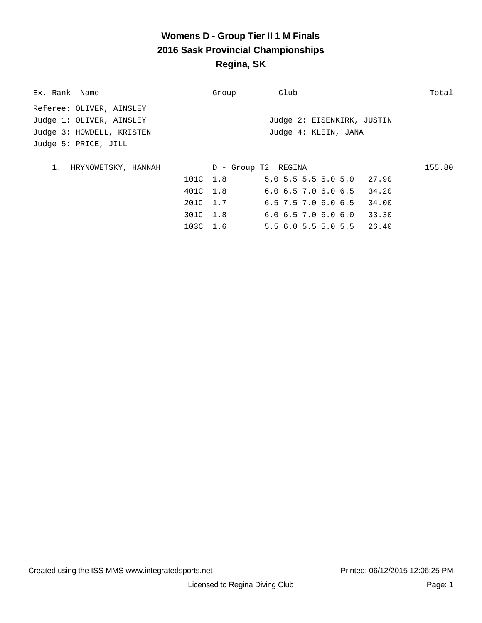# **Womens D - Group Tier II 1 M Finals 2016 Sask Provincial Championships Regina, SK**

| Ex. Rank Name             | Group    | Club                                  | Total  |
|---------------------------|----------|---------------------------------------|--------|
| Referee: OLIVER, AINSLEY  |          |                                       |        |
| Judge 1: OLIVER, AINSLEY  |          | Judge 2: EISENKIRK, JUSTIN            |        |
| Judge 3: HOWDELL, KRISTEN |          | Judge 4: KLEIN, JANA                  |        |
| Judge 5: PRICE, JILL      |          |                                       |        |
|                           |          |                                       |        |
| 1. HRYNOWETSKY, HANNAH    |          | D - Group T2 REGINA                   | 155.80 |
|                           | 101C 1.8 | $5.0$ 5.5 5.5 5.0 5.0 27.90           |        |
|                           | 401C 1.8 | $6.0$ $6.5$ $7.0$ $6.0$ $6.5$ $34.20$ |        |
|                           | 201C 1.7 | $6.5$ 7.5 7.0 $6.0$ 6.5               | 34.00  |
|                           | 301C 1.8 | 6.06.57.06.06.0                       | 33.30  |
|                           | 103C 1.6 | 5.56.05.55.05.526.40                  |        |
|                           |          |                                       |        |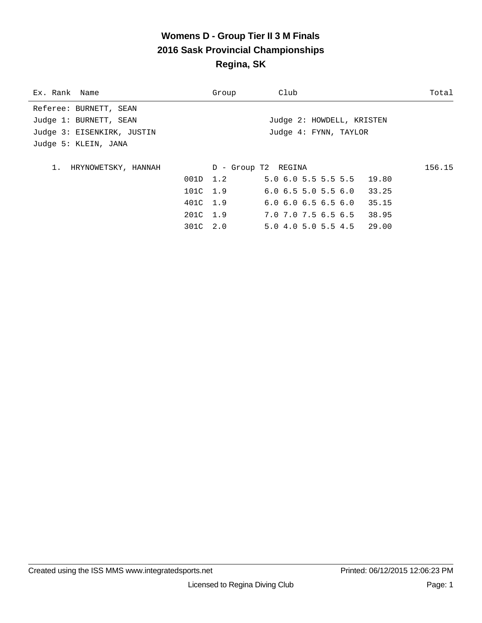# **Womens D - Group Tier II 3 M Finals 2016 Sask Provincial Championships Regina, SK**

| Ex. Rank Name                | Group    | Club                                  | Total  |
|------------------------------|----------|---------------------------------------|--------|
| Referee: BURNETT, SEAN       |          |                                       |        |
| Judge 1: BURNETT, SEAN       |          | Judge 2: HOWDELL, KRISTEN             |        |
| Judge 3: EISENKIRK, JUSTIN   |          | Judge 4: FYNN, TAYLOR                 |        |
| Judge 5: KLEIN, JANA         |          |                                       |        |
|                              |          |                                       |        |
| $1$ .<br>HRYNOWETSKY, HANNAH |          | D - Group T2 REGINA                   | 156.15 |
|                              | 001D 1.2 | 5.0 6.0 5.5 5.5 5.5 19.80             |        |
|                              | 101C 1.9 | $6.0$ $6.5$ $5.0$ $5.5$ $6.0$ $33.25$ |        |
|                              | 401C 1.9 | $6.0$ $6.0$ $6.5$ $6.5$ $6.0$         | 35.15  |
|                              | 201C 1.9 | 7.0 7.0 7.5 6.5 6.5 38.95             |        |
|                              | 301C 2.0 | 5.04.05.05.54.529.00                  |        |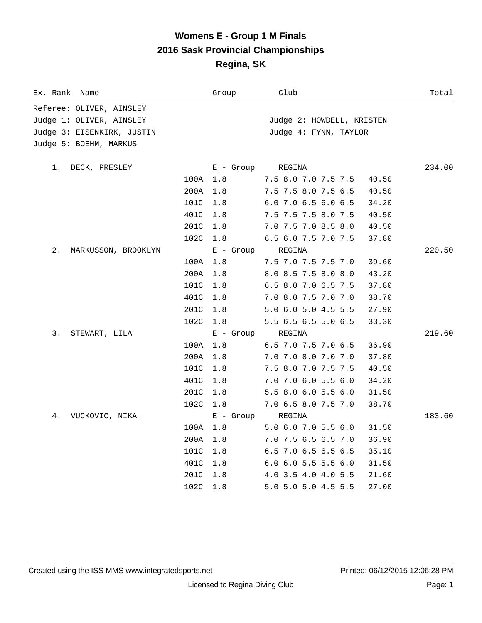### **Womens E - Group 1 M Finals 2016 Sask Provincial Championships Regina, SK**

| Ex. Rank Name              |      | Group       | Club                         | Total  |
|----------------------------|------|-------------|------------------------------|--------|
| Referee: OLIVER, AINSLEY   |      |             |                              |        |
| Judge 1: OLIVER, AINSLEY   |      |             | Judge 2: HOWDELL, KRISTEN    |        |
| Judge 3: EISENKIRK, JUSTIN |      |             | Judge 4: FYNN, TAYLOR        |        |
| Judge 5: BOEHM, MARKUS     |      |             |                              |        |
| 1.<br>DECK, PRESLEY        |      | $E -$ Group | REGINA                       | 234.00 |
|                            | 100A | 1.8         | 7.5 8.0 7.0 7.5 7.5<br>40.50 |        |
|                            | 200A | 1.8         | 7.5 7.5 8.0 7.5 6.5<br>40.50 |        |
|                            | 101C | 1.8         | 6.0 7.0 6.5 6.0 6.5<br>34.20 |        |
|                            | 401C | 1.8         | 7.5 7.5 7.5 8.0 7.5<br>40.50 |        |
|                            | 201C | 1.8         | 7.0 7.5 7.0 8.5 8.0<br>40.50 |        |
|                            | 102C | 1.8         | 6.5 6.0 7.5 7.0 7.5<br>37.80 |        |
| 2.<br>MARKUSSON, BROOKLYN  |      | $E -$ Group | REGINA                       | 220.50 |
|                            | 100A | 1.8         | 7.5 7.0 7.5 7.5 7.0<br>39.60 |        |
|                            | 200A | 1.8         | 8.0 8.5 7.5 8.0 8.0<br>43.20 |        |
|                            | 101C | 1.8         | 6.5 8.0 7.0 6.5 7.5<br>37.80 |        |
|                            | 401C | 1.8         | 7.0 8.0 7.5 7.0 7.0<br>38.70 |        |
|                            | 201C | 1.8         | 5.0 6.0 5.0 4.5 5.5<br>27.90 |        |
|                            | 102C | 1.8         | 5.5 6.5 6.5 5.0 6.5<br>33.30 |        |
| 3.<br>STEWART, LILA        |      | $E -$ Group | REGINA                       | 219.60 |
|                            | 100A | 1.8         | 6.5 7.0 7.5 7.0 6.5<br>36.90 |        |
|                            | 200A | 1.8         | 7.0 7.0 8.0 7.0 7.0<br>37.80 |        |
|                            | 101C | 1.8         | 7.5 8.0 7.0 7.5 7.5<br>40.50 |        |
|                            | 401C | 1.8         | 7.0 7.0 6.0 5.5 6.0<br>34.20 |        |
|                            | 201C | 1.8         | 5.5 8.0 6.0 5.5 6.0<br>31.50 |        |
|                            | 102C | 1.8         | 7.0 6.5 8.0 7.5 7.0<br>38.70 |        |
| 4.<br>VUCKOVIC, NIKA       |      | $E -$ Group | REGINA                       | 183.60 |
|                            | 100A | 1.8         | 5.0 6.0 7.0 5.5 6.0<br>31.50 |        |
|                            | 200A | 1.8         | 7.0 7.5 6.5 6.5 7.0<br>36.90 |        |
|                            | 101C | 1.8         | 6.5 7.0 6.5 6.5 6.5<br>35.10 |        |
|                            | 401C | 1.8         | 6.0 6.0 5.5 5.5 6.0<br>31.50 |        |
|                            | 201C | 1.8         | 4.0 3.5 4.0 4.0 5.5<br>21.60 |        |
|                            | 102C | 1.8         | 5.0 5.0 5.0 4.5 5.5<br>27.00 |        |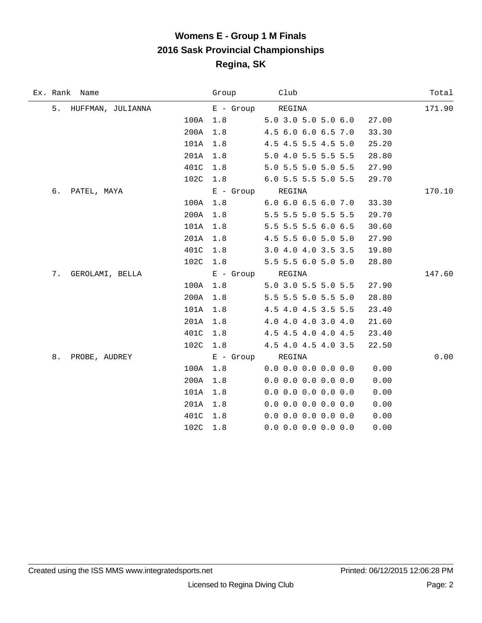# **Womens E - Group 1 M Finals 2016 Sask Provincial Championships Regina, SK**

| Ex. Rank Name         |          | Group            | Club                  | Total  |
|-----------------------|----------|------------------|-----------------------|--------|
| 5. HUFFMAN, JULIANNA  |          | $E -$ Group      | REGINA                | 171.90 |
|                       | 100A 1.8 |                  | 5.0 3.0 5.0 5.0 6.0   | 27.00  |
|                       | 200A     | 1.8              | 4.5 6.0 6.0 6.5 7.0   | 33.30  |
|                       | 101A     | 1.8              | 4.5 4.5 5.5 4.5 5.0   | 25.20  |
|                       | 201A     | 1.8              | 5.0 4.0 5.5 5.5 5.5   | 28.80  |
|                       | 401C     | 1.8              | 5.0 5.5 5.0 5.0 5.5   | 27.90  |
|                       | 102C     | 1.8              | 6.0 5.5 5.5 5.0 5.5   | 29.70  |
| б.<br>PATEL, MAYA     |          | E - Group REGINA |                       | 170.10 |
|                       | 100A     | 1.8              | 6.0 6.0 6.5 6.0 7.0   | 33.30  |
|                       | 200A     | 1.8              | 5.5 5.5 5.0 5.5 5.5   | 29.70  |
|                       | 101A     | 1.8              | 5.5 5.5 5.5 6.0 6.5   | 30.60  |
|                       | 201A     | 1.8              | 4.5 5.5 6.0 5.0 5.0   | 27.90  |
|                       | 401C     | 1.8              | 3.0 4.0 4.0 3.5 3.5   | 19.80  |
|                       | 102C     | 1.8              | 5.5 5.5 6.0 5.0 5.0   | 28.80  |
| 7.<br>GEROLAMI, BELLA |          | E - Group REGINA |                       | 147.60 |
|                       | 100A     | 1.8              | 5.0 3.0 5.5 5.0 5.5   | 27.90  |
|                       | 200A     | 1.8              | 5.5 5.5 5.0 5.5 5.0   | 28.80  |
|                       | 101A     | 1.8              | 4.5 4.0 4.5 3.5 5.5   | 23.40  |
|                       | 201A     | 1.8              | 4.0 4.0 4.0 3.0 4.0   | 21.60  |
|                       | 401C     | 1.8              | 4.5 4.5 4.0 4.0 4.5   | 23.40  |
|                       | 102C     | 1.8              | 4.5 4.0 4.5 4.0 3.5   | 22.50  |
| 8.<br>PROBE, AUDREY   |          | E - Group REGINA |                       | 0.00   |
|                       | 100A     | 1.8              | $0.0$ 0.0 0.0 0.0 0.0 | 0.00   |
|                       | 200A     | 1.8              | $0.0$ 0.0 0.0 0.0 0.0 | 0.00   |
|                       | 101A     | 1.8              | $0.0$ 0.0 0.0 0.0 0.0 | 0.00   |
|                       | 201A     | 1.8              | $0.0$ 0.0 0.0 0.0 0.0 | 0.00   |
|                       | 401C     | 1.8              | $0.0$ 0.0 0.0 0.0 0.0 | 0.00   |
|                       | 102C     | 1.8              | $0.0$ 0.0 0.0 0.0 0.0 | 0.00   |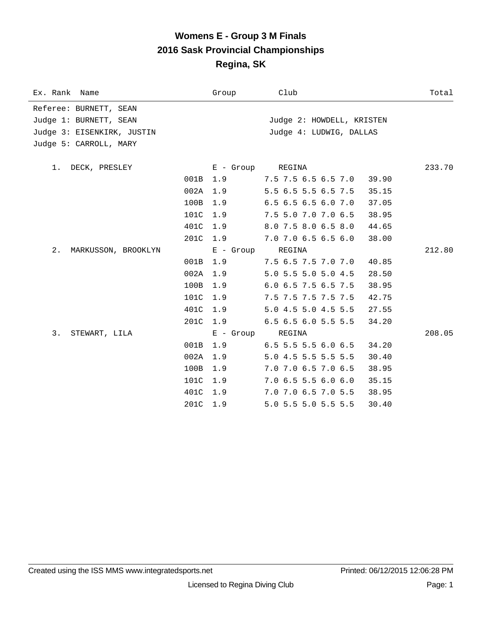### **Womens E - Group 3 M Finals 2016 Sask Provincial Championships Regina, SK**

| Ex. Rank Name              |      | Group       | Club                           | Total  |
|----------------------------|------|-------------|--------------------------------|--------|
| Referee: BURNETT, SEAN     |      |             |                                |        |
| Judge 1: BURNETT, SEAN     |      |             | Judge 2: HOWDELL, KRISTEN      |        |
| Judge 3: EISENKIRK, JUSTIN |      |             | Judge 4: LUDWIG, DALLAS        |        |
| Judge 5: CARROLL, MARY     |      |             |                                |        |
| 1.<br>DECK, PRESLEY        |      | E - Group   | REGINA                         | 233.70 |
|                            | 001B | 1.9         | 7.5 7.5 6.5 6.5 7.0<br>39.90   |        |
|                            | 002A | 1.9         | 5.5 6.5 5.5 6.5 7.5<br>35.15   |        |
|                            | 100B | 1.9         | 6.5 6.5 6.5 6.0 7.0<br>37.05   |        |
|                            | 101C | 1.9         | 7.5 5.0 7.0 7.0 6.5<br>38.95   |        |
|                            | 401C | 1.9         | 8.0 7.5 8.0 6.5 8.0<br>44.65   |        |
|                            | 201C | 1.9         | 7.0 7.0 6.5 6.5 6.0<br>38.00   |        |
| 2.<br>MARKUSSON, BROOKLYN  |      | $E -$ Group | REGINA                         | 212.80 |
|                            | 001B | 1.9         | 7.5 6.5 7.5 7.0 7.0<br>40.85   |        |
|                            | 002A | 1.9         | 5.0 5.5 5.0 5.0 4.5<br>28.50   |        |
|                            | 100B | 1.9         | 6.0 6.5 7.5 6.5 7.5<br>38.95   |        |
|                            | 101C | 1.9         | 7.5 7.5 7.5 7.5 7.5<br>42.75   |        |
|                            | 401C | 1.9         | 5.0 4.5 5.0 4.5 5.5<br>27.55   |        |
|                            | 201C | 1.9         | 6.5 6.5 6.0 5.5 5.5<br>34.20   |        |
| 3.<br>STEWART, LILA        |      | $E - Growp$ | REGINA                         | 208.05 |
|                            | 001B | 1.9         | $6.5$ 5.5 5.5 6.0 6.5<br>34.20 |        |
|                            | 002A | 1.9         | 5.0 4.5 5.5 5.5 5.5<br>30.40   |        |
|                            | 100B | 1.9         | 7.0 7.0 6.5 7.0 6.5<br>38.95   |        |
|                            | 101C | 1.9         | 7.06.55.56.06.0<br>35.15       |        |
|                            | 401C | 1.9         | 7.0 7.0 6.5 7.0 5.5<br>38.95   |        |
|                            | 201C | 1.9         | 5.0 5.5 5.0 5.5 5.5<br>30.40   |        |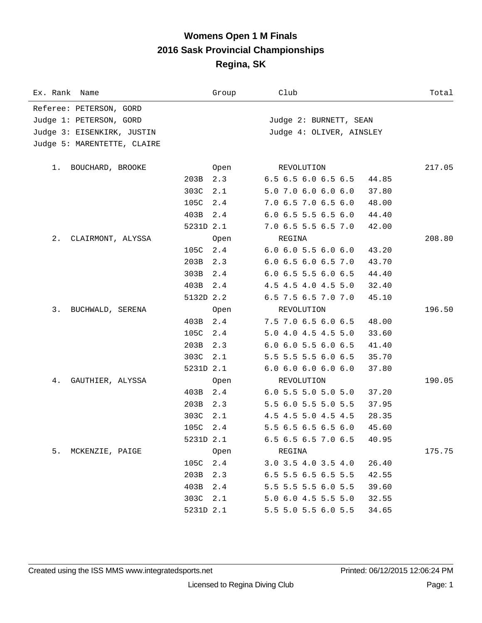### **Womens Open 1 M Finals 2016 Sask Provincial Championships Regina, SK**

| Ex. Rank Name               |           | Group | Club                                   | Total  |
|-----------------------------|-----------|-------|----------------------------------------|--------|
| Referee: PETERSON, GORD     |           |       |                                        |        |
| Judge 1: PETERSON, GORD     |           |       | Judge 2: BURNETT, SEAN                 |        |
| Judge 3: EISENKIRK, JUSTIN  |           |       | Judge 4: OLIVER, AINSLEY               |        |
| Judge 5: MARENTETTE, CLAIRE |           |       |                                        |        |
|                             |           |       |                                        |        |
| BOUCHARD, BROOKE<br>1.      |           | Open  | REVOLUTION                             | 217.05 |
|                             | 203B      | 2.3   | 6.5 6.5 6.0 6.5 6.5<br>44.85           |        |
|                             | 303C      | 2.1   | 5.0 7.0 6.0 6.0 6.0<br>37.80           |        |
|                             | 105C      | 2.4   | 7.0 6.5 7.0 6.5 6.0<br>48.00           |        |
|                             | 403B      | 2.4   | $6.0$ $6.5$ $5.5$ $6.5$ $6.0$<br>44.40 |        |
|                             | 5231D 2.1 |       | 7.0 6.5 5.5 6.5 7.0<br>42.00           |        |
| 2.<br>CLAIRMONT, ALYSSA     |           | Open  | REGINA                                 | 208.80 |
|                             | 105C      | 2.4   | $6.0$ $6.0$ $5.5$ $6.0$ $6.0$<br>43.20 |        |
|                             | 203B      | 2.3   | $6.0$ $6.5$ $6.0$ $6.5$ $7.0$<br>43.70 |        |
|                             | 303B      | 2.4   | $6.0$ 6.5 5.5 6.0 6.5<br>44.40         |        |
|                             | 403B      | 2.4   | 4.5 4.5 4.0 4.5 5.0<br>32.40           |        |
|                             | 5132D 2.2 |       | 6.5 7.5 6.5 7.0 7.0<br>45.10           |        |
| 3.<br>BUCHWALD, SERENA      |           | Open  | REVOLUTION                             | 196.50 |
|                             | 403B      | 2.4   | 7.5 7.0 6.5 6.0 6.5<br>48.00           |        |
|                             | 105C      | 2.4   | 5.0 4.0 4.5 4.5 5.0<br>33.60           |        |
|                             | 203B      | 2.3   | $6.0$ $6.0$ $5.5$ $6.0$ $6.5$<br>41.40 |        |
|                             | 303C      | 2.1   | 5.5 5.5 5.5 6.0 6.5<br>35.70           |        |
|                             | 5231D 2.1 |       | 6.06.06.06.06.0<br>37.80               |        |
| 4.<br>GAUTHIER, ALYSSA      |           | Open  | REVOLUTION                             | 190.05 |
|                             | 403B      | 2.4   | $6.0$ 5.5 5.0 5.0 5.0<br>37.20         |        |
|                             | 203B      | 2.3   | 5.5 6.0 5.5 5.0 5.5<br>37.95           |        |
|                             | 303C      | 2.1   | 4.5 4.5 5.0 4.5 4.5<br>28.35           |        |
|                             | 105C 2.4  |       | 5.5 6.5 6.5 6.5 6.0<br>45.60           |        |
|                             | 5231D 2.1 |       | 6.5 6.5 6.5 7.0 6.5<br>40.95           |        |
| 5.<br>MCKENZIE, PAIGE       |           | Open  | REGINA                                 | 175.75 |
|                             | 105C 2.4  |       | 3.0 3.5 4.0 3.5 4.0<br>26.40           |        |
|                             | 203B      | 2.3   | 6.5 5.5 6.5 6.5 5.5<br>42.55           |        |
|                             | 403B      | 2.4   | 5.5 5.5 5.5 6.0 5.5<br>39.60           |        |
|                             | 303C      | 2.1   | 5.0 6.0 4.5 5.5 5.0<br>32.55           |        |
|                             | 5231D 2.1 |       | 5.5 5.0 5.5 6.0 5.5<br>34.65           |        |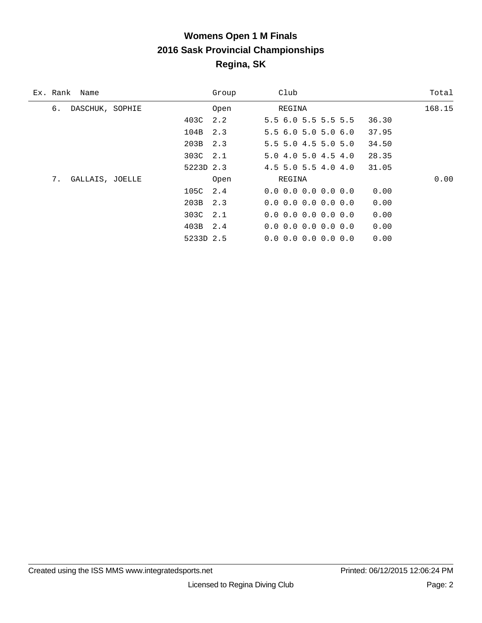# **Womens Open 1 M Finals 2016 Sask Provincial Championships Regina, SK**

| Ex. Rank | Name            |           | Group | Club                          |  |       | Total  |
|----------|-----------------|-----------|-------|-------------------------------|--|-------|--------|
| б.       | DASCHUK, SOPHIE |           | Open  | REGINA                        |  |       | 168.15 |
|          |                 | 403C      | 2.2   | 5.56.05.55.55.5               |  | 36.30 |        |
|          |                 | 104B      | 2.3   | 5.56.05.05.06.0               |  | 37.95 |        |
|          |                 | 203B 2.3  |       | $5.5$ 5.0 4.5 5.0 5.0         |  | 34.50 |        |
|          |                 | 303C 2.1  |       | 5.04.05.04.54.0               |  | 28.35 |        |
|          |                 | 5223D 2.3 |       | $4.5$ 5.0 5.5 $4.0$ $4.0$     |  | 31.05 |        |
| 7.       | GALLAIS, JOELLE |           | Open  | REGINA                        |  |       | 0.00   |
|          |                 | 105C      | 2.4   | $0.0$ $0.0$ $0.0$ $0.0$ $0.0$ |  | 0.00  |        |
|          |                 | 203B 2.3  |       | $0.0$ $0.0$ $0.0$ $0.0$ $0.0$ |  | 0.00  |        |
|          |                 | 303C 2.1  |       | $0.0$ $0.0$ $0.0$ $0.0$ $0.0$ |  | 0.00  |        |
|          |                 | 403B 2.4  |       | $0.0$ 0.0 0.0 0.0 0.0         |  | 0.00  |        |
|          |                 | 5233D 2.5 |       | $0.0$ $0.0$ $0.0$ $0.0$ $0.0$ |  | 0.00  |        |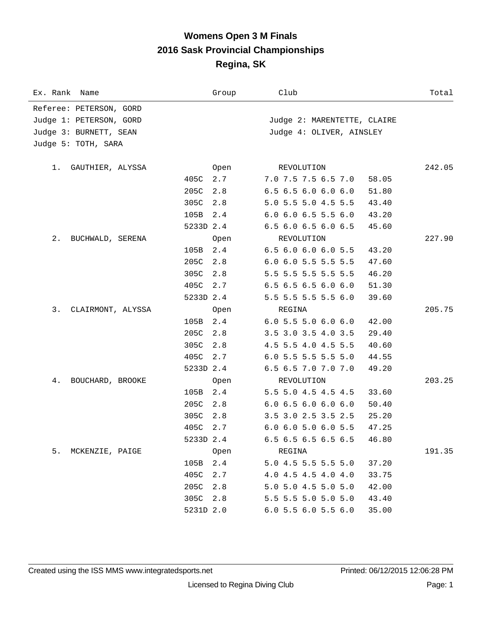### **Womens Open 3 M Finals 2016 Sask Provincial Championships Regina, SK**

| Ex. Rank Name           |           | Group | Club                          |       | Total  |
|-------------------------|-----------|-------|-------------------------------|-------|--------|
| Referee: PETERSON, GORD |           |       |                               |       |        |
| Judge 1: PETERSON, GORD |           |       | Judge 2: MARENTETTE, CLAIRE   |       |        |
| Judge 3: BURNETT, SEAN  |           |       | Judge 4: OLIVER, AINSLEY      |       |        |
| Judge 5: TOTH, SARA     |           |       |                               |       |        |
|                         |           |       |                               |       |        |
| GAUTHIER, ALYSSA<br>1.  |           | Open  | REVOLUTION                    |       | 242.05 |
|                         | 405C      | 2.7   | 7.0 7.5 7.5 6.5 7.0           | 58.05 |        |
|                         | 205C      | 2.8   | 6.5 6.5 6.0 6.0 6.0           | 51.80 |        |
|                         | 305C      | 2.8   | 5.0 5.5 5.0 4.5 5.5           | 43.40 |        |
|                         | 105B      | 2.4   | $6.0$ $6.0$ $6.5$ $5.5$ $6.0$ | 43.20 |        |
|                         | 5233D 2.4 |       | 6.5 6.0 6.5 6.0 6.5           | 45.60 |        |
| 2.<br>BUCHWALD, SERENA  |           | Open  | REVOLUTION                    |       | 227.90 |
|                         | 105B      | 2.4   | 6.5 6.0 6.0 6.0 5.5           | 43.20 |        |
|                         | 205C      | 2.8   | 6.0 6.0 5.5 5.5 5.5           | 47.60 |        |
|                         | 305C      | 2.8   | 5.5 5.5 5.5 5.5 5.5           | 46.20 |        |
|                         | 405C      | 2.7   | $6.5$ $6.5$ $6.5$ $6.0$ $6.0$ | 51.30 |        |
|                         | 5233D 2.4 |       | 5.5 5.5 5.5 5.5 6.0           | 39.60 |        |
| 3.<br>CLAIRMONT, ALYSSA |           | Open  | REGINA                        |       | 205.75 |
|                         | 105B      | 2.4   | $6.0$ 5.5 5.0 6.0 6.0         | 42.00 |        |
|                         | 205C      | 2.8   | 3.5 3.0 3.5 4.0 3.5           | 29.40 |        |
|                         | 305C      | 2.8   | 4.5 5.5 4.0 4.5 5.5           | 40.60 |        |
|                         | 405C      | 2.7   | 6.0 5.5 5.5 5.5 5.0           | 44.55 |        |
|                         | 5233D 2.4 |       | 6.5 6.5 7.0 7.0 7.0           | 49.20 |        |
| 4.<br>BOUCHARD, BROOKE  |           | Open  | REVOLUTION                    |       | 203.25 |
|                         | 105B      | 2.4   | 5.5 5.0 4.5 4.5 4.5           | 33.60 |        |
|                         | 205C      | 2.8   | 6.06.56.06.06.0               | 50.40 |        |
|                         | 305C      | 2.8   | 3.5 3.0 2.5 3.5 2.5           | 25.20 |        |
|                         | 405C 2.7  |       | $6.0$ $6.0$ $5.0$ $6.0$ $5.5$ | 47.25 |        |
|                         | 5233D 2.4 |       | 6.5 6.5 6.5 6.5 6.5           | 46.80 |        |
| 5.<br>MCKENZIE, PAIGE   |           | Open  | REGINA                        |       | 191.35 |
|                         | 105B      | 2.4   | 5.0 4.5 5.5 5.5 5.0           | 37.20 |        |
|                         | 405C      | 2.7   | 4.0 4.5 4.5 4.0 4.0           | 33.75 |        |
|                         | 205C      | 2.8   | 5.0 5.0 4.5 5.0 5.0           | 42.00 |        |
|                         | 305C      | 2.8   | 5.5 5.5 5.0 5.0 5.0           | 43.40 |        |
|                         | 5231D 2.0 |       | 6.0 5.5 6.0 5.5 6.0           | 35.00 |        |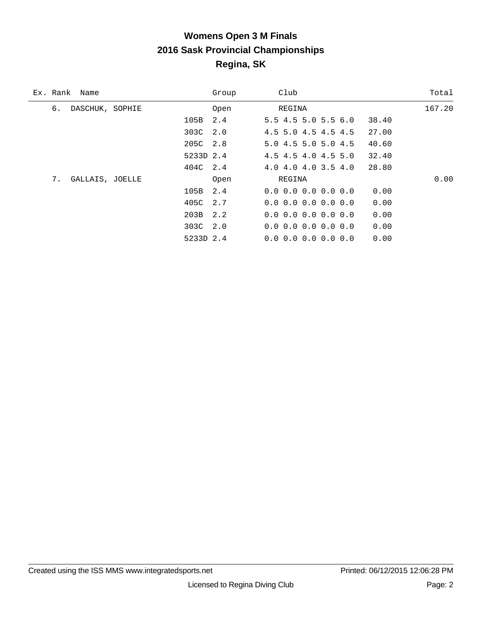# **Womens Open 3 M Finals 2016 Sask Provincial Championships Regina, SK**

| Ex. Rank | Name            |           | Group | Club                                |  |       | Total  |
|----------|-----------------|-----------|-------|-------------------------------------|--|-------|--------|
| б.       | DASCHUK, SOPHIE |           | Open  | REGINA                              |  |       | 167.20 |
|          |                 | 105B      | 2.4   | 5.5 4.5 5.0 5.5 6.0                 |  | 38.40 |        |
|          |                 | 303C      | 2.0   | 4.5 5.0 4.5 4.5 4.5                 |  | 27.00 |        |
|          |                 | 205C 2.8  |       | 5.0 4.5 5.0 5.0 4.5                 |  | 40.60 |        |
|          |                 | 5233D 2.4 |       | 4.5 4.5 4.0 4.5 5.0                 |  | 32.40 |        |
|          |                 | 404C 2.4  |       | 4.0 4.0 4.0 3.5 4.0                 |  | 28.80 |        |
| 7.       | GALLAIS, JOELLE |           | Open  | REGINA                              |  |       | 0.00   |
|          |                 | 105B      | 2.4   | $0.0 \t0.0 \t0.0 \t0.0 \t0.0$       |  | 0.00  |        |
|          |                 | 405C      | 2.7   | $0.0$ $0.0$ $0.0$ $0.0$ $0.0$ $0.0$ |  | 0.00  |        |
|          |                 | 203B 2.2  |       | $0.0$ $0.0$ $0.0$ $0.0$ $0.0$       |  | 0.00  |        |
|          |                 | 303C 2.0  |       | $0.0$ $0.0$ $0.0$ $0.0$ $0.0$       |  | 0.00  |        |
|          |                 | 5233D 2.4 |       | $0.0 \t0.0 \t0.0 \t0.0 \t0.0$       |  | 0.00  |        |